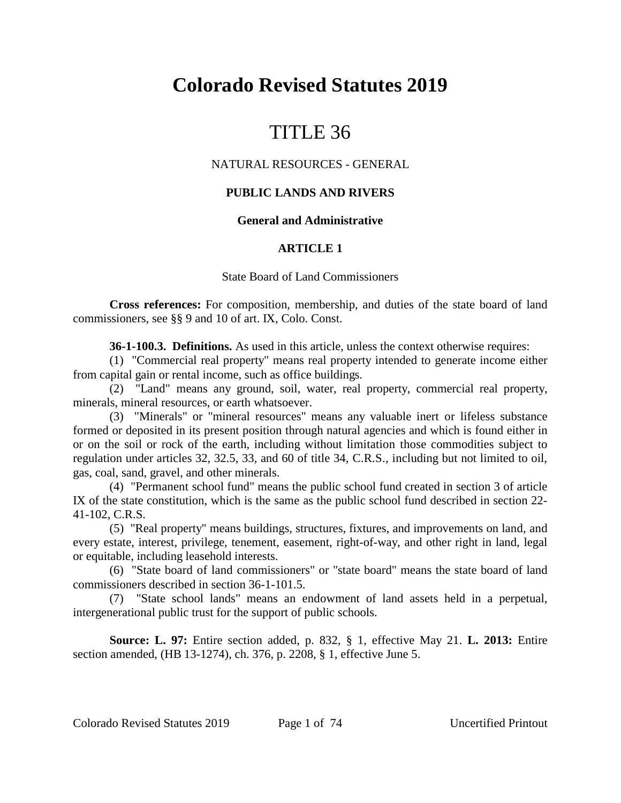# **Colorado Revised Statutes 2019**

# TITLE 36

# NATURAL RESOURCES - GENERAL

# **PUBLIC LANDS AND RIVERS**

## **General and Administrative**

## **ARTICLE 1**

### State Board of Land Commissioners

**Cross references:** For composition, membership, and duties of the state board of land commissioners, see §§ 9 and 10 of art. IX, Colo. Const.

**36-1-100.3. Definitions.** As used in this article, unless the context otherwise requires:

(1) "Commercial real property" means real property intended to generate income either from capital gain or rental income, such as office buildings.

(2) "Land" means any ground, soil, water, real property, commercial real property, minerals, mineral resources, or earth whatsoever.

(3) "Minerals" or "mineral resources" means any valuable inert or lifeless substance formed or deposited in its present position through natural agencies and which is found either in or on the soil or rock of the earth, including without limitation those commodities subject to regulation under articles 32, 32.5, 33, and 60 of title 34, C.R.S., including but not limited to oil, gas, coal, sand, gravel, and other minerals.

(4) "Permanent school fund" means the public school fund created in section 3 of article IX of the state constitution, which is the same as the public school fund described in section 22- 41-102, C.R.S.

(5) "Real property" means buildings, structures, fixtures, and improvements on land, and every estate, interest, privilege, tenement, easement, right-of-way, and other right in land, legal or equitable, including leasehold interests.

(6) "State board of land commissioners" or "state board" means the state board of land commissioners described in section 36-1-101.5.

(7) "State school lands" means an endowment of land assets held in a perpetual, intergenerational public trust for the support of public schools.

**Source: L. 97:** Entire section added, p. 832, § 1, effective May 21. **L. 2013:** Entire section amended, (HB 13-1274), ch. 376, p. 2208, § 1, effective June 5.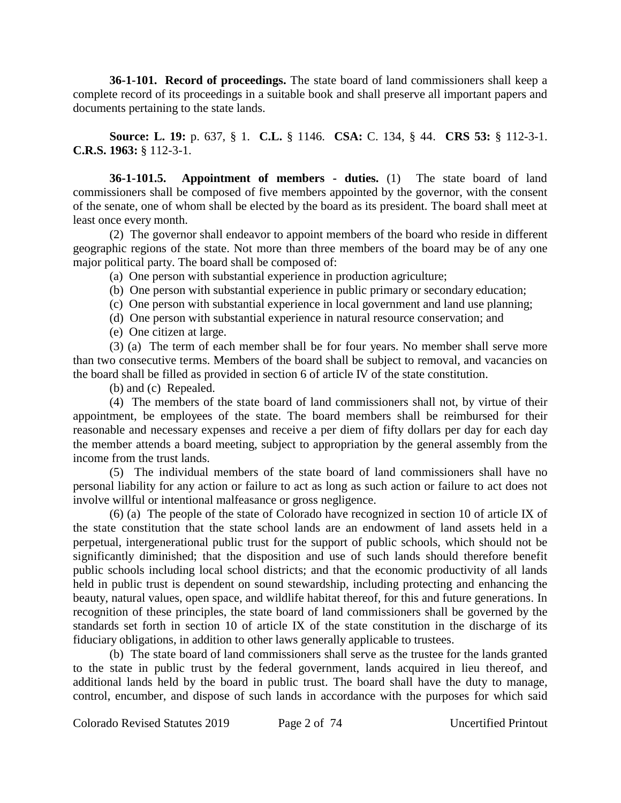**36-1-101. Record of proceedings.** The state board of land commissioners shall keep a complete record of its proceedings in a suitable book and shall preserve all important papers and documents pertaining to the state lands.

**Source: L. 19:** p. 637, § 1. **C.L.** § 1146. **CSA:** C. 134, § 44. **CRS 53:** § 112-3-1. **C.R.S. 1963:** § 112-3-1.

**36-1-101.5. Appointment of members - duties.** (1) The state board of land commissioners shall be composed of five members appointed by the governor, with the consent of the senate, one of whom shall be elected by the board as its president. The board shall meet at least once every month.

(2) The governor shall endeavor to appoint members of the board who reside in different geographic regions of the state. Not more than three members of the board may be of any one major political party. The board shall be composed of:

(a) One person with substantial experience in production agriculture;

(b) One person with substantial experience in public primary or secondary education;

- (c) One person with substantial experience in local government and land use planning;
- (d) One person with substantial experience in natural resource conservation; and

(e) One citizen at large.

(3) (a) The term of each member shall be for four years. No member shall serve more than two consecutive terms. Members of the board shall be subject to removal, and vacancies on the board shall be filled as provided in section 6 of article IV of the state constitution.

(b) and (c) Repealed.

(4) The members of the state board of land commissioners shall not, by virtue of their appointment, be employees of the state. The board members shall be reimbursed for their reasonable and necessary expenses and receive a per diem of fifty dollars per day for each day the member attends a board meeting, subject to appropriation by the general assembly from the income from the trust lands.

(5) The individual members of the state board of land commissioners shall have no personal liability for any action or failure to act as long as such action or failure to act does not involve willful or intentional malfeasance or gross negligence.

(6) (a) The people of the state of Colorado have recognized in section 10 of article IX of the state constitution that the state school lands are an endowment of land assets held in a perpetual, intergenerational public trust for the support of public schools, which should not be significantly diminished; that the disposition and use of such lands should therefore benefit public schools including local school districts; and that the economic productivity of all lands held in public trust is dependent on sound stewardship, including protecting and enhancing the beauty, natural values, open space, and wildlife habitat thereof, for this and future generations. In recognition of these principles, the state board of land commissioners shall be governed by the standards set forth in section 10 of article IX of the state constitution in the discharge of its fiduciary obligations, in addition to other laws generally applicable to trustees.

(b) The state board of land commissioners shall serve as the trustee for the lands granted to the state in public trust by the federal government, lands acquired in lieu thereof, and additional lands held by the board in public trust. The board shall have the duty to manage, control, encumber, and dispose of such lands in accordance with the purposes for which said

Colorado Revised Statutes 2019 Page 2 of 74 Uncertified Printout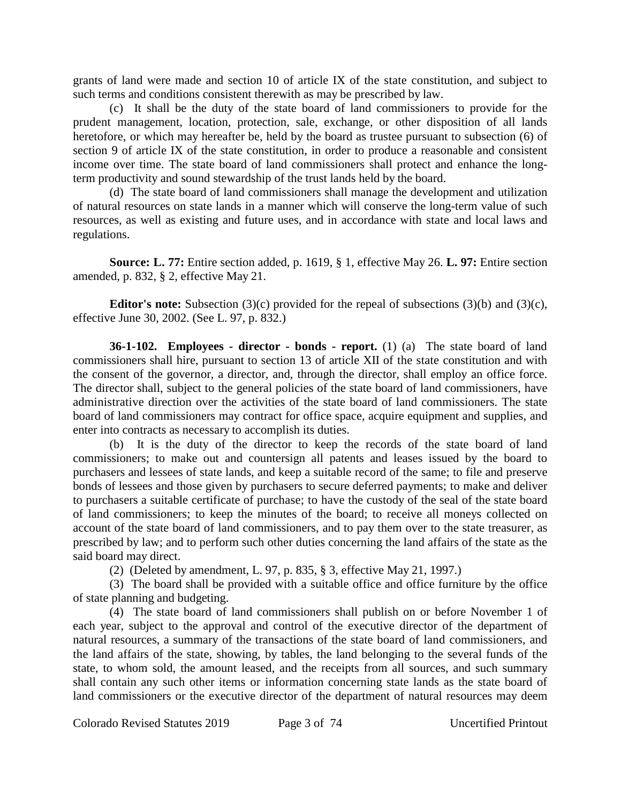grants of land were made and section 10 of article IX of the state constitution, and subject to such terms and conditions consistent therewith as may be prescribed by law.

(c) It shall be the duty of the state board of land commissioners to provide for the prudent management, location, protection, sale, exchange, or other disposition of all lands heretofore, or which may hereafter be, held by the board as trustee pursuant to subsection (6) of section 9 of article IX of the state constitution, in order to produce a reasonable and consistent income over time. The state board of land commissioners shall protect and enhance the longterm productivity and sound stewardship of the trust lands held by the board.

(d) The state board of land commissioners shall manage the development and utilization of natural resources on state lands in a manner which will conserve the long-term value of such resources, as well as existing and future uses, and in accordance with state and local laws and regulations.

**Source: L. 77:** Entire section added, p. 1619, § 1, effective May 26. **L. 97:** Entire section amended, p. 832, § 2, effective May 21.

**Editor's note:** Subsection (3)(c) provided for the repeal of subsections (3)(b) and (3)(c), effective June 30, 2002. (See L. 97, p. 832.)

**36-1-102. Employees - director - bonds - report.** (1) (a) The state board of land commissioners shall hire, pursuant to section 13 of article XII of the state constitution and with the consent of the governor, a director, and, through the director, shall employ an office force. The director shall, subject to the general policies of the state board of land commissioners, have administrative direction over the activities of the state board of land commissioners. The state board of land commissioners may contract for office space, acquire equipment and supplies, and enter into contracts as necessary to accomplish its duties.

(b) It is the duty of the director to keep the records of the state board of land commissioners; to make out and countersign all patents and leases issued by the board to purchasers and lessees of state lands, and keep a suitable record of the same; to file and preserve bonds of lessees and those given by purchasers to secure deferred payments; to make and deliver to purchasers a suitable certificate of purchase; to have the custody of the seal of the state board of land commissioners; to keep the minutes of the board; to receive all moneys collected on account of the state board of land commissioners, and to pay them over to the state treasurer, as prescribed by law; and to perform such other duties concerning the land affairs of the state as the said board may direct.

(2) (Deleted by amendment, L. 97, p. 835, § 3, effective May 21, 1997.)

(3) The board shall be provided with a suitable office and office furniture by the office of state planning and budgeting.

(4) The state board of land commissioners shall publish on or before November 1 of each year, subject to the approval and control of the executive director of the department of natural resources, a summary of the transactions of the state board of land commissioners, and the land affairs of the state, showing, by tables, the land belonging to the several funds of the state, to whom sold, the amount leased, and the receipts from all sources, and such summary shall contain any such other items or information concerning state lands as the state board of land commissioners or the executive director of the department of natural resources may deem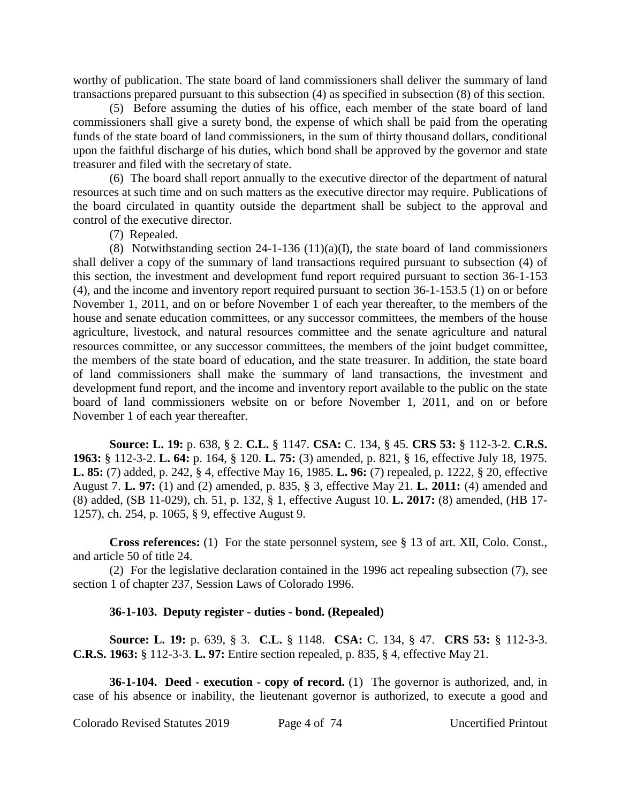worthy of publication. The state board of land commissioners shall deliver the summary of land transactions prepared pursuant to this subsection (4) as specified in subsection (8) of this section.

(5) Before assuming the duties of his office, each member of the state board of land commissioners shall give a surety bond, the expense of which shall be paid from the operating funds of the state board of land commissioners, in the sum of thirty thousand dollars, conditional upon the faithful discharge of his duties, which bond shall be approved by the governor and state treasurer and filed with the secretary of state.

(6) The board shall report annually to the executive director of the department of natural resources at such time and on such matters as the executive director may require. Publications of the board circulated in quantity outside the department shall be subject to the approval and control of the executive director.

(7) Repealed.

(8) Notwithstanding section 24-1-136 (11)(a)(I), the state board of land commissioners shall deliver a copy of the summary of land transactions required pursuant to subsection (4) of this section, the investment and development fund report required pursuant to section 36-1-153 (4), and the income and inventory report required pursuant to section 36-1-153.5 (1) on or before November 1, 2011, and on or before November 1 of each year thereafter, to the members of the house and senate education committees, or any successor committees, the members of the house agriculture, livestock, and natural resources committee and the senate agriculture and natural resources committee, or any successor committees, the members of the joint budget committee, the members of the state board of education, and the state treasurer. In addition, the state board of land commissioners shall make the summary of land transactions, the investment and development fund report, and the income and inventory report available to the public on the state board of land commissioners website on or before November 1, 2011, and on or before November 1 of each year thereafter.

**Source: L. 19:** p. 638, § 2. **C.L.** § 1147. **CSA:** C. 134, § 45. **CRS 53:** § 112-3-2. **C.R.S. 1963:** § 112-3-2. **L. 64:** p. 164, § 120. **L. 75:** (3) amended, p. 821, § 16, effective July 18, 1975. **L. 85:** (7) added, p. 242, § 4, effective May 16, 1985. **L. 96:** (7) repealed, p. 1222, § 20, effective August 7. **L. 97:** (1) and (2) amended, p. 835, § 3, effective May 21. **L. 2011:** (4) amended and (8) added, (SB 11-029), ch. 51, p. 132, § 1, effective August 10. **L. 2017:** (8) amended, (HB 17- 1257), ch. 254, p. 1065, § 9, effective August 9.

**Cross references:** (1) For the state personnel system, see § 13 of art. XII, Colo. Const., and article 50 of title 24.

(2) For the legislative declaration contained in the 1996 act repealing subsection (7), see section 1 of chapter 237, Session Laws of Colorado 1996.

#### **36-1-103. Deputy register - duties - bond. (Repealed)**

**Source: L. 19:** p. 639, § 3. **C.L.** § 1148. **CSA:** C. 134, § 47. **CRS 53:** § 112-3-3. **C.R.S. 1963:** § 112-3-3. **L. 97:** Entire section repealed, p. 835, § 4, effective May 21.

**36-1-104. Deed - execution - copy of record.** (1) The governor is authorized, and, in case of his absence or inability, the lieutenant governor is authorized, to execute a good and

Colorado Revised Statutes 2019 Page 4 of 74 Uncertified Printout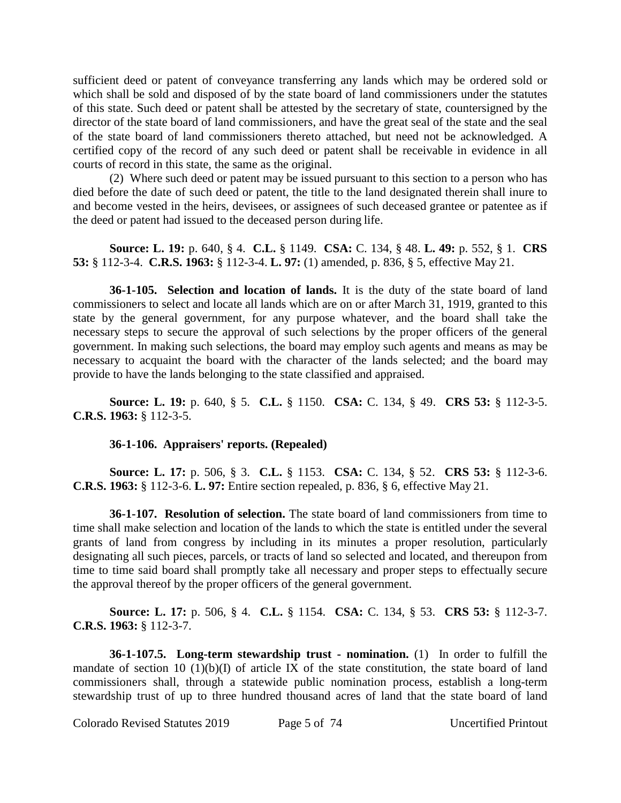sufficient deed or patent of conveyance transferring any lands which may be ordered sold or which shall be sold and disposed of by the state board of land commissioners under the statutes of this state. Such deed or patent shall be attested by the secretary of state, countersigned by the director of the state board of land commissioners, and have the great seal of the state and the seal of the state board of land commissioners thereto attached, but need not be acknowledged. A certified copy of the record of any such deed or patent shall be receivable in evidence in all courts of record in this state, the same as the original.

(2) Where such deed or patent may be issued pursuant to this section to a person who has died before the date of such deed or patent, the title to the land designated therein shall inure to and become vested in the heirs, devisees, or assignees of such deceased grantee or patentee as if the deed or patent had issued to the deceased person during life.

**Source: L. 19:** p. 640, § 4. **C.L.** § 1149. **CSA:** C. 134, § 48. **L. 49:** p. 552, § 1. **CRS 53:** § 112-3-4. **C.R.S. 1963:** § 112-3-4. **L. 97:** (1) amended, p. 836, § 5, effective May 21.

**36-1-105. Selection and location of lands.** It is the duty of the state board of land commissioners to select and locate all lands which are on or after March 31, 1919, granted to this state by the general government, for any purpose whatever, and the board shall take the necessary steps to secure the approval of such selections by the proper officers of the general government. In making such selections, the board may employ such agents and means as may be necessary to acquaint the board with the character of the lands selected; and the board may provide to have the lands belonging to the state classified and appraised.

**Source: L. 19:** p. 640, § 5. **C.L.** § 1150. **CSA:** C. 134, § 49. **CRS 53:** § 112-3-5. **C.R.S. 1963:** § 112-3-5.

## **36-1-106. Appraisers' reports. (Repealed)**

**Source: L. 17:** p. 506, § 3. **C.L.** § 1153. **CSA:** C. 134, § 52. **CRS 53:** § 112-3-6. **C.R.S. 1963:** § 112-3-6. **L. 97:** Entire section repealed, p. 836, § 6, effective May 21.

**36-1-107. Resolution of selection.** The state board of land commissioners from time to time shall make selection and location of the lands to which the state is entitled under the several grants of land from congress by including in its minutes a proper resolution, particularly designating all such pieces, parcels, or tracts of land so selected and located, and thereupon from time to time said board shall promptly take all necessary and proper steps to effectually secure the approval thereof by the proper officers of the general government.

**Source: L. 17:** p. 506, § 4. **C.L.** § 1154. **CSA:** C. 134, § 53. **CRS 53:** § 112-3-7. **C.R.S. 1963:** § 112-3-7.

**36-1-107.5. Long-term stewardship trust - nomination.** (1) In order to fulfill the mandate of section 10 (1)(b)(I) of article IX of the state constitution, the state board of land commissioners shall, through a statewide public nomination process, establish a long-term stewardship trust of up to three hundred thousand acres of land that the state board of land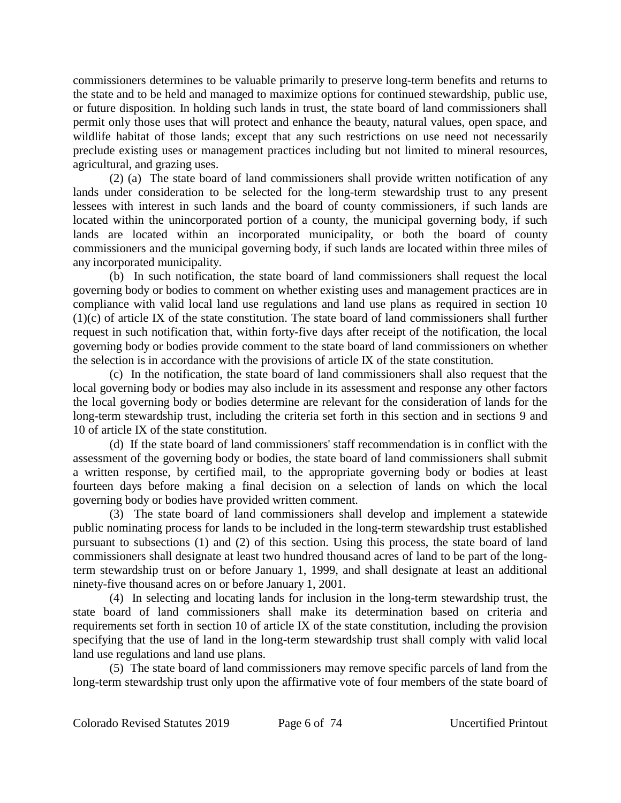commissioners determines to be valuable primarily to preserve long-term benefits and returns to the state and to be held and managed to maximize options for continued stewardship, public use, or future disposition. In holding such lands in trust, the state board of land commissioners shall permit only those uses that will protect and enhance the beauty, natural values, open space, and wildlife habitat of those lands; except that any such restrictions on use need not necessarily preclude existing uses or management practices including but not limited to mineral resources, agricultural, and grazing uses.

(2) (a) The state board of land commissioners shall provide written notification of any lands under consideration to be selected for the long-term stewardship trust to any present lessees with interest in such lands and the board of county commissioners, if such lands are located within the unincorporated portion of a county, the municipal governing body, if such lands are located within an incorporated municipality, or both the board of county commissioners and the municipal governing body, if such lands are located within three miles of any incorporated municipality.

(b) In such notification, the state board of land commissioners shall request the local governing body or bodies to comment on whether existing uses and management practices are in compliance with valid local land use regulations and land use plans as required in section 10 (1)(c) of article IX of the state constitution. The state board of land commissioners shall further request in such notification that, within forty-five days after receipt of the notification, the local governing body or bodies provide comment to the state board of land commissioners on whether the selection is in accordance with the provisions of article IX of the state constitution.

(c) In the notification, the state board of land commissioners shall also request that the local governing body or bodies may also include in its assessment and response any other factors the local governing body or bodies determine are relevant for the consideration of lands for the long-term stewardship trust, including the criteria set forth in this section and in sections 9 and 10 of article IX of the state constitution.

(d) If the state board of land commissioners' staff recommendation is in conflict with the assessment of the governing body or bodies, the state board of land commissioners shall submit a written response, by certified mail, to the appropriate governing body or bodies at least fourteen days before making a final decision on a selection of lands on which the local governing body or bodies have provided written comment.

(3) The state board of land commissioners shall develop and implement a statewide public nominating process for lands to be included in the long-term stewardship trust established pursuant to subsections (1) and (2) of this section. Using this process, the state board of land commissioners shall designate at least two hundred thousand acres of land to be part of the longterm stewardship trust on or before January 1, 1999, and shall designate at least an additional ninety-five thousand acres on or before January 1, 2001.

(4) In selecting and locating lands for inclusion in the long-term stewardship trust, the state board of land commissioners shall make its determination based on criteria and requirements set forth in section 10 of article IX of the state constitution, including the provision specifying that the use of land in the long-term stewardship trust shall comply with valid local land use regulations and land use plans.

(5) The state board of land commissioners may remove specific parcels of land from the long-term stewardship trust only upon the affirmative vote of four members of the state board of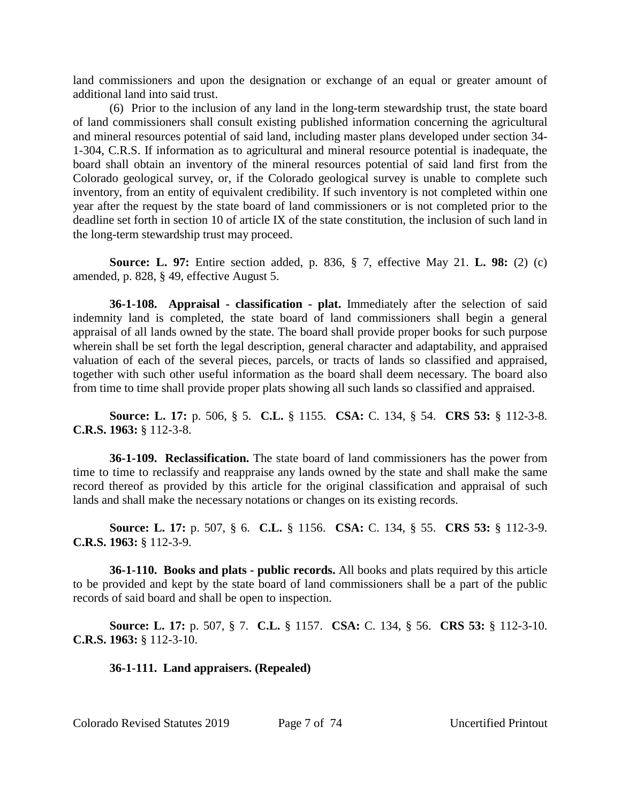land commissioners and upon the designation or exchange of an equal or greater amount of additional land into said trust.

(6) Prior to the inclusion of any land in the long-term stewardship trust, the state board of land commissioners shall consult existing published information concerning the agricultural and mineral resources potential of said land, including master plans developed under section 34- 1-304, C.R.S. If information as to agricultural and mineral resource potential is inadequate, the board shall obtain an inventory of the mineral resources potential of said land first from the Colorado geological survey, or, if the Colorado geological survey is unable to complete such inventory, from an entity of equivalent credibility. If such inventory is not completed within one year after the request by the state board of land commissioners or is not completed prior to the deadline set forth in section 10 of article IX of the state constitution, the inclusion of such land in the long-term stewardship trust may proceed.

**Source: L. 97:** Entire section added, p. 836, § 7, effective May 21. **L. 98:** (2) (c) amended, p. 828, § 49, effective August 5.

**36-1-108. Appraisal - classification - plat.** Immediately after the selection of said indemnity land is completed, the state board of land commissioners shall begin a general appraisal of all lands owned by the state. The board shall provide proper books for such purpose wherein shall be set forth the legal description, general character and adaptability, and appraised valuation of each of the several pieces, parcels, or tracts of lands so classified and appraised, together with such other useful information as the board shall deem necessary. The board also from time to time shall provide proper plats showing all such lands so classified and appraised.

**Source: L. 17:** p. 506, § 5. **C.L.** § 1155. **CSA:** C. 134, § 54. **CRS 53:** § 112-3-8. **C.R.S. 1963:** § 112-3-8.

**36-1-109. Reclassification.** The state board of land commissioners has the power from time to time to reclassify and reappraise any lands owned by the state and shall make the same record thereof as provided by this article for the original classification and appraisal of such lands and shall make the necessary notations or changes on its existing records.

**Source: L. 17:** p. 507, § 6. **C.L.** § 1156. **CSA:** C. 134, § 55. **CRS 53:** § 112-3-9. **C.R.S. 1963:** § 112-3-9.

**36-1-110. Books and plats - public records.** All books and plats required by this article to be provided and kept by the state board of land commissioners shall be a part of the public records of said board and shall be open to inspection.

**Source: L. 17:** p. 507, § 7. **C.L.** § 1157. **CSA:** C. 134, § 56. **CRS 53:** § 112-3-10. **C.R.S. 1963:** § 112-3-10.

### **36-1-111. Land appraisers. (Repealed)**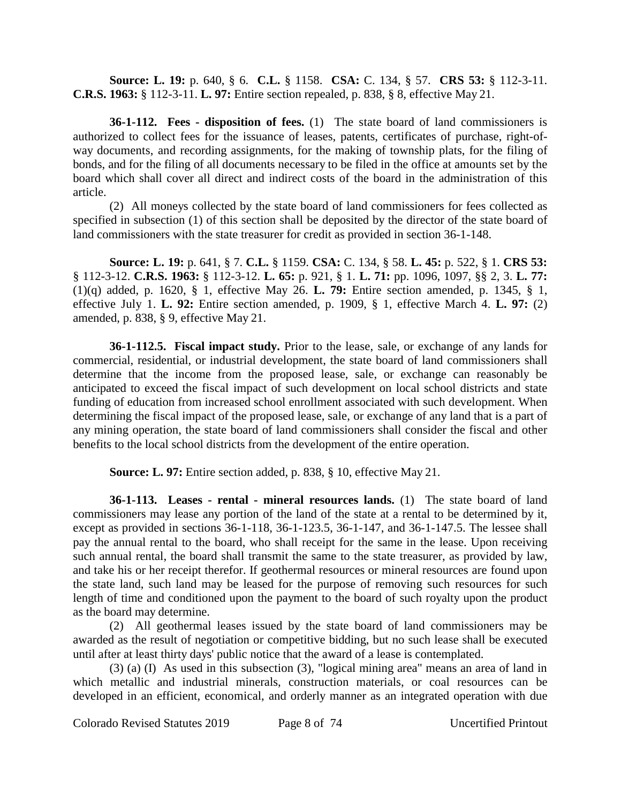**Source: L. 19:** p. 640, § 6. **C.L.** § 1158. **CSA:** C. 134, § 57. **CRS 53:** § 112-3-11. **C.R.S. 1963:** § 112-3-11. **L. 97:** Entire section repealed, p. 838, § 8, effective May 21.

**36-1-112. Fees - disposition of fees.** (1) The state board of land commissioners is authorized to collect fees for the issuance of leases, patents, certificates of purchase, right-ofway documents, and recording assignments, for the making of township plats, for the filing of bonds, and for the filing of all documents necessary to be filed in the office at amounts set by the board which shall cover all direct and indirect costs of the board in the administration of this article.

(2) All moneys collected by the state board of land commissioners for fees collected as specified in subsection (1) of this section shall be deposited by the director of the state board of land commissioners with the state treasurer for credit as provided in section 36-1-148.

**Source: L. 19:** p. 641, § 7. **C.L.** § 1159. **CSA:** C. 134, § 58. **L. 45:** p. 522, § 1. **CRS 53:** § 112-3-12. **C.R.S. 1963:** § 112-3-12. **L. 65:** p. 921, § 1. **L. 71:** pp. 1096, 1097, §§ 2, 3. **L. 77:** (1)(q) added, p. 1620, § 1, effective May 26. **L. 79:** Entire section amended, p. 1345, § 1, effective July 1. **L. 92:** Entire section amended, p. 1909, § 1, effective March 4. **L. 97:** (2) amended, p. 838, § 9, effective May 21.

**36-1-112.5. Fiscal impact study.** Prior to the lease, sale, or exchange of any lands for commercial, residential, or industrial development, the state board of land commissioners shall determine that the income from the proposed lease, sale, or exchange can reasonably be anticipated to exceed the fiscal impact of such development on local school districts and state funding of education from increased school enrollment associated with such development. When determining the fiscal impact of the proposed lease, sale, or exchange of any land that is a part of any mining operation, the state board of land commissioners shall consider the fiscal and other benefits to the local school districts from the development of the entire operation.

**Source: L. 97:** Entire section added, p. 838, § 10, effective May 21.

**36-1-113. Leases - rental - mineral resources lands.** (1) The state board of land commissioners may lease any portion of the land of the state at a rental to be determined by it, except as provided in sections 36-1-118, 36-1-123.5, 36-1-147, and 36-1-147.5. The lessee shall pay the annual rental to the board, who shall receipt for the same in the lease. Upon receiving such annual rental, the board shall transmit the same to the state treasurer, as provided by law, and take his or her receipt therefor. If geothermal resources or mineral resources are found upon the state land, such land may be leased for the purpose of removing such resources for such length of time and conditioned upon the payment to the board of such royalty upon the product as the board may determine.

(2) All geothermal leases issued by the state board of land commissioners may be awarded as the result of negotiation or competitive bidding, but no such lease shall be executed until after at least thirty days' public notice that the award of a lease is contemplated.

(3) (a) (I) As used in this subsection (3), "logical mining area" means an area of land in which metallic and industrial minerals, construction materials, or coal resources can be developed in an efficient, economical, and orderly manner as an integrated operation with due

Colorado Revised Statutes 2019 Page 8 of 74 Uncertified Printout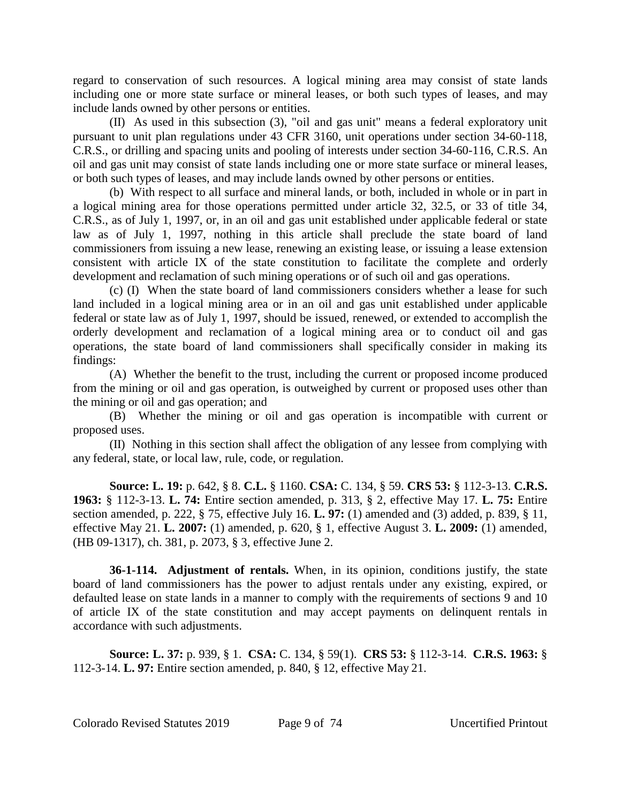regard to conservation of such resources. A logical mining area may consist of state lands including one or more state surface or mineral leases, or both such types of leases, and may include lands owned by other persons or entities.

(II) As used in this subsection (3), "oil and gas unit" means a federal exploratory unit pursuant to unit plan regulations under 43 CFR 3160, unit operations under section 34-60-118, C.R.S., or drilling and spacing units and pooling of interests under section 34-60-116, C.R.S. An oil and gas unit may consist of state lands including one or more state surface or mineral leases, or both such types of leases, and may include lands owned by other persons or entities.

(b) With respect to all surface and mineral lands, or both, included in whole or in part in a logical mining area for those operations permitted under article 32, 32.5, or 33 of title 34, C.R.S., as of July 1, 1997, or, in an oil and gas unit established under applicable federal or state law as of July 1, 1997, nothing in this article shall preclude the state board of land commissioners from issuing a new lease, renewing an existing lease, or issuing a lease extension consistent with article IX of the state constitution to facilitate the complete and orderly development and reclamation of such mining operations or of such oil and gas operations.

(c) (I) When the state board of land commissioners considers whether a lease for such land included in a logical mining area or in an oil and gas unit established under applicable federal or state law as of July 1, 1997, should be issued, renewed, or extended to accomplish the orderly development and reclamation of a logical mining area or to conduct oil and gas operations, the state board of land commissioners shall specifically consider in making its findings:

(A) Whether the benefit to the trust, including the current or proposed income produced from the mining or oil and gas operation, is outweighed by current or proposed uses other than the mining or oil and gas operation; and

(B) Whether the mining or oil and gas operation is incompatible with current or proposed uses.

(II) Nothing in this section shall affect the obligation of any lessee from complying with any federal, state, or local law, rule, code, or regulation.

**Source: L. 19:** p. 642, § 8. **C.L.** § 1160. **CSA:** C. 134, § 59. **CRS 53:** § 112-3-13. **C.R.S. 1963:** § 112-3-13. **L. 74:** Entire section amended, p. 313, § 2, effective May 17. **L. 75:** Entire section amended, p. 222, § 75, effective July 16. **L. 97:** (1) amended and (3) added, p. 839, § 11, effective May 21. **L. 2007:** (1) amended, p. 620, § 1, effective August 3. **L. 2009:** (1) amended, (HB 09-1317), ch. 381, p. 2073, § 3, effective June 2.

**36-1-114. Adjustment of rentals.** When, in its opinion, conditions justify, the state board of land commissioners has the power to adjust rentals under any existing, expired, or defaulted lease on state lands in a manner to comply with the requirements of sections 9 and 10 of article IX of the state constitution and may accept payments on delinquent rentals in accordance with such adjustments.

**Source: L. 37:** p. 939, § 1. **CSA:** C. 134, § 59(1). **CRS 53:** § 112-3-14. **C.R.S. 1963:** § 112-3-14. **L. 97:** Entire section amended, p. 840, § 12, effective May 21.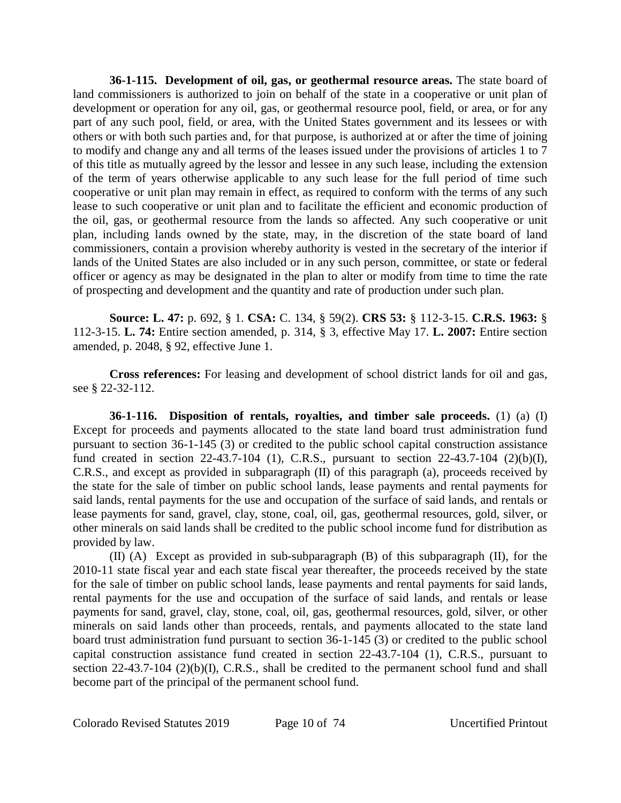**36-1-115. Development of oil, gas, or geothermal resource areas.** The state board of land commissioners is authorized to join on behalf of the state in a cooperative or unit plan of development or operation for any oil, gas, or geothermal resource pool, field, or area, or for any part of any such pool, field, or area, with the United States government and its lessees or with others or with both such parties and, for that purpose, is authorized at or after the time of joining to modify and change any and all terms of the leases issued under the provisions of articles 1 to 7 of this title as mutually agreed by the lessor and lessee in any such lease, including the extension of the term of years otherwise applicable to any such lease for the full period of time such cooperative or unit plan may remain in effect, as required to conform with the terms of any such lease to such cooperative or unit plan and to facilitate the efficient and economic production of the oil, gas, or geothermal resource from the lands so affected. Any such cooperative or unit plan, including lands owned by the state, may, in the discretion of the state board of land commissioners, contain a provision whereby authority is vested in the secretary of the interior if lands of the United States are also included or in any such person, committee, or state or federal officer or agency as may be designated in the plan to alter or modify from time to time the rate of prospecting and development and the quantity and rate of production under such plan.

**Source: L. 47:** p. 692, § 1. **CSA:** C. 134, § 59(2). **CRS 53:** § 112-3-15. **C.R.S. 1963:** § 112-3-15. **L. 74:** Entire section amended, p. 314, § 3, effective May 17. **L. 2007:** Entire section amended, p. 2048, § 92, effective June 1.

**Cross references:** For leasing and development of school district lands for oil and gas, see § 22-32-112.

**36-1-116. Disposition of rentals, royalties, and timber sale proceeds.** (1) (a) (I) Except for proceeds and payments allocated to the state land board trust administration fund pursuant to section 36-1-145 (3) or credited to the public school capital construction assistance fund created in section 22-43.7-104 (1), C.R.S., pursuant to section 22-43.7-104 (2)(b)(I), C.R.S., and except as provided in subparagraph (II) of this paragraph (a), proceeds received by the state for the sale of timber on public school lands, lease payments and rental payments for said lands, rental payments for the use and occupation of the surface of said lands, and rentals or lease payments for sand, gravel, clay, stone, coal, oil, gas, geothermal resources, gold, silver, or other minerals on said lands shall be credited to the public school income fund for distribution as provided by law.

(II) (A) Except as provided in sub-subparagraph (B) of this subparagraph (II), for the 2010-11 state fiscal year and each state fiscal year thereafter, the proceeds received by the state for the sale of timber on public school lands, lease payments and rental payments for said lands, rental payments for the use and occupation of the surface of said lands, and rentals or lease payments for sand, gravel, clay, stone, coal, oil, gas, geothermal resources, gold, silver, or other minerals on said lands other than proceeds, rentals, and payments allocated to the state land board trust administration fund pursuant to section 36-1-145 (3) or credited to the public school capital construction assistance fund created in section 22-43.7-104 (1), C.R.S., pursuant to section 22-43.7-104 (2)(b)(I), C.R.S., shall be credited to the permanent school fund and shall become part of the principal of the permanent school fund.

Colorado Revised Statutes 2019 Page 10 of 74 Uncertified Printout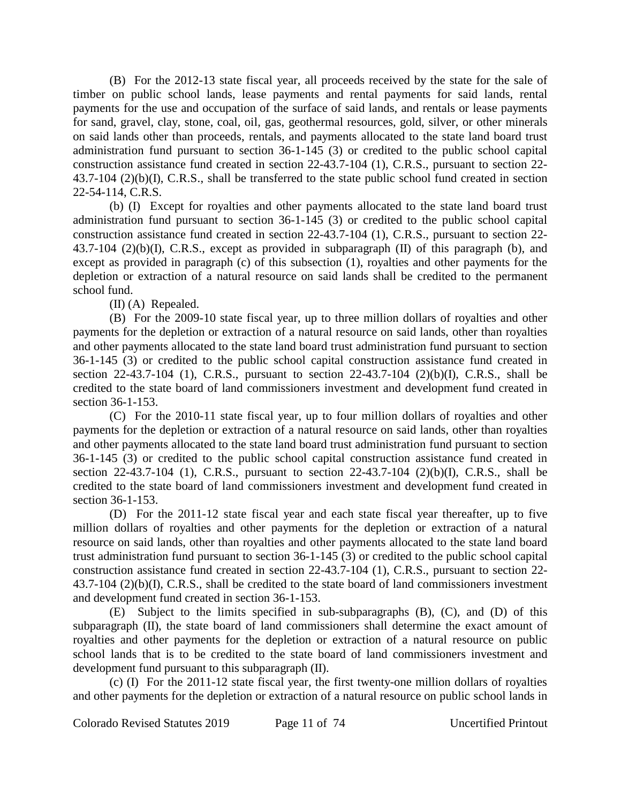(B) For the 2012-13 state fiscal year, all proceeds received by the state for the sale of timber on public school lands, lease payments and rental payments for said lands, rental payments for the use and occupation of the surface of said lands, and rentals or lease payments for sand, gravel, clay, stone, coal, oil, gas, geothermal resources, gold, silver, or other minerals on said lands other than proceeds, rentals, and payments allocated to the state land board trust administration fund pursuant to section 36-1-145 (3) or credited to the public school capital construction assistance fund created in section 22-43.7-104 (1), C.R.S., pursuant to section 22- 43.7-104 (2)(b)(I), C.R.S., shall be transferred to the state public school fund created in section 22-54-114, C.R.S.

(b) (I) Except for royalties and other payments allocated to the state land board trust administration fund pursuant to section 36-1-145 (3) or credited to the public school capital construction assistance fund created in section 22-43.7-104 (1), C.R.S., pursuant to section 22- 43.7-104 (2)(b)(I), C.R.S., except as provided in subparagraph (II) of this paragraph (b), and except as provided in paragraph (c) of this subsection (1), royalties and other payments for the depletion or extraction of a natural resource on said lands shall be credited to the permanent school fund.

(II) (A) Repealed.

(B) For the 2009-10 state fiscal year, up to three million dollars of royalties and other payments for the depletion or extraction of a natural resource on said lands, other than royalties and other payments allocated to the state land board trust administration fund pursuant to section 36-1-145 (3) or credited to the public school capital construction assistance fund created in section 22-43.7-104 (1), C.R.S., pursuant to section 22-43.7-104 (2)(b)(I), C.R.S., shall be credited to the state board of land commissioners investment and development fund created in section 36-1-153.

(C) For the 2010-11 state fiscal year, up to four million dollars of royalties and other payments for the depletion or extraction of a natural resource on said lands, other than royalties and other payments allocated to the state land board trust administration fund pursuant to section 36-1-145 (3) or credited to the public school capital construction assistance fund created in section 22-43.7-104 (1), C.R.S., pursuant to section 22-43.7-104 (2)(b)(I), C.R.S., shall be credited to the state board of land commissioners investment and development fund created in section 36-1-153.

(D) For the 2011-12 state fiscal year and each state fiscal year thereafter, up to five million dollars of royalties and other payments for the depletion or extraction of a natural resource on said lands, other than royalties and other payments allocated to the state land board trust administration fund pursuant to section 36-1-145 (3) or credited to the public school capital construction assistance fund created in section 22-43.7-104 (1), C.R.S., pursuant to section 22- 43.7-104 (2)(b)(I), C.R.S., shall be credited to the state board of land commissioners investment and development fund created in section 36-1-153.

(E) Subject to the limits specified in sub-subparagraphs (B), (C), and (D) of this subparagraph (II), the state board of land commissioners shall determine the exact amount of royalties and other payments for the depletion or extraction of a natural resource on public school lands that is to be credited to the state board of land commissioners investment and development fund pursuant to this subparagraph (II).

(c) (I) For the 2011-12 state fiscal year, the first twenty-one million dollars of royalties and other payments for the depletion or extraction of a natural resource on public school lands in

Colorado Revised Statutes 2019 Page 11 of 74 Uncertified Printout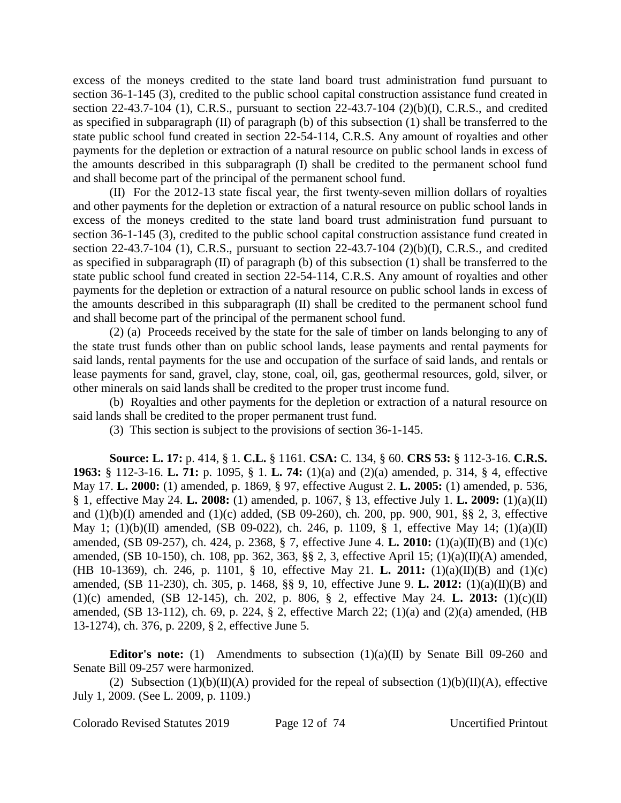excess of the moneys credited to the state land board trust administration fund pursuant to section 36-1-145 (3), credited to the public school capital construction assistance fund created in section 22-43.7-104 (1), C.R.S., pursuant to section 22-43.7-104 (2)(b)(I), C.R.S., and credited as specified in subparagraph (II) of paragraph (b) of this subsection (1) shall be transferred to the state public school fund created in section 22-54-114, C.R.S. Any amount of royalties and other payments for the depletion or extraction of a natural resource on public school lands in excess of the amounts described in this subparagraph (I) shall be credited to the permanent school fund and shall become part of the principal of the permanent school fund.

(II) For the 2012-13 state fiscal year, the first twenty-seven million dollars of royalties and other payments for the depletion or extraction of a natural resource on public school lands in excess of the moneys credited to the state land board trust administration fund pursuant to section 36-1-145 (3), credited to the public school capital construction assistance fund created in section 22-43.7-104 (1), C.R.S., pursuant to section 22-43.7-104 (2)(b)(I), C.R.S., and credited as specified in subparagraph (II) of paragraph (b) of this subsection (1) shall be transferred to the state public school fund created in section 22-54-114, C.R.S. Any amount of royalties and other payments for the depletion or extraction of a natural resource on public school lands in excess of the amounts described in this subparagraph (II) shall be credited to the permanent school fund and shall become part of the principal of the permanent school fund.

(2) (a) Proceeds received by the state for the sale of timber on lands belonging to any of the state trust funds other than on public school lands, lease payments and rental payments for said lands, rental payments for the use and occupation of the surface of said lands, and rentals or lease payments for sand, gravel, clay, stone, coal, oil, gas, geothermal resources, gold, silver, or other minerals on said lands shall be credited to the proper trust income fund.

(b) Royalties and other payments for the depletion or extraction of a natural resource on said lands shall be credited to the proper permanent trust fund.

(3) This section is subject to the provisions of section 36-1-145.

**Source: L. 17:** p. 414, § 1. **C.L.** § 1161. **CSA:** C. 134, § 60. **CRS 53:** § 112-3-16. **C.R.S. 1963:** § 112-3-16. **L. 71:** p. 1095, § 1. **L. 74:** (1)(a) and (2)(a) amended, p. 314, § 4, effective May 17. **L. 2000:** (1) amended, p. 1869, § 97, effective August 2. **L. 2005:** (1) amended, p. 536, § 1, effective May 24. **L. 2008:** (1) amended, p. 1067, § 13, effective July 1. **L. 2009:** (1)(a)(II) and (1)(b)(I) amended and (1)(c) added, (SB 09-260), ch. 200, pp. 900, 901, §§ 2, 3, effective May 1; (1)(b)(II) amended, (SB 09-022), ch. 246, p. 1109, § 1, effective May 14; (1)(a)(II) amended, (SB 09-257), ch. 424, p. 2368, § 7, effective June 4. **L. 2010:** (1)(a)(II)(B) and (1)(c) amended, (SB 10-150), ch. 108, pp. 362, 363, §§ 2, 3, effective April 15; (1)(a)(II)(A) amended, (HB 10-1369), ch. 246, p. 1101, § 10, effective May 21. **L. 2011:** (1)(a)(II)(B) and (1)(c) amended, (SB 11-230), ch. 305, p. 1468, §§ 9, 10, effective June 9. **L. 2012:** (1)(a)(II)(B) and (1)(c) amended, (SB 12-145), ch. 202, p. 806, § 2, effective May 24. **L. 2013:** (1)(c)(II) amended, (SB 13-112), ch. 69, p. 224, § 2, effective March 22; (1)(a) and (2)(a) amended, (HB 13-1274), ch. 376, p. 2209, § 2, effective June 5.

**Editor's note:** (1) Amendments to subsection (1)(a)(II) by Senate Bill 09-260 and Senate Bill 09-257 were harmonized.

(2) Subsection  $(1)(b)(II)(A)$  provided for the repeal of subsection  $(1)(b)(II)(A)$ , effective July 1, 2009. (See L. 2009, p. 1109.)

Colorado Revised Statutes 2019 Page 12 of 74 Uncertified Printout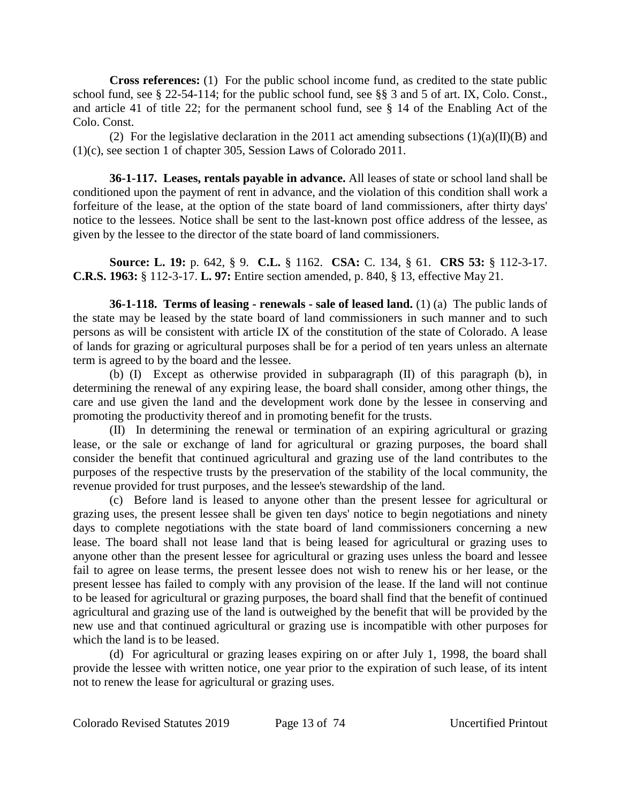**Cross references:** (1) For the public school income fund, as credited to the state public school fund, see § 22-54-114; for the public school fund, see §§ 3 and 5 of art. IX, Colo. Const., and article 41 of title 22; for the permanent school fund, see § 14 of the Enabling Act of the Colo. Const.

(2) For the legislative declaration in the 2011 act amending subsections  $(1)(a)(II)(B)$  and (1)(c), see section 1 of chapter 305, Session Laws of Colorado 2011.

**36-1-117. Leases, rentals payable in advance.** All leases of state or school land shall be conditioned upon the payment of rent in advance, and the violation of this condition shall work a forfeiture of the lease, at the option of the state board of land commissioners, after thirty days' notice to the lessees. Notice shall be sent to the last-known post office address of the lessee, as given by the lessee to the director of the state board of land commissioners.

**Source: L. 19:** p. 642, § 9. **C.L.** § 1162. **CSA:** C. 134, § 61. **CRS 53:** § 112-3-17. **C.R.S. 1963:** § 112-3-17. **L. 97:** Entire section amended, p. 840, § 13, effective May 21.

**36-1-118. Terms of leasing - renewals - sale of leased land.** (1) (a) The public lands of the state may be leased by the state board of land commissioners in such manner and to such persons as will be consistent with article IX of the constitution of the state of Colorado. A lease of lands for grazing or agricultural purposes shall be for a period of ten years unless an alternate term is agreed to by the board and the lessee.

(b) (I) Except as otherwise provided in subparagraph (II) of this paragraph (b), in determining the renewal of any expiring lease, the board shall consider, among other things, the care and use given the land and the development work done by the lessee in conserving and promoting the productivity thereof and in promoting benefit for the trusts.

(II) In determining the renewal or termination of an expiring agricultural or grazing lease, or the sale or exchange of land for agricultural or grazing purposes, the board shall consider the benefit that continued agricultural and grazing use of the land contributes to the purposes of the respective trusts by the preservation of the stability of the local community, the revenue provided for trust purposes, and the lessee's stewardship of the land.

(c) Before land is leased to anyone other than the present lessee for agricultural or grazing uses, the present lessee shall be given ten days' notice to begin negotiations and ninety days to complete negotiations with the state board of land commissioners concerning a new lease. The board shall not lease land that is being leased for agricultural or grazing uses to anyone other than the present lessee for agricultural or grazing uses unless the board and lessee fail to agree on lease terms, the present lessee does not wish to renew his or her lease, or the present lessee has failed to comply with any provision of the lease. If the land will not continue to be leased for agricultural or grazing purposes, the board shall find that the benefit of continued agricultural and grazing use of the land is outweighed by the benefit that will be provided by the new use and that continued agricultural or grazing use is incompatible with other purposes for which the land is to be leased.

(d) For agricultural or grazing leases expiring on or after July 1, 1998, the board shall provide the lessee with written notice, one year prior to the expiration of such lease, of its intent not to renew the lease for agricultural or grazing uses.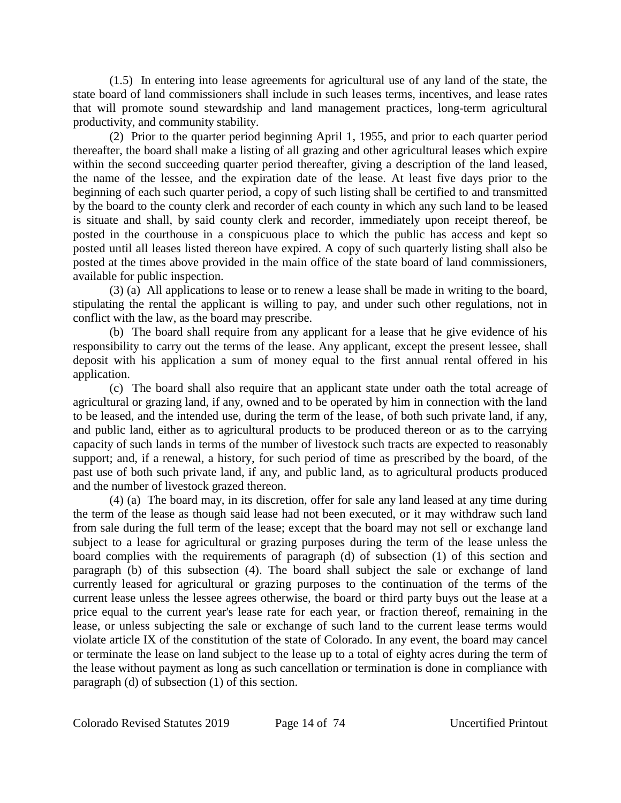(1.5) In entering into lease agreements for agricultural use of any land of the state, the state board of land commissioners shall include in such leases terms, incentives, and lease rates that will promote sound stewardship and land management practices, long-term agricultural productivity, and community stability.

(2) Prior to the quarter period beginning April 1, 1955, and prior to each quarter period thereafter, the board shall make a listing of all grazing and other agricultural leases which expire within the second succeeding quarter period thereafter, giving a description of the land leased, the name of the lessee, and the expiration date of the lease. At least five days prior to the beginning of each such quarter period, a copy of such listing shall be certified to and transmitted by the board to the county clerk and recorder of each county in which any such land to be leased is situate and shall, by said county clerk and recorder, immediately upon receipt thereof, be posted in the courthouse in a conspicuous place to which the public has access and kept so posted until all leases listed thereon have expired. A copy of such quarterly listing shall also be posted at the times above provided in the main office of the state board of land commissioners, available for public inspection.

(3) (a) All applications to lease or to renew a lease shall be made in writing to the board, stipulating the rental the applicant is willing to pay, and under such other regulations, not in conflict with the law, as the board may prescribe.

(b) The board shall require from any applicant for a lease that he give evidence of his responsibility to carry out the terms of the lease. Any applicant, except the present lessee, shall deposit with his application a sum of money equal to the first annual rental offered in his application.

(c) The board shall also require that an applicant state under oath the total acreage of agricultural or grazing land, if any, owned and to be operated by him in connection with the land to be leased, and the intended use, during the term of the lease, of both such private land, if any, and public land, either as to agricultural products to be produced thereon or as to the carrying capacity of such lands in terms of the number of livestock such tracts are expected to reasonably support; and, if a renewal, a history, for such period of time as prescribed by the board, of the past use of both such private land, if any, and public land, as to agricultural products produced and the number of livestock grazed thereon.

(4) (a) The board may, in its discretion, offer for sale any land leased at any time during the term of the lease as though said lease had not been executed, or it may withdraw such land from sale during the full term of the lease; except that the board may not sell or exchange land subject to a lease for agricultural or grazing purposes during the term of the lease unless the board complies with the requirements of paragraph (d) of subsection (1) of this section and paragraph (b) of this subsection (4). The board shall subject the sale or exchange of land currently leased for agricultural or grazing purposes to the continuation of the terms of the current lease unless the lessee agrees otherwise, the board or third party buys out the lease at a price equal to the current year's lease rate for each year, or fraction thereof, remaining in the lease, or unless subjecting the sale or exchange of such land to the current lease terms would violate article IX of the constitution of the state of Colorado. In any event, the board may cancel or terminate the lease on land subject to the lease up to a total of eighty acres during the term of the lease without payment as long as such cancellation or termination is done in compliance with paragraph (d) of subsection (1) of this section.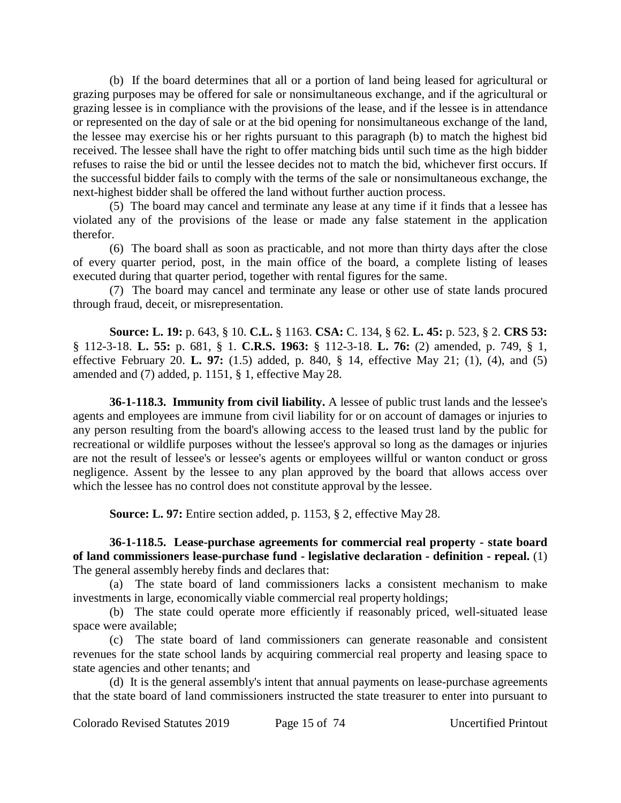(b) If the board determines that all or a portion of land being leased for agricultural or grazing purposes may be offered for sale or nonsimultaneous exchange, and if the agricultural or grazing lessee is in compliance with the provisions of the lease, and if the lessee is in attendance or represented on the day of sale or at the bid opening for nonsimultaneous exchange of the land, the lessee may exercise his or her rights pursuant to this paragraph (b) to match the highest bid received. The lessee shall have the right to offer matching bids until such time as the high bidder refuses to raise the bid or until the lessee decides not to match the bid, whichever first occurs. If the successful bidder fails to comply with the terms of the sale or nonsimultaneous exchange, the next-highest bidder shall be offered the land without further auction process.

(5) The board may cancel and terminate any lease at any time if it finds that a lessee has violated any of the provisions of the lease or made any false statement in the application therefor.

(6) The board shall as soon as practicable, and not more than thirty days after the close of every quarter period, post, in the main office of the board, a complete listing of leases executed during that quarter period, together with rental figures for the same.

(7) The board may cancel and terminate any lease or other use of state lands procured through fraud, deceit, or misrepresentation.

**Source: L. 19:** p. 643, § 10. **C.L.** § 1163. **CSA:** C. 134, § 62. **L. 45:** p. 523, § 2. **CRS 53:** § 112-3-18. **L. 55:** p. 681, § 1. **C.R.S. 1963:** § 112-3-18. **L. 76:** (2) amended, p. 749, § 1, effective February 20. **L. 97:** (1.5) added, p. 840, § 14, effective May 21; (1), (4), and (5) amended and (7) added, p. 1151, § 1, effective May 28.

**36-1-118.3. Immunity from civil liability.** A lessee of public trust lands and the lessee's agents and employees are immune from civil liability for or on account of damages or injuries to any person resulting from the board's allowing access to the leased trust land by the public for recreational or wildlife purposes without the lessee's approval so long as the damages or injuries are not the result of lessee's or lessee's agents or employees willful or wanton conduct or gross negligence. Assent by the lessee to any plan approved by the board that allows access over which the lessee has no control does not constitute approval by the lessee.

**Source: L. 97:** Entire section added, p. 1153, § 2, effective May 28.

**36-1-118.5. Lease-purchase agreements for commercial real property - state board of land commissioners lease-purchase fund - legislative declaration - definition - repeal.** (1) The general assembly hereby finds and declares that:

(a) The state board of land commissioners lacks a consistent mechanism to make investments in large, economically viable commercial real property holdings;

(b) The state could operate more efficiently if reasonably priced, well-situated lease space were available;

(c) The state board of land commissioners can generate reasonable and consistent revenues for the state school lands by acquiring commercial real property and leasing space to state agencies and other tenants; and

(d) It is the general assembly's intent that annual payments on lease-purchase agreements that the state board of land commissioners instructed the state treasurer to enter into pursuant to

Colorado Revised Statutes 2019 Page 15 of 74 Uncertified Printout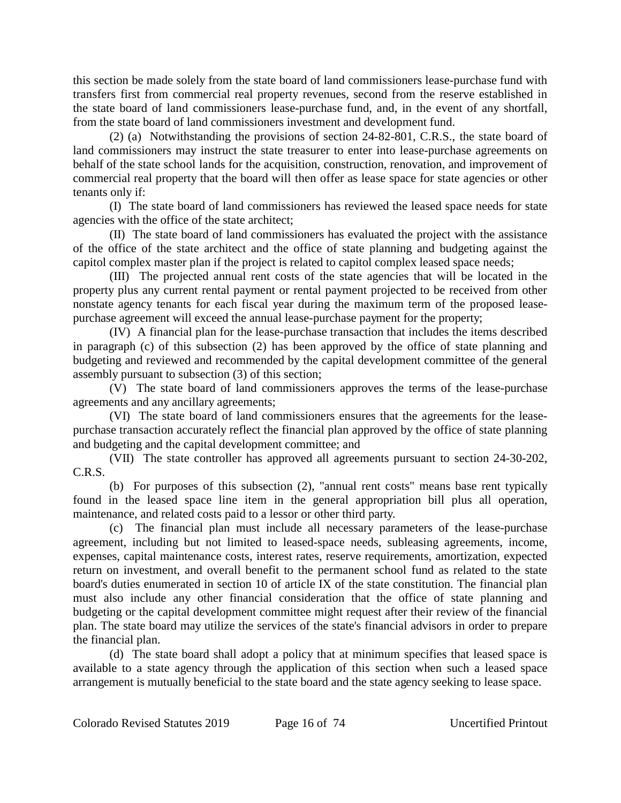this section be made solely from the state board of land commissioners lease-purchase fund with transfers first from commercial real property revenues, second from the reserve established in the state board of land commissioners lease-purchase fund, and, in the event of any shortfall, from the state board of land commissioners investment and development fund.

(2) (a) Notwithstanding the provisions of section 24-82-801, C.R.S., the state board of land commissioners may instruct the state treasurer to enter into lease-purchase agreements on behalf of the state school lands for the acquisition, construction, renovation, and improvement of commercial real property that the board will then offer as lease space for state agencies or other tenants only if:

(I) The state board of land commissioners has reviewed the leased space needs for state agencies with the office of the state architect;

(II) The state board of land commissioners has evaluated the project with the assistance of the office of the state architect and the office of state planning and budgeting against the capitol complex master plan if the project is related to capitol complex leased space needs;

(III) The projected annual rent costs of the state agencies that will be located in the property plus any current rental payment or rental payment projected to be received from other nonstate agency tenants for each fiscal year during the maximum term of the proposed leasepurchase agreement will exceed the annual lease-purchase payment for the property;

(IV) A financial plan for the lease-purchase transaction that includes the items described in paragraph (c) of this subsection (2) has been approved by the office of state planning and budgeting and reviewed and recommended by the capital development committee of the general assembly pursuant to subsection (3) of this section;

(V) The state board of land commissioners approves the terms of the lease-purchase agreements and any ancillary agreements;

(VI) The state board of land commissioners ensures that the agreements for the leasepurchase transaction accurately reflect the financial plan approved by the office of state planning and budgeting and the capital development committee; and

(VII) The state controller has approved all agreements pursuant to section 24-30-202, C.R.S.

(b) For purposes of this subsection (2), "annual rent costs" means base rent typically found in the leased space line item in the general appropriation bill plus all operation, maintenance, and related costs paid to a lessor or other third party.

(c) The financial plan must include all necessary parameters of the lease-purchase agreement, including but not limited to leased-space needs, subleasing agreements, income, expenses, capital maintenance costs, interest rates, reserve requirements, amortization, expected return on investment, and overall benefit to the permanent school fund as related to the state board's duties enumerated in section 10 of article IX of the state constitution. The financial plan must also include any other financial consideration that the office of state planning and budgeting or the capital development committee might request after their review of the financial plan. The state board may utilize the services of the state's financial advisors in order to prepare the financial plan.

(d) The state board shall adopt a policy that at minimum specifies that leased space is available to a state agency through the application of this section when such a leased space arrangement is mutually beneficial to the state board and the state agency seeking to lease space.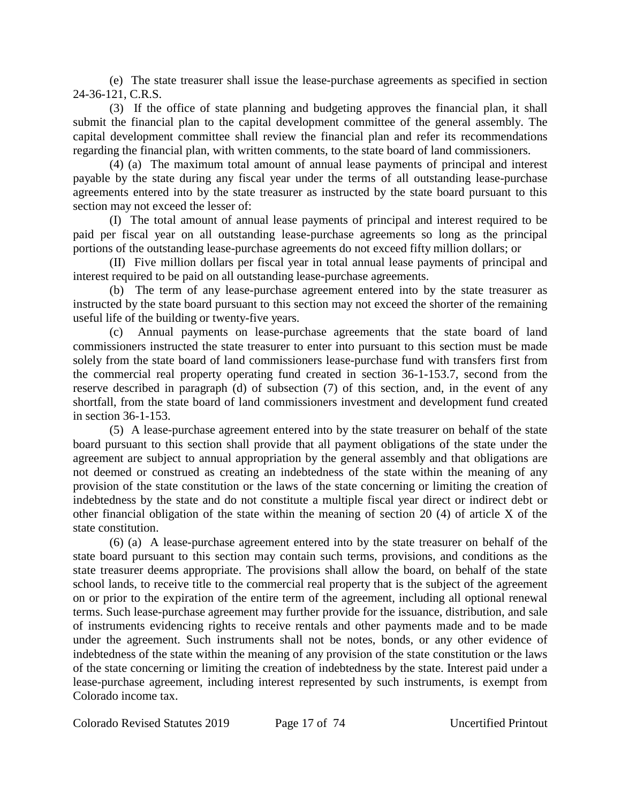(e) The state treasurer shall issue the lease-purchase agreements as specified in section 24-36-121, C.R.S.

(3) If the office of state planning and budgeting approves the financial plan, it shall submit the financial plan to the capital development committee of the general assembly. The capital development committee shall review the financial plan and refer its recommendations regarding the financial plan, with written comments, to the state board of land commissioners.

(4) (a) The maximum total amount of annual lease payments of principal and interest payable by the state during any fiscal year under the terms of all outstanding lease-purchase agreements entered into by the state treasurer as instructed by the state board pursuant to this section may not exceed the lesser of:

(I) The total amount of annual lease payments of principal and interest required to be paid per fiscal year on all outstanding lease-purchase agreements so long as the principal portions of the outstanding lease-purchase agreements do not exceed fifty million dollars; or

(II) Five million dollars per fiscal year in total annual lease payments of principal and interest required to be paid on all outstanding lease-purchase agreements.

(b) The term of any lease-purchase agreement entered into by the state treasurer as instructed by the state board pursuant to this section may not exceed the shorter of the remaining useful life of the building or twenty-five years.

(c) Annual payments on lease-purchase agreements that the state board of land commissioners instructed the state treasurer to enter into pursuant to this section must be made solely from the state board of land commissioners lease-purchase fund with transfers first from the commercial real property operating fund created in section 36-1-153.7, second from the reserve described in paragraph (d) of subsection (7) of this section, and, in the event of any shortfall, from the state board of land commissioners investment and development fund created in section 36-1-153.

(5) A lease-purchase agreement entered into by the state treasurer on behalf of the state board pursuant to this section shall provide that all payment obligations of the state under the agreement are subject to annual appropriation by the general assembly and that obligations are not deemed or construed as creating an indebtedness of the state within the meaning of any provision of the state constitution or the laws of the state concerning or limiting the creation of indebtedness by the state and do not constitute a multiple fiscal year direct or indirect debt or other financial obligation of the state within the meaning of section 20 (4) of article X of the state constitution.

(6) (a) A lease-purchase agreement entered into by the state treasurer on behalf of the state board pursuant to this section may contain such terms, provisions, and conditions as the state treasurer deems appropriate. The provisions shall allow the board, on behalf of the state school lands, to receive title to the commercial real property that is the subject of the agreement on or prior to the expiration of the entire term of the agreement, including all optional renewal terms. Such lease-purchase agreement may further provide for the issuance, distribution, and sale of instruments evidencing rights to receive rentals and other payments made and to be made under the agreement. Such instruments shall not be notes, bonds, or any other evidence of indebtedness of the state within the meaning of any provision of the state constitution or the laws of the state concerning or limiting the creation of indebtedness by the state. Interest paid under a lease-purchase agreement, including interest represented by such instruments, is exempt from Colorado income tax.

Colorado Revised Statutes 2019 Page 17 of 74 Uncertified Printout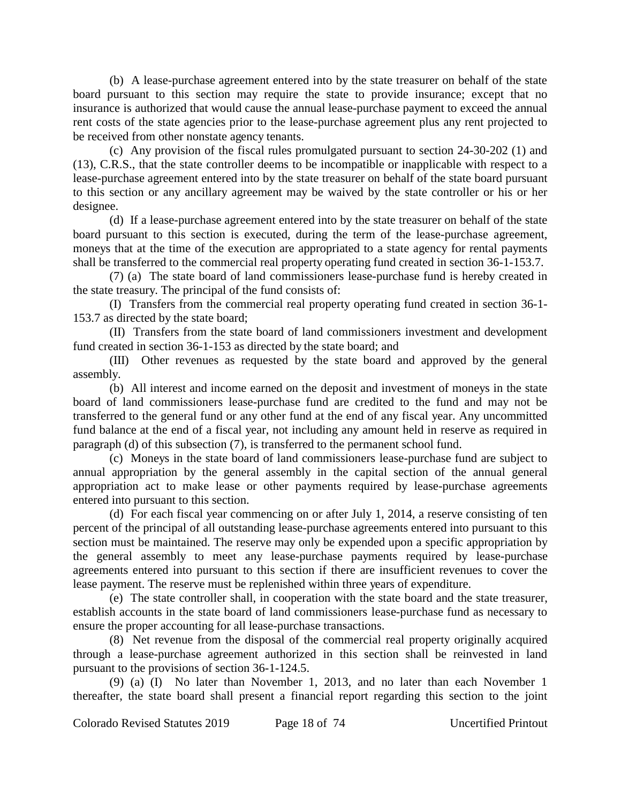(b) A lease-purchase agreement entered into by the state treasurer on behalf of the state board pursuant to this section may require the state to provide insurance; except that no insurance is authorized that would cause the annual lease-purchase payment to exceed the annual rent costs of the state agencies prior to the lease-purchase agreement plus any rent projected to be received from other nonstate agency tenants.

(c) Any provision of the fiscal rules promulgated pursuant to section 24-30-202 (1) and (13), C.R.S., that the state controller deems to be incompatible or inapplicable with respect to a lease-purchase agreement entered into by the state treasurer on behalf of the state board pursuant to this section or any ancillary agreement may be waived by the state controller or his or her designee.

(d) If a lease-purchase agreement entered into by the state treasurer on behalf of the state board pursuant to this section is executed, during the term of the lease-purchase agreement, moneys that at the time of the execution are appropriated to a state agency for rental payments shall be transferred to the commercial real property operating fund created in section 36-1-153.7.

(7) (a) The state board of land commissioners lease-purchase fund is hereby created in the state treasury. The principal of the fund consists of:

(I) Transfers from the commercial real property operating fund created in section 36-1- 153.7 as directed by the state board;

(II) Transfers from the state board of land commissioners investment and development fund created in section 36-1-153 as directed by the state board; and

(III) Other revenues as requested by the state board and approved by the general assembly.

(b) All interest and income earned on the deposit and investment of moneys in the state board of land commissioners lease-purchase fund are credited to the fund and may not be transferred to the general fund or any other fund at the end of any fiscal year. Any uncommitted fund balance at the end of a fiscal year, not including any amount held in reserve as required in paragraph (d) of this subsection (7), is transferred to the permanent school fund.

(c) Moneys in the state board of land commissioners lease-purchase fund are subject to annual appropriation by the general assembly in the capital section of the annual general appropriation act to make lease or other payments required by lease-purchase agreements entered into pursuant to this section.

(d) For each fiscal year commencing on or after July 1, 2014, a reserve consisting of ten percent of the principal of all outstanding lease-purchase agreements entered into pursuant to this section must be maintained. The reserve may only be expended upon a specific appropriation by the general assembly to meet any lease-purchase payments required by lease-purchase agreements entered into pursuant to this section if there are insufficient revenues to cover the lease payment. The reserve must be replenished within three years of expenditure.

(e) The state controller shall, in cooperation with the state board and the state treasurer, establish accounts in the state board of land commissioners lease-purchase fund as necessary to ensure the proper accounting for all lease-purchase transactions.

(8) Net revenue from the disposal of the commercial real property originally acquired through a lease-purchase agreement authorized in this section shall be reinvested in land pursuant to the provisions of section 36-1-124.5.

(9) (a) (I) No later than November 1, 2013, and no later than each November 1 thereafter, the state board shall present a financial report regarding this section to the joint

Colorado Revised Statutes 2019 Page 18 of 74 Uncertified Printout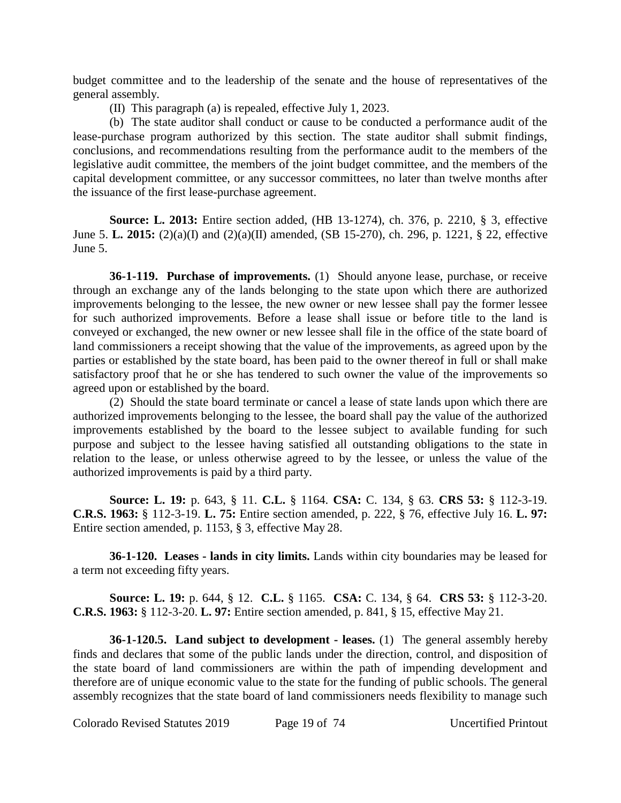budget committee and to the leadership of the senate and the house of representatives of the general assembly.

(II) This paragraph (a) is repealed, effective July 1, 2023.

(b) The state auditor shall conduct or cause to be conducted a performance audit of the lease-purchase program authorized by this section. The state auditor shall submit findings, conclusions, and recommendations resulting from the performance audit to the members of the legislative audit committee, the members of the joint budget committee, and the members of the capital development committee, or any successor committees, no later than twelve months after the issuance of the first lease-purchase agreement.

**Source: L. 2013:** Entire section added, (HB 13-1274), ch. 376, p. 2210, § 3, effective June 5. **L. 2015:** (2)(a)(I) and (2)(a)(II) amended, (SB 15-270), ch. 296, p. 1221, § 22, effective June 5.

**36-1-119. Purchase of improvements.** (1) Should anyone lease, purchase, or receive through an exchange any of the lands belonging to the state upon which there are authorized improvements belonging to the lessee, the new owner or new lessee shall pay the former lessee for such authorized improvements. Before a lease shall issue or before title to the land is conveyed or exchanged, the new owner or new lessee shall file in the office of the state board of land commissioners a receipt showing that the value of the improvements, as agreed upon by the parties or established by the state board, has been paid to the owner thereof in full or shall make satisfactory proof that he or she has tendered to such owner the value of the improvements so agreed upon or established by the board.

(2) Should the state board terminate or cancel a lease of state lands upon which there are authorized improvements belonging to the lessee, the board shall pay the value of the authorized improvements established by the board to the lessee subject to available funding for such purpose and subject to the lessee having satisfied all outstanding obligations to the state in relation to the lease, or unless otherwise agreed to by the lessee, or unless the value of the authorized improvements is paid by a third party.

**Source: L. 19:** p. 643, § 11. **C.L.** § 1164. **CSA:** C. 134, § 63. **CRS 53:** § 112-3-19. **C.R.S. 1963:** § 112-3-19. **L. 75:** Entire section amended, p. 222, § 76, effective July 16. **L. 97:** Entire section amended, p. 1153, § 3, effective May 28.

**36-1-120. Leases - lands in city limits.** Lands within city boundaries may be leased for a term not exceeding fifty years.

**Source: L. 19:** p. 644, § 12. **C.L.** § 1165. **CSA:** C. 134, § 64. **CRS 53:** § 112-3-20. **C.R.S. 1963:** § 112-3-20. **L. 97:** Entire section amended, p. 841, § 15, effective May 21.

**36-1-120.5. Land subject to development - leases.** (1) The general assembly hereby finds and declares that some of the public lands under the direction, control, and disposition of the state board of land commissioners are within the path of impending development and therefore are of unique economic value to the state for the funding of public schools. The general assembly recognizes that the state board of land commissioners needs flexibility to manage such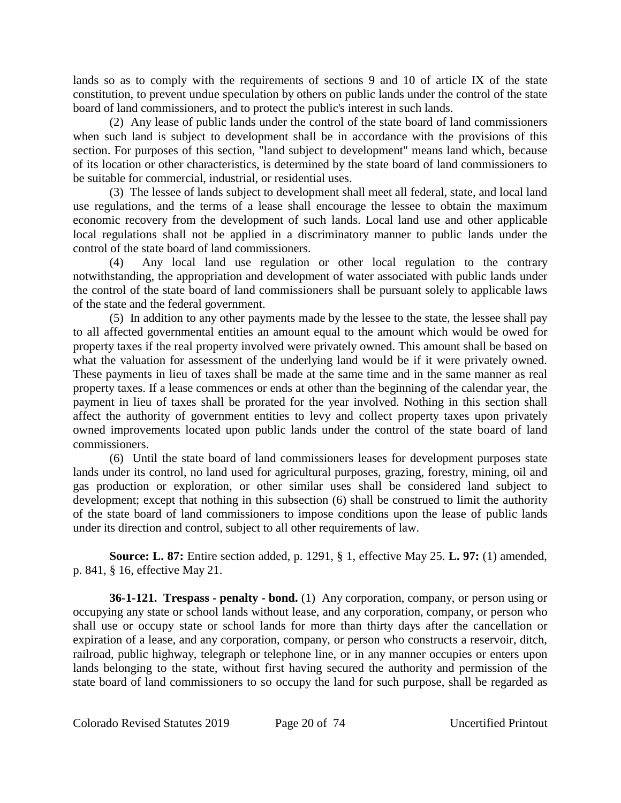lands so as to comply with the requirements of sections 9 and 10 of article IX of the state constitution, to prevent undue speculation by others on public lands under the control of the state board of land commissioners, and to protect the public's interest in such lands.

(2) Any lease of public lands under the control of the state board of land commissioners when such land is subject to development shall be in accordance with the provisions of this section. For purposes of this section, "land subject to development" means land which, because of its location or other characteristics, is determined by the state board of land commissioners to be suitable for commercial, industrial, or residential uses.

(3) The lessee of lands subject to development shall meet all federal, state, and local land use regulations, and the terms of a lease shall encourage the lessee to obtain the maximum economic recovery from the development of such lands. Local land use and other applicable local regulations shall not be applied in a discriminatory manner to public lands under the control of the state board of land commissioners.

(4) Any local land use regulation or other local regulation to the contrary notwithstanding, the appropriation and development of water associated with public lands under the control of the state board of land commissioners shall be pursuant solely to applicable laws of the state and the federal government.

(5) In addition to any other payments made by the lessee to the state, the lessee shall pay to all affected governmental entities an amount equal to the amount which would be owed for property taxes if the real property involved were privately owned. This amount shall be based on what the valuation for assessment of the underlying land would be if it were privately owned. These payments in lieu of taxes shall be made at the same time and in the same manner as real property taxes. If a lease commences or ends at other than the beginning of the calendar year, the payment in lieu of taxes shall be prorated for the year involved. Nothing in this section shall affect the authority of government entities to levy and collect property taxes upon privately owned improvements located upon public lands under the control of the state board of land commissioners.

(6) Until the state board of land commissioners leases for development purposes state lands under its control, no land used for agricultural purposes, grazing, forestry, mining, oil and gas production or exploration, or other similar uses shall be considered land subject to development; except that nothing in this subsection (6) shall be construed to limit the authority of the state board of land commissioners to impose conditions upon the lease of public lands under its direction and control, subject to all other requirements of law.

**Source: L. 87:** Entire section added, p. 1291, § 1, effective May 25. **L. 97:** (1) amended, p. 841, § 16, effective May 21.

**36-1-121. Trespass - penalty - bond.** (1) Any corporation, company, or person using or occupying any state or school lands without lease, and any corporation, company, or person who shall use or occupy state or school lands for more than thirty days after the cancellation or expiration of a lease, and any corporation, company, or person who constructs a reservoir, ditch, railroad, public highway, telegraph or telephone line, or in any manner occupies or enters upon lands belonging to the state, without first having secured the authority and permission of the state board of land commissioners to so occupy the land for such purpose, shall be regarded as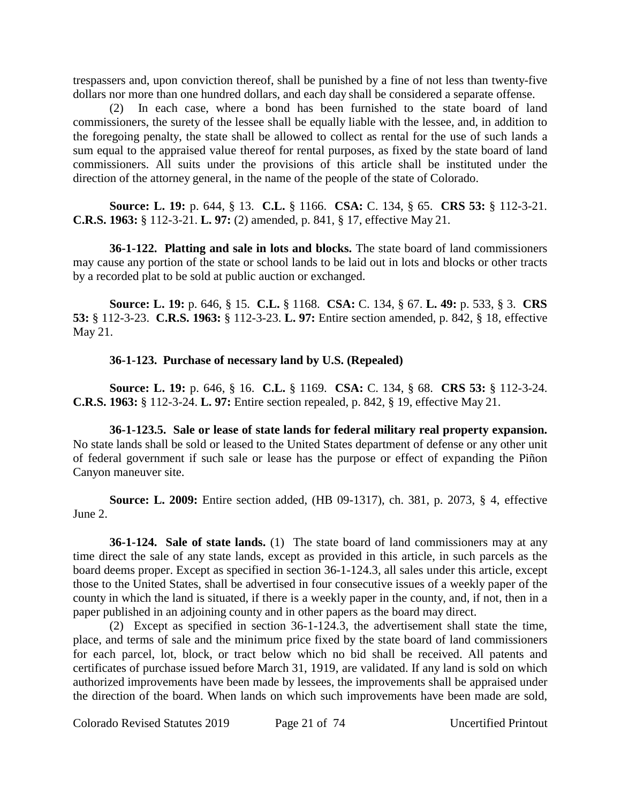trespassers and, upon conviction thereof, shall be punished by a fine of not less than twenty-five dollars nor more than one hundred dollars, and each day shall be considered a separate offense.

(2) In each case, where a bond has been furnished to the state board of land commissioners, the surety of the lessee shall be equally liable with the lessee, and, in addition to the foregoing penalty, the state shall be allowed to collect as rental for the use of such lands a sum equal to the appraised value thereof for rental purposes, as fixed by the state board of land commissioners. All suits under the provisions of this article shall be instituted under the direction of the attorney general, in the name of the people of the state of Colorado.

**Source: L. 19:** p. 644, § 13. **C.L.** § 1166. **CSA:** C. 134, § 65. **CRS 53:** § 112-3-21. **C.R.S. 1963:** § 112-3-21. **L. 97:** (2) amended, p. 841, § 17, effective May 21.

**36-1-122. Platting and sale in lots and blocks.** The state board of land commissioners may cause any portion of the state or school lands to be laid out in lots and blocks or other tracts by a recorded plat to be sold at public auction or exchanged.

**Source: L. 19:** p. 646, § 15. **C.L.** § 1168. **CSA:** C. 134, § 67. **L. 49:** p. 533, § 3. **CRS 53:** § 112-3-23. **C.R.S. 1963:** § 112-3-23. **L. 97:** Entire section amended, p. 842, § 18, effective May 21.

### **36-1-123. Purchase of necessary land by U.S. (Repealed)**

**Source: L. 19:** p. 646, § 16. **C.L.** § 1169. **CSA:** C. 134, § 68. **CRS 53:** § 112-3-24. **C.R.S. 1963:** § 112-3-24. **L. 97:** Entire section repealed, p. 842, § 19, effective May 21.

**36-1-123.5. Sale or lease of state lands for federal military real property expansion.** No state lands shall be sold or leased to the United States department of defense or any other unit of federal government if such sale or lease has the purpose or effect of expanding the Piñon Canyon maneuver site.

**Source: L. 2009:** Entire section added, (HB 09-1317), ch. 381, p. 2073, § 4, effective June 2.

**36-1-124. Sale of state lands.** (1) The state board of land commissioners may at any time direct the sale of any state lands, except as provided in this article, in such parcels as the board deems proper. Except as specified in section 36-1-124.3, all sales under this article, except those to the United States, shall be advertised in four consecutive issues of a weekly paper of the county in which the land is situated, if there is a weekly paper in the county, and, if not, then in a paper published in an adjoining county and in other papers as the board may direct.

(2) Except as specified in section 36-1-124.3, the advertisement shall state the time, place, and terms of sale and the minimum price fixed by the state board of land commissioners for each parcel, lot, block, or tract below which no bid shall be received. All patents and certificates of purchase issued before March 31, 1919, are validated. If any land is sold on which authorized improvements have been made by lessees, the improvements shall be appraised under the direction of the board. When lands on which such improvements have been made are sold,

Colorado Revised Statutes 2019 Page 21 of 74 Uncertified Printout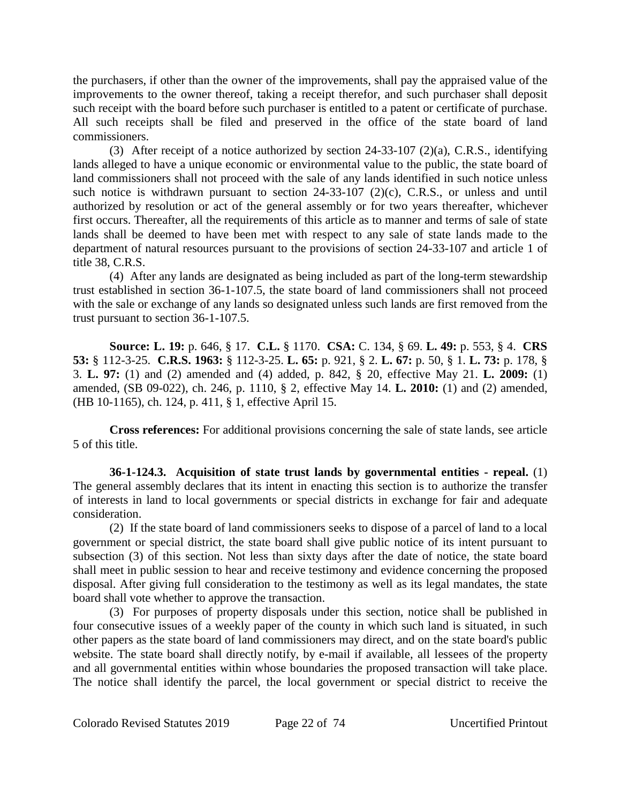the purchasers, if other than the owner of the improvements, shall pay the appraised value of the improvements to the owner thereof, taking a receipt therefor, and such purchaser shall deposit such receipt with the board before such purchaser is entitled to a patent or certificate of purchase. All such receipts shall be filed and preserved in the office of the state board of land commissioners.

(3) After receipt of a notice authorized by section 24-33-107 (2)(a), C.R.S., identifying lands alleged to have a unique economic or environmental value to the public, the state board of land commissioners shall not proceed with the sale of any lands identified in such notice unless such notice is withdrawn pursuant to section 24-33-107 (2)(c), C.R.S., or unless and until authorized by resolution or act of the general assembly or for two years thereafter, whichever first occurs. Thereafter, all the requirements of this article as to manner and terms of sale of state lands shall be deemed to have been met with respect to any sale of state lands made to the department of natural resources pursuant to the provisions of section 24-33-107 and article 1 of title 38, C.R.S.

(4) After any lands are designated as being included as part of the long-term stewardship trust established in section 36-1-107.5, the state board of land commissioners shall not proceed with the sale or exchange of any lands so designated unless such lands are first removed from the trust pursuant to section 36-1-107.5.

**Source: L. 19:** p. 646, § 17. **C.L.** § 1170. **CSA:** C. 134, § 69. **L. 49:** p. 553, § 4. **CRS 53:** § 112-3-25. **C.R.S. 1963:** § 112-3-25. **L. 65:** p. 921, § 2. **L. 67:** p. 50, § 1. **L. 73:** p. 178, § 3. **L. 97:** (1) and (2) amended and (4) added, p. 842, § 20, effective May 21. **L. 2009:** (1) amended, (SB 09-022), ch. 246, p. 1110, § 2, effective May 14. **L. 2010:** (1) and (2) amended, (HB 10-1165), ch. 124, p. 411, § 1, effective April 15.

**Cross references:** For additional provisions concerning the sale of state lands, see article 5 of this title.

**36-1-124.3. Acquisition of state trust lands by governmental entities - repeal.** (1) The general assembly declares that its intent in enacting this section is to authorize the transfer of interests in land to local governments or special districts in exchange for fair and adequate consideration.

(2) If the state board of land commissioners seeks to dispose of a parcel of land to a local government or special district, the state board shall give public notice of its intent pursuant to subsection (3) of this section. Not less than sixty days after the date of notice, the state board shall meet in public session to hear and receive testimony and evidence concerning the proposed disposal. After giving full consideration to the testimony as well as its legal mandates, the state board shall vote whether to approve the transaction.

(3) For purposes of property disposals under this section, notice shall be published in four consecutive issues of a weekly paper of the county in which such land is situated, in such other papers as the state board of land commissioners may direct, and on the state board's public website. The state board shall directly notify, by e-mail if available, all lessees of the property and all governmental entities within whose boundaries the proposed transaction will take place. The notice shall identify the parcel, the local government or special district to receive the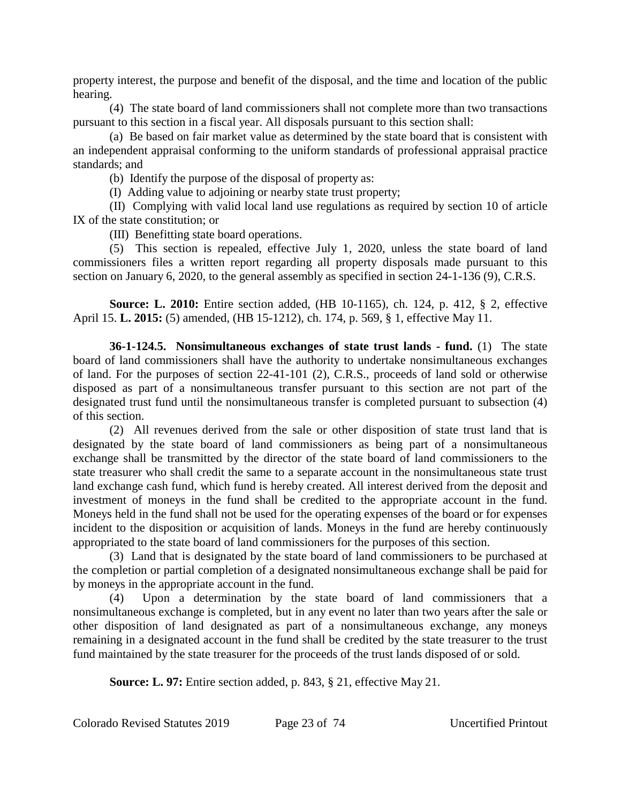property interest, the purpose and benefit of the disposal, and the time and location of the public hearing.

(4) The state board of land commissioners shall not complete more than two transactions pursuant to this section in a fiscal year. All disposals pursuant to this section shall:

(a) Be based on fair market value as determined by the state board that is consistent with an independent appraisal conforming to the uniform standards of professional appraisal practice standards; and

(b) Identify the purpose of the disposal of property as:

(I) Adding value to adjoining or nearby state trust property;

(II) Complying with valid local land use regulations as required by section 10 of article IX of the state constitution; or

(III) Benefitting state board operations.

(5) This section is repealed, effective July 1, 2020, unless the state board of land commissioners files a written report regarding all property disposals made pursuant to this section on January 6, 2020, to the general assembly as specified in section 24-1-136 (9), C.R.S.

**Source: L. 2010:** Entire section added, (HB 10-1165), ch. 124, p. 412, § 2, effective April 15. **L. 2015:** (5) amended, (HB 15-1212), ch. 174, p. 569, § 1, effective May 11.

**36-1-124.5. Nonsimultaneous exchanges of state trust lands - fund.** (1) The state board of land commissioners shall have the authority to undertake nonsimultaneous exchanges of land. For the purposes of section 22-41-101 (2), C.R.S., proceeds of land sold or otherwise disposed as part of a nonsimultaneous transfer pursuant to this section are not part of the designated trust fund until the nonsimultaneous transfer is completed pursuant to subsection (4) of this section.

(2) All revenues derived from the sale or other disposition of state trust land that is designated by the state board of land commissioners as being part of a nonsimultaneous exchange shall be transmitted by the director of the state board of land commissioners to the state treasurer who shall credit the same to a separate account in the nonsimultaneous state trust land exchange cash fund, which fund is hereby created. All interest derived from the deposit and investment of moneys in the fund shall be credited to the appropriate account in the fund. Moneys held in the fund shall not be used for the operating expenses of the board or for expenses incident to the disposition or acquisition of lands. Moneys in the fund are hereby continuously appropriated to the state board of land commissioners for the purposes of this section.

(3) Land that is designated by the state board of land commissioners to be purchased at the completion or partial completion of a designated nonsimultaneous exchange shall be paid for by moneys in the appropriate account in the fund.

(4) Upon a determination by the state board of land commissioners that a nonsimultaneous exchange is completed, but in any event no later than two years after the sale or other disposition of land designated as part of a nonsimultaneous exchange, any moneys remaining in a designated account in the fund shall be credited by the state treasurer to the trust fund maintained by the state treasurer for the proceeds of the trust lands disposed of or sold.

**Source: L. 97:** Entire section added, p. 843, § 21, effective May 21.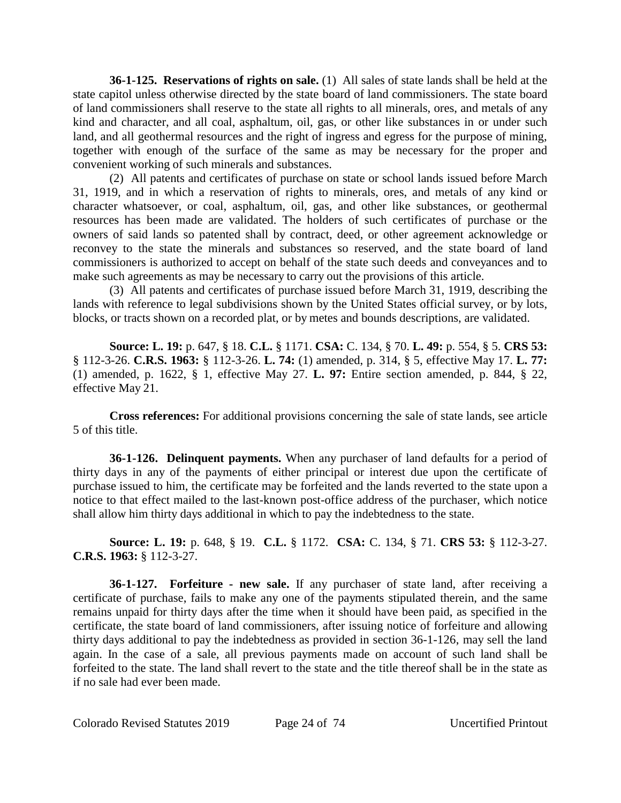**36-1-125. Reservations of rights on sale.** (1) All sales of state lands shall be held at the state capitol unless otherwise directed by the state board of land commissioners. The state board of land commissioners shall reserve to the state all rights to all minerals, ores, and metals of any kind and character, and all coal, asphaltum, oil, gas, or other like substances in or under such land, and all geothermal resources and the right of ingress and egress for the purpose of mining, together with enough of the surface of the same as may be necessary for the proper and convenient working of such minerals and substances.

(2) All patents and certificates of purchase on state or school lands issued before March 31, 1919, and in which a reservation of rights to minerals, ores, and metals of any kind or character whatsoever, or coal, asphaltum, oil, gas, and other like substances, or geothermal resources has been made are validated. The holders of such certificates of purchase or the owners of said lands so patented shall by contract, deed, or other agreement acknowledge or reconvey to the state the minerals and substances so reserved, and the state board of land commissioners is authorized to accept on behalf of the state such deeds and conveyances and to make such agreements as may be necessary to carry out the provisions of this article.

(3) All patents and certificates of purchase issued before March 31, 1919, describing the lands with reference to legal subdivisions shown by the United States official survey, or by lots, blocks, or tracts shown on a recorded plat, or by metes and bounds descriptions, are validated.

**Source: L. 19:** p. 647, § 18. **C.L.** § 1171. **CSA:** C. 134, § 70. **L. 49:** p. 554, § 5. **CRS 53:** § 112-3-26. **C.R.S. 1963:** § 112-3-26. **L. 74:** (1) amended, p. 314, § 5, effective May 17. **L. 77:** (1) amended, p. 1622, § 1, effective May 27. **L. 97:** Entire section amended, p. 844, § 22, effective May 21.

**Cross references:** For additional provisions concerning the sale of state lands, see article 5 of this title.

**36-1-126. Delinquent payments.** When any purchaser of land defaults for a period of thirty days in any of the payments of either principal or interest due upon the certificate of purchase issued to him, the certificate may be forfeited and the lands reverted to the state upon a notice to that effect mailed to the last-known post-office address of the purchaser, which notice shall allow him thirty days additional in which to pay the indebtedness to the state.

**Source: L. 19:** p. 648, § 19. **C.L.** § 1172. **CSA:** C. 134, § 71. **CRS 53:** § 112-3-27. **C.R.S. 1963:** § 112-3-27.

**36-1-127. Forfeiture - new sale.** If any purchaser of state land, after receiving a certificate of purchase, fails to make any one of the payments stipulated therein, and the same remains unpaid for thirty days after the time when it should have been paid, as specified in the certificate, the state board of land commissioners, after issuing notice of forfeiture and allowing thirty days additional to pay the indebtedness as provided in section 36-1-126, may sell the land again. In the case of a sale, all previous payments made on account of such land shall be forfeited to the state. The land shall revert to the state and the title thereof shall be in the state as if no sale had ever been made.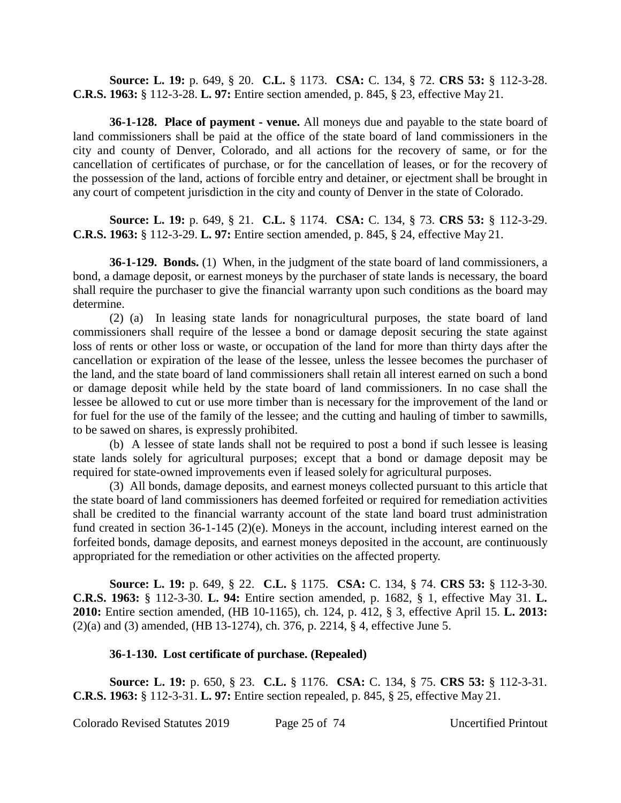**Source: L. 19:** p. 649, § 20. **C.L.** § 1173. **CSA:** C. 134, § 72. **CRS 53:** § 112-3-28. **C.R.S. 1963:** § 112-3-28. **L. 97:** Entire section amended, p. 845, § 23, effective May 21.

**36-1-128. Place of payment - venue.** All moneys due and payable to the state board of land commissioners shall be paid at the office of the state board of land commissioners in the city and county of Denver, Colorado, and all actions for the recovery of same, or for the cancellation of certificates of purchase, or for the cancellation of leases, or for the recovery of the possession of the land, actions of forcible entry and detainer, or ejectment shall be brought in any court of competent jurisdiction in the city and county of Denver in the state of Colorado.

**Source: L. 19:** p. 649, § 21. **C.L.** § 1174. **CSA:** C. 134, § 73. **CRS 53:** § 112-3-29. **C.R.S. 1963:** § 112-3-29. **L. 97:** Entire section amended, p. 845, § 24, effective May 21.

**36-1-129. Bonds.** (1) When, in the judgment of the state board of land commissioners, a bond, a damage deposit, or earnest moneys by the purchaser of state lands is necessary, the board shall require the purchaser to give the financial warranty upon such conditions as the board may determine.

(2) (a) In leasing state lands for nonagricultural purposes, the state board of land commissioners shall require of the lessee a bond or damage deposit securing the state against loss of rents or other loss or waste, or occupation of the land for more than thirty days after the cancellation or expiration of the lease of the lessee, unless the lessee becomes the purchaser of the land, and the state board of land commissioners shall retain all interest earned on such a bond or damage deposit while held by the state board of land commissioners. In no case shall the lessee be allowed to cut or use more timber than is necessary for the improvement of the land or for fuel for the use of the family of the lessee; and the cutting and hauling of timber to sawmills, to be sawed on shares, is expressly prohibited.

(b) A lessee of state lands shall not be required to post a bond if such lessee is leasing state lands solely for agricultural purposes; except that a bond or damage deposit may be required for state-owned improvements even if leased solely for agricultural purposes.

(3) All bonds, damage deposits, and earnest moneys collected pursuant to this article that the state board of land commissioners has deemed forfeited or required for remediation activities shall be credited to the financial warranty account of the state land board trust administration fund created in section 36-1-145 (2)(e). Moneys in the account, including interest earned on the forfeited bonds, damage deposits, and earnest moneys deposited in the account, are continuously appropriated for the remediation or other activities on the affected property.

**Source: L. 19:** p. 649, § 22. **C.L.** § 1175. **CSA:** C. 134, § 74. **CRS 53:** § 112-3-30. **C.R.S. 1963:** § 112-3-30. **L. 94:** Entire section amended, p. 1682, § 1, effective May 31. **L. 2010:** Entire section amended, (HB 10-1165), ch. 124, p. 412, § 3, effective April 15. **L. 2013:** (2)(a) and (3) amended, (HB 13-1274), ch. 376, p. 2214, § 4, effective June 5.

#### **36-1-130. Lost certificate of purchase. (Repealed)**

**Source: L. 19:** p. 650, § 23. **C.L.** § 1176. **CSA:** C. 134, § 75. **CRS 53:** § 112-3-31. **C.R.S. 1963:** § 112-3-31. **L. 97:** Entire section repealed, p. 845, § 25, effective May 21.

Colorado Revised Statutes 2019 Page 25 of 74 Uncertified Printout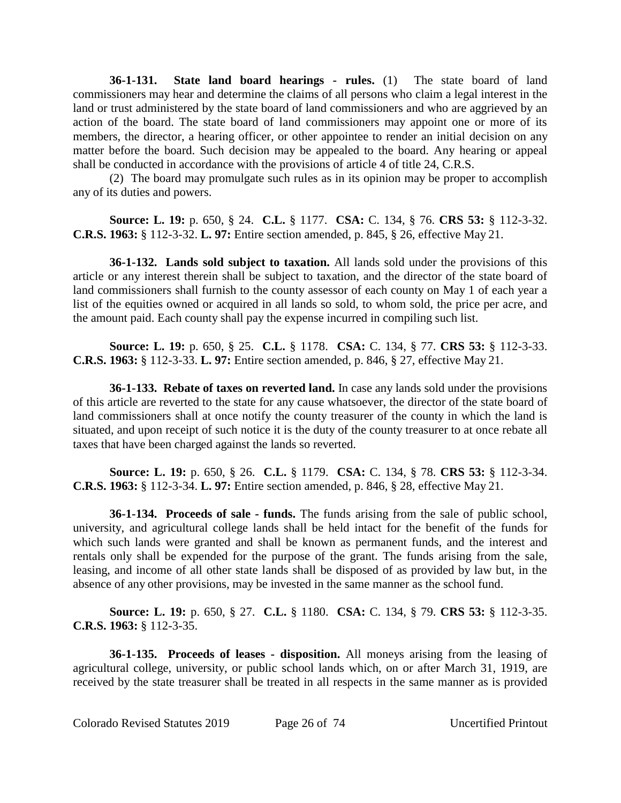**36-1-131. State land board hearings - rules.** (1) The state board of land commissioners may hear and determine the claims of all persons who claim a legal interest in the land or trust administered by the state board of land commissioners and who are aggrieved by an action of the board. The state board of land commissioners may appoint one or more of its members, the director, a hearing officer, or other appointee to render an initial decision on any matter before the board. Such decision may be appealed to the board. Any hearing or appeal shall be conducted in accordance with the provisions of article 4 of title 24, C.R.S.

(2) The board may promulgate such rules as in its opinion may be proper to accomplish any of its duties and powers.

**Source: L. 19:** p. 650, § 24. **C.L.** § 1177. **CSA:** C. 134, § 76. **CRS 53:** § 112-3-32. **C.R.S. 1963:** § 112-3-32. **L. 97:** Entire section amended, p. 845, § 26, effective May 21.

**36-1-132. Lands sold subject to taxation.** All lands sold under the provisions of this article or any interest therein shall be subject to taxation, and the director of the state board of land commissioners shall furnish to the county assessor of each county on May 1 of each year a list of the equities owned or acquired in all lands so sold, to whom sold, the price per acre, and the amount paid. Each county shall pay the expense incurred in compiling such list.

**Source: L. 19:** p. 650, § 25. **C.L.** § 1178. **CSA:** C. 134, § 77. **CRS 53:** § 112-3-33. **C.R.S. 1963:** § 112-3-33. **L. 97:** Entire section amended, p. 846, § 27, effective May 21.

**36-1-133. Rebate of taxes on reverted land.** In case any lands sold under the provisions of this article are reverted to the state for any cause whatsoever, the director of the state board of land commissioners shall at once notify the county treasurer of the county in which the land is situated, and upon receipt of such notice it is the duty of the county treasurer to at once rebate all taxes that have been charged against the lands so reverted.

**Source: L. 19:** p. 650, § 26. **C.L.** § 1179. **CSA:** C. 134, § 78. **CRS 53:** § 112-3-34. **C.R.S. 1963:** § 112-3-34. **L. 97:** Entire section amended, p. 846, § 28, effective May 21.

**36-1-134. Proceeds of sale - funds.** The funds arising from the sale of public school, university, and agricultural college lands shall be held intact for the benefit of the funds for which such lands were granted and shall be known as permanent funds, and the interest and rentals only shall be expended for the purpose of the grant. The funds arising from the sale, leasing, and income of all other state lands shall be disposed of as provided by law but, in the absence of any other provisions, may be invested in the same manner as the school fund.

**Source: L. 19:** p. 650, § 27. **C.L.** § 1180. **CSA:** C. 134, § 79. **CRS 53:** § 112-3-35. **C.R.S. 1963:** § 112-3-35.

**36-1-135. Proceeds of leases - disposition.** All moneys arising from the leasing of agricultural college, university, or public school lands which, on or after March 31, 1919, are received by the state treasurer shall be treated in all respects in the same manner as is provided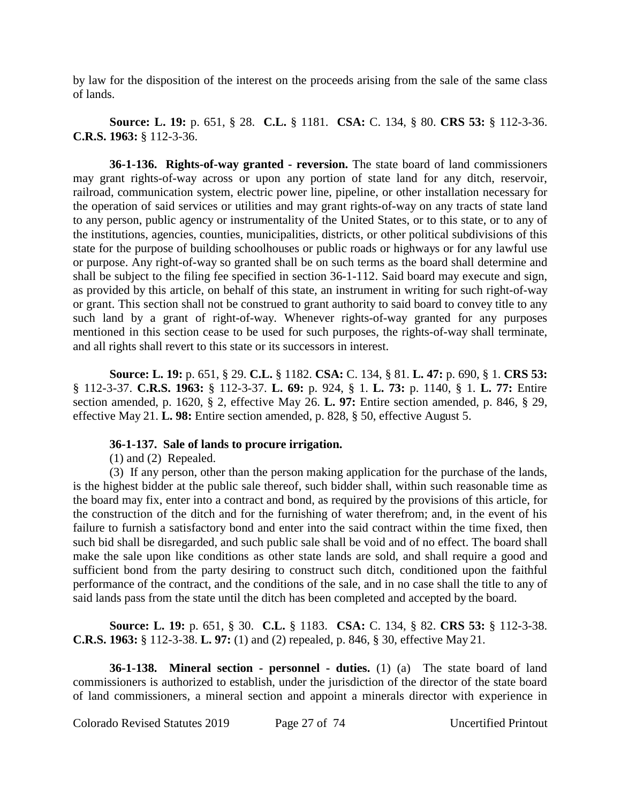by law for the disposition of the interest on the proceeds arising from the sale of the same class of lands.

**Source: L. 19:** p. 651, § 28. **C.L.** § 1181. **CSA:** C. 134, § 80. **CRS 53:** § 112-3-36. **C.R.S. 1963:** § 112-3-36.

**36-1-136. Rights-of-way granted - reversion.** The state board of land commissioners may grant rights-of-way across or upon any portion of state land for any ditch, reservoir, railroad, communication system, electric power line, pipeline, or other installation necessary for the operation of said services or utilities and may grant rights-of-way on any tracts of state land to any person, public agency or instrumentality of the United States, or to this state, or to any of the institutions, agencies, counties, municipalities, districts, or other political subdivisions of this state for the purpose of building schoolhouses or public roads or highways or for any lawful use or purpose. Any right-of-way so granted shall be on such terms as the board shall determine and shall be subject to the filing fee specified in section 36-1-112. Said board may execute and sign, as provided by this article, on behalf of this state, an instrument in writing for such right-of-way or grant. This section shall not be construed to grant authority to said board to convey title to any such land by a grant of right-of-way. Whenever rights-of-way granted for any purposes mentioned in this section cease to be used for such purposes, the rights-of-way shall terminate, and all rights shall revert to this state or its successors in interest.

**Source: L. 19:** p. 651, § 29. **C.L.** § 1182. **CSA:** C. 134, § 81. **L. 47:** p. 690, § 1. **CRS 53:** § 112-3-37. **C.R.S. 1963:** § 112-3-37. **L. 69:** p. 924, § 1. **L. 73:** p. 1140, § 1. **L. 77:** Entire section amended, p. 1620, § 2, effective May 26. **L. 97:** Entire section amended, p. 846, § 29, effective May 21. **L. 98:** Entire section amended, p. 828, § 50, effective August 5.

## **36-1-137. Sale of lands to procure irrigation.**

(1) and (2) Repealed.

(3) If any person, other than the person making application for the purchase of the lands, is the highest bidder at the public sale thereof, such bidder shall, within such reasonable time as the board may fix, enter into a contract and bond, as required by the provisions of this article, for the construction of the ditch and for the furnishing of water therefrom; and, in the event of his failure to furnish a satisfactory bond and enter into the said contract within the time fixed, then such bid shall be disregarded, and such public sale shall be void and of no effect. The board shall make the sale upon like conditions as other state lands are sold, and shall require a good and sufficient bond from the party desiring to construct such ditch, conditioned upon the faithful performance of the contract, and the conditions of the sale, and in no case shall the title to any of said lands pass from the state until the ditch has been completed and accepted by the board.

**Source: L. 19:** p. 651, § 30. **C.L.** § 1183. **CSA:** C. 134, § 82. **CRS 53:** § 112-3-38. **C.R.S. 1963:** § 112-3-38. **L. 97:** (1) and (2) repealed, p. 846, § 30, effective May 21.

**36-1-138. Mineral section - personnel - duties.** (1) (a) The state board of land commissioners is authorized to establish, under the jurisdiction of the director of the state board of land commissioners, a mineral section and appoint a minerals director with experience in

Colorado Revised Statutes 2019 Page 27 of 74 Uncertified Printout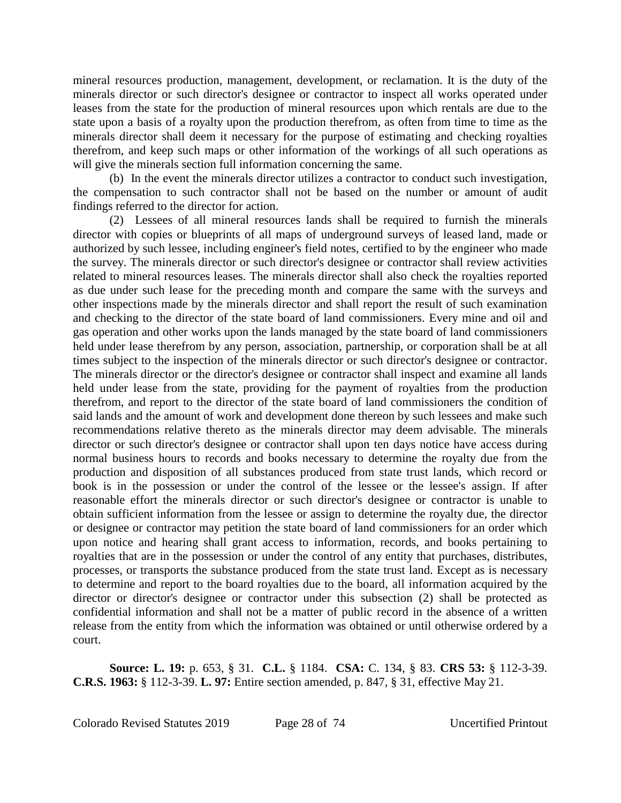mineral resources production, management, development, or reclamation. It is the duty of the minerals director or such director's designee or contractor to inspect all works operated under leases from the state for the production of mineral resources upon which rentals are due to the state upon a basis of a royalty upon the production therefrom, as often from time to time as the minerals director shall deem it necessary for the purpose of estimating and checking royalties therefrom, and keep such maps or other information of the workings of all such operations as will give the minerals section full information concerning the same.

(b) In the event the minerals director utilizes a contractor to conduct such investigation, the compensation to such contractor shall not be based on the number or amount of audit findings referred to the director for action.

(2) Lessees of all mineral resources lands shall be required to furnish the minerals director with copies or blueprints of all maps of underground surveys of leased land, made or authorized by such lessee, including engineer's field notes, certified to by the engineer who made the survey. The minerals director or such director's designee or contractor shall review activities related to mineral resources leases. The minerals director shall also check the royalties reported as due under such lease for the preceding month and compare the same with the surveys and other inspections made by the minerals director and shall report the result of such examination and checking to the director of the state board of land commissioners. Every mine and oil and gas operation and other works upon the lands managed by the state board of land commissioners held under lease therefrom by any person, association, partnership, or corporation shall be at all times subject to the inspection of the minerals director or such director's designee or contractor. The minerals director or the director's designee or contractor shall inspect and examine all lands held under lease from the state, providing for the payment of royalties from the production therefrom, and report to the director of the state board of land commissioners the condition of said lands and the amount of work and development done thereon by such lessees and make such recommendations relative thereto as the minerals director may deem advisable. The minerals director or such director's designee or contractor shall upon ten days notice have access during normal business hours to records and books necessary to determine the royalty due from the production and disposition of all substances produced from state trust lands, which record or book is in the possession or under the control of the lessee or the lessee's assign. If after reasonable effort the minerals director or such director's designee or contractor is unable to obtain sufficient information from the lessee or assign to determine the royalty due, the director or designee or contractor may petition the state board of land commissioners for an order which upon notice and hearing shall grant access to information, records, and books pertaining to royalties that are in the possession or under the control of any entity that purchases, distributes, processes, or transports the substance produced from the state trust land. Except as is necessary to determine and report to the board royalties due to the board, all information acquired by the director or director's designee or contractor under this subsection (2) shall be protected as confidential information and shall not be a matter of public record in the absence of a written release from the entity from which the information was obtained or until otherwise ordered by a court.

**Source: L. 19:** p. 653, § 31. **C.L.** § 1184. **CSA:** C. 134, § 83. **CRS 53:** § 112-3-39. **C.R.S. 1963:** § 112-3-39. **L. 97:** Entire section amended, p. 847, § 31, effective May 21.

Colorado Revised Statutes 2019 Page 28 of 74 Uncertified Printout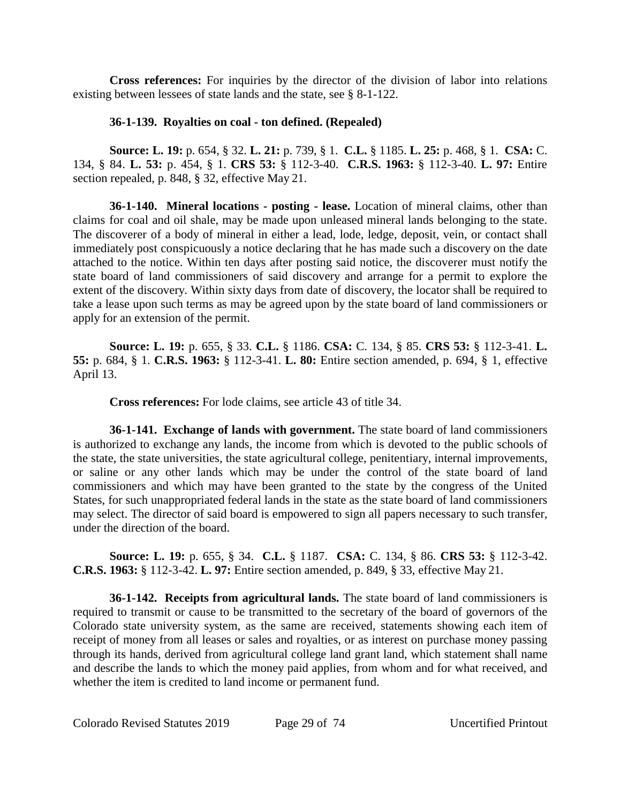**Cross references:** For inquiries by the director of the division of labor into relations existing between lessees of state lands and the state, see § 8-1-122.

# **36-1-139. Royalties on coal - ton defined. (Repealed)**

**Source: L. 19:** p. 654, § 32. **L. 21:** p. 739, § 1. **C.L.** § 1185. **L. 25:** p. 468, § 1. **CSA:** C. 134, § 84. **L. 53:** p. 454, § 1. **CRS 53:** § 112-3-40. **C.R.S. 1963:** § 112-3-40. **L. 97:** Entire section repealed, p. 848, § 32, effective May 21.

**36-1-140. Mineral locations - posting - lease.** Location of mineral claims, other than claims for coal and oil shale, may be made upon unleased mineral lands belonging to the state. The discoverer of a body of mineral in either a lead, lode, ledge, deposit, vein, or contact shall immediately post conspicuously a notice declaring that he has made such a discovery on the date attached to the notice. Within ten days after posting said notice, the discoverer must notify the state board of land commissioners of said discovery and arrange for a permit to explore the extent of the discovery. Within sixty days from date of discovery, the locator shall be required to take a lease upon such terms as may be agreed upon by the state board of land commissioners or apply for an extension of the permit.

**Source: L. 19:** p. 655, § 33. **C.L.** § 1186. **CSA:** C. 134, § 85. **CRS 53:** § 112-3-41. **L. 55:** p. 684, § 1. **C.R.S. 1963:** § 112-3-41. **L. 80:** Entire section amended, p. 694, § 1, effective April 13.

**Cross references:** For lode claims, see article 43 of title 34.

**36-1-141. Exchange of lands with government.** The state board of land commissioners is authorized to exchange any lands, the income from which is devoted to the public schools of the state, the state universities, the state agricultural college, penitentiary, internal improvements, or saline or any other lands which may be under the control of the state board of land commissioners and which may have been granted to the state by the congress of the United States, for such unappropriated federal lands in the state as the state board of land commissioners may select. The director of said board is empowered to sign all papers necessary to such transfer, under the direction of the board.

**Source: L. 19:** p. 655, § 34. **C.L.** § 1187. **CSA:** C. 134, § 86. **CRS 53:** § 112-3-42. **C.R.S. 1963:** § 112-3-42. **L. 97:** Entire section amended, p. 849, § 33, effective May 21.

**36-1-142. Receipts from agricultural lands.** The state board of land commissioners is required to transmit or cause to be transmitted to the secretary of the board of governors of the Colorado state university system, as the same are received, statements showing each item of receipt of money from all leases or sales and royalties, or as interest on purchase money passing through its hands, derived from agricultural college land grant land, which statement shall name and describe the lands to which the money paid applies, from whom and for what received, and whether the item is credited to land income or permanent fund.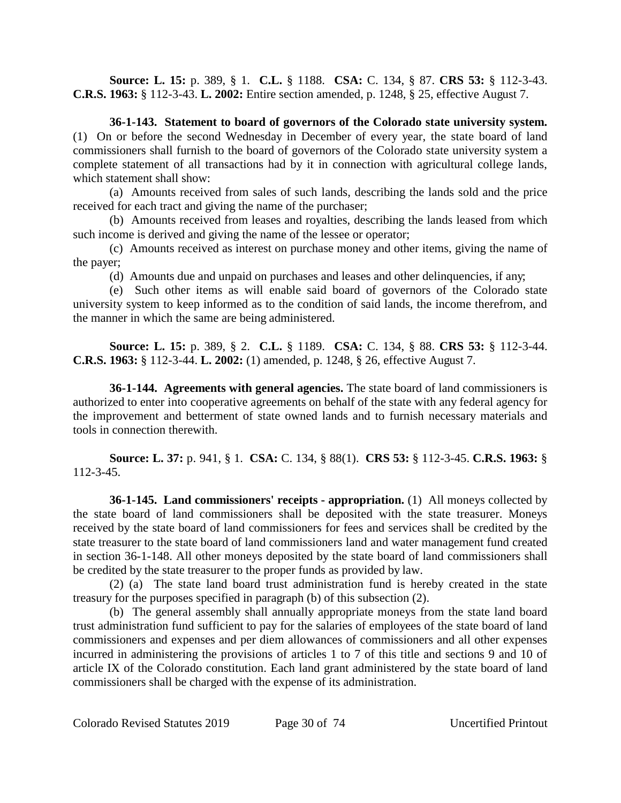**Source: L. 15:** p. 389, § 1. **C.L.** § 1188. **CSA:** C. 134, § 87. **CRS 53:** § 112-3-43. **C.R.S. 1963:** § 112-3-43. **L. 2002:** Entire section amended, p. 1248, § 25, effective August 7.

**36-1-143. Statement to board of governors of the Colorado state university system.** (1) On or before the second Wednesday in December of every year, the state board of land commissioners shall furnish to the board of governors of the Colorado state university system a complete statement of all transactions had by it in connection with agricultural college lands, which statement shall show:

(a) Amounts received from sales of such lands, describing the lands sold and the price received for each tract and giving the name of the purchaser;

(b) Amounts received from leases and royalties, describing the lands leased from which such income is derived and giving the name of the lessee or operator;

(c) Amounts received as interest on purchase money and other items, giving the name of the payer;

(d) Amounts due and unpaid on purchases and leases and other delinquencies, if any;

(e) Such other items as will enable said board of governors of the Colorado state university system to keep informed as to the condition of said lands, the income therefrom, and the manner in which the same are being administered.

**Source: L. 15:** p. 389, § 2. **C.L.** § 1189. **CSA:** C. 134, § 88. **CRS 53:** § 112-3-44. **C.R.S. 1963:** § 112-3-44. **L. 2002:** (1) amended, p. 1248, § 26, effective August 7.

**36-1-144. Agreements with general agencies.** The state board of land commissioners is authorized to enter into cooperative agreements on behalf of the state with any federal agency for the improvement and betterment of state owned lands and to furnish necessary materials and tools in connection therewith.

**Source: L. 37:** p. 941, § 1. **CSA:** C. 134, § 88(1). **CRS 53:** § 112-3-45. **C.R.S. 1963:** § 112-3-45.

**36-1-145. Land commissioners' receipts - appropriation.** (1) All moneys collected by the state board of land commissioners shall be deposited with the state treasurer. Moneys received by the state board of land commissioners for fees and services shall be credited by the state treasurer to the state board of land commissioners land and water management fund created in section 36-1-148. All other moneys deposited by the state board of land commissioners shall be credited by the state treasurer to the proper funds as provided by law.

(2) (a) The state land board trust administration fund is hereby created in the state treasury for the purposes specified in paragraph (b) of this subsection (2).

(b) The general assembly shall annually appropriate moneys from the state land board trust administration fund sufficient to pay for the salaries of employees of the state board of land commissioners and expenses and per diem allowances of commissioners and all other expenses incurred in administering the provisions of articles 1 to 7 of this title and sections 9 and 10 of article IX of the Colorado constitution. Each land grant administered by the state board of land commissioners shall be charged with the expense of its administration.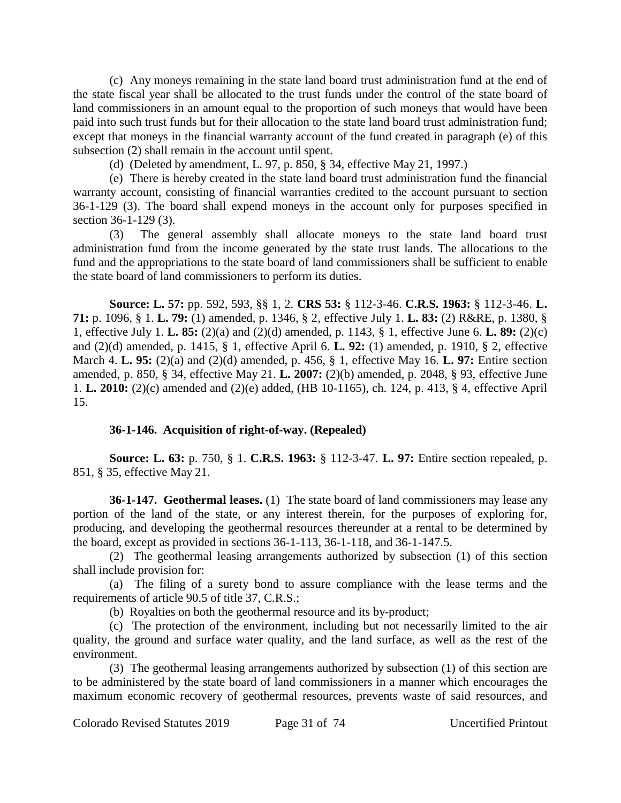(c) Any moneys remaining in the state land board trust administration fund at the end of the state fiscal year shall be allocated to the trust funds under the control of the state board of land commissioners in an amount equal to the proportion of such moneys that would have been paid into such trust funds but for their allocation to the state land board trust administration fund; except that moneys in the financial warranty account of the fund created in paragraph (e) of this subsection (2) shall remain in the account until spent.

(d) (Deleted by amendment, L. 97, p. 850, § 34, effective May 21, 1997.)

(e) There is hereby created in the state land board trust administration fund the financial warranty account, consisting of financial warranties credited to the account pursuant to section 36-1-129 (3). The board shall expend moneys in the account only for purposes specified in section 36-1-129 (3).

(3) The general assembly shall allocate moneys to the state land board trust administration fund from the income generated by the state trust lands. The allocations to the fund and the appropriations to the state board of land commissioners shall be sufficient to enable the state board of land commissioners to perform its duties.

**Source: L. 57:** pp. 592, 593, §§ 1, 2. **CRS 53:** § 112-3-46. **C.R.S. 1963:** § 112-3-46. **L. 71:** p. 1096, § 1. **L. 79:** (1) amended, p. 1346, § 2, effective July 1. **L. 83:** (2) R&RE, p. 1380, § 1, effective July 1. **L. 85:** (2)(a) and (2)(d) amended, p. 1143, § 1, effective June 6. **L. 89:** (2)(c) and (2)(d) amended, p. 1415, § 1, effective April 6. **L. 92:** (1) amended, p. 1910, § 2, effective March 4. **L. 95:** (2)(a) and (2)(d) amended, p. 456, § 1, effective May 16. **L. 97:** Entire section amended, p. 850, § 34, effective May 21. **L. 2007:** (2)(b) amended, p. 2048, § 93, effective June 1. **L. 2010:** (2)(c) amended and (2)(e) added, (HB 10-1165), ch. 124, p. 413, § 4, effective April 15.

# **36-1-146. Acquisition of right-of-way. (Repealed)**

**Source: L. 63:** p. 750, § 1. **C.R.S. 1963:** § 112-3-47. **L. 97:** Entire section repealed, p. 851, § 35, effective May 21.

**36-1-147. Geothermal leases.** (1) The state board of land commissioners may lease any portion of the land of the state, or any interest therein, for the purposes of exploring for, producing, and developing the geothermal resources thereunder at a rental to be determined by the board, except as provided in sections 36-1-113, 36-1-118, and 36-1-147.5.

(2) The geothermal leasing arrangements authorized by subsection (1) of this section shall include provision for:

(a) The filing of a surety bond to assure compliance with the lease terms and the requirements of article 90.5 of title 37, C.R.S.;

(b) Royalties on both the geothermal resource and its by-product;

(c) The protection of the environment, including but not necessarily limited to the air quality, the ground and surface water quality, and the land surface, as well as the rest of the environment.

(3) The geothermal leasing arrangements authorized by subsection (1) of this section are to be administered by the state board of land commissioners in a manner which encourages the maximum economic recovery of geothermal resources, prevents waste of said resources, and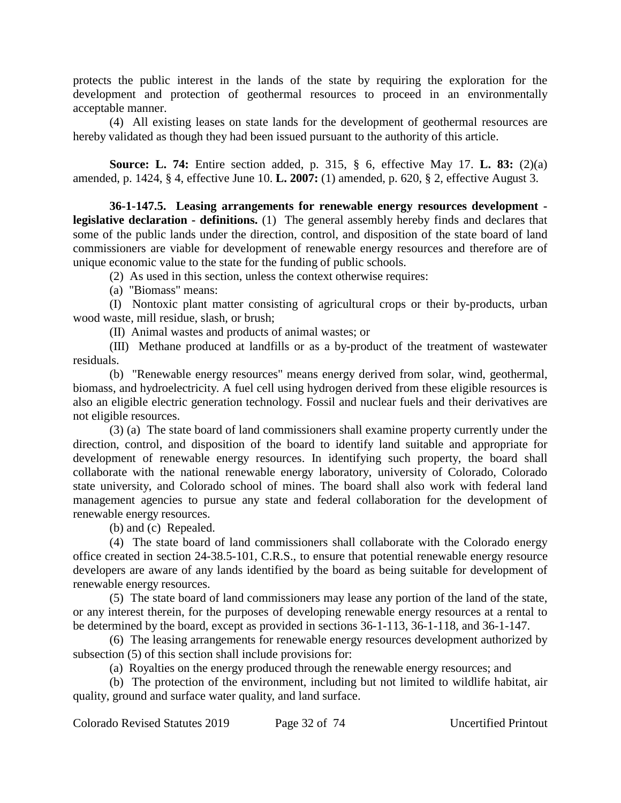protects the public interest in the lands of the state by requiring the exploration for the development and protection of geothermal resources to proceed in an environmentally acceptable manner.

(4) All existing leases on state lands for the development of geothermal resources are hereby validated as though they had been issued pursuant to the authority of this article.

**Source: L. 74:** Entire section added, p. 315, § 6, effective May 17. **L. 83:** (2)(a) amended, p. 1424, § 4, effective June 10. **L. 2007:** (1) amended, p. 620, § 2, effective August 3.

**36-1-147.5. Leasing arrangements for renewable energy resources development legislative declaration - definitions.** (1) The general assembly hereby finds and declares that some of the public lands under the direction, control, and disposition of the state board of land commissioners are viable for development of renewable energy resources and therefore are of unique economic value to the state for the funding of public schools.

(2) As used in this section, unless the context otherwise requires:

(a) "Biomass" means:

(I) Nontoxic plant matter consisting of agricultural crops or their by-products, urban wood waste, mill residue, slash, or brush;

(II) Animal wastes and products of animal wastes; or

(III) Methane produced at landfills or as a by-product of the treatment of wastewater residuals.

(b) "Renewable energy resources" means energy derived from solar, wind, geothermal, biomass, and hydroelectricity. A fuel cell using hydrogen derived from these eligible resources is also an eligible electric generation technology. Fossil and nuclear fuels and their derivatives are not eligible resources.

(3) (a) The state board of land commissioners shall examine property currently under the direction, control, and disposition of the board to identify land suitable and appropriate for development of renewable energy resources. In identifying such property, the board shall collaborate with the national renewable energy laboratory, university of Colorado, Colorado state university, and Colorado school of mines. The board shall also work with federal land management agencies to pursue any state and federal collaboration for the development of renewable energy resources.

(b) and (c) Repealed.

(4) The state board of land commissioners shall collaborate with the Colorado energy office created in section 24-38.5-101, C.R.S., to ensure that potential renewable energy resource developers are aware of any lands identified by the board as being suitable for development of renewable energy resources.

(5) The state board of land commissioners may lease any portion of the land of the state, or any interest therein, for the purposes of developing renewable energy resources at a rental to be determined by the board, except as provided in sections 36-1-113, 36-1-118, and 36-1-147.

(6) The leasing arrangements for renewable energy resources development authorized by subsection (5) of this section shall include provisions for:

(a) Royalties on the energy produced through the renewable energy resources; and

(b) The protection of the environment, including but not limited to wildlife habitat, air quality, ground and surface water quality, and land surface.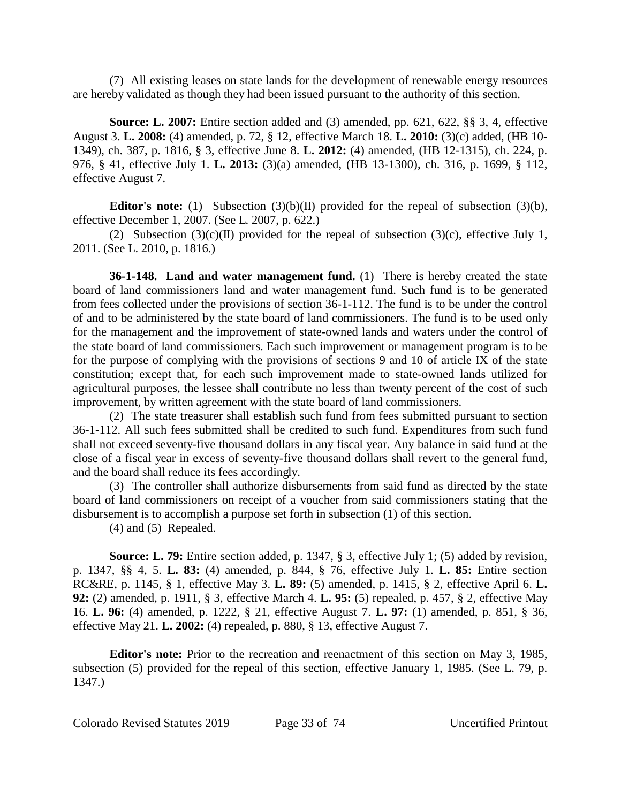(7) All existing leases on state lands for the development of renewable energy resources are hereby validated as though they had been issued pursuant to the authority of this section.

**Source: L. 2007:** Entire section added and (3) amended, pp. 621, 622, §§ 3, 4, effective August 3. **L. 2008:** (4) amended, p. 72, § 12, effective March 18. **L. 2010:** (3)(c) added, (HB 10- 1349), ch. 387, p. 1816, § 3, effective June 8. **L. 2012:** (4) amended, (HB 12-1315), ch. 224, p. 976, § 41, effective July 1. **L. 2013:** (3)(a) amended, (HB 13-1300), ch. 316, p. 1699, § 112, effective August 7.

**Editor's note:** (1) Subsection (3)(b)(II) provided for the repeal of subsection (3)(b), effective December 1, 2007. (See L. 2007, p. 622.)

(2) Subsection (3)(c)(II) provided for the repeal of subsection (3)(c), effective July 1, 2011. (See L. 2010, p. 1816.)

**36-1-148. Land and water management fund.** (1) There is hereby created the state board of land commissioners land and water management fund. Such fund is to be generated from fees collected under the provisions of section 36-1-112. The fund is to be under the control of and to be administered by the state board of land commissioners. The fund is to be used only for the management and the improvement of state-owned lands and waters under the control of the state board of land commissioners. Each such improvement or management program is to be for the purpose of complying with the provisions of sections 9 and 10 of article IX of the state constitution; except that, for each such improvement made to state-owned lands utilized for agricultural purposes, the lessee shall contribute no less than twenty percent of the cost of such improvement, by written agreement with the state board of land commissioners.

(2) The state treasurer shall establish such fund from fees submitted pursuant to section 36-1-112. All such fees submitted shall be credited to such fund. Expenditures from such fund shall not exceed seventy-five thousand dollars in any fiscal year. Any balance in said fund at the close of a fiscal year in excess of seventy-five thousand dollars shall revert to the general fund, and the board shall reduce its fees accordingly.

(3) The controller shall authorize disbursements from said fund as directed by the state board of land commissioners on receipt of a voucher from said commissioners stating that the disbursement is to accomplish a purpose set forth in subsection (1) of this section.

(4) and (5) Repealed.

**Source: L. 79:** Entire section added, p. 1347, § 3, effective July 1; (5) added by revision, p. 1347, §§ 4, 5. **L. 83:** (4) amended, p. 844, § 76, effective July 1. **L. 85:** Entire section RC&RE, p. 1145, § 1, effective May 3. **L. 89:** (5) amended, p. 1415, § 2, effective April 6. **L. 92:** (2) amended, p. 1911, § 3, effective March 4. **L. 95:** (5) repealed, p. 457, § 2, effective May 16. **L. 96:** (4) amended, p. 1222, § 21, effective August 7. **L. 97:** (1) amended, p. 851, § 36, effective May 21. **L. 2002:** (4) repealed, p. 880, § 13, effective August 7.

**Editor's note:** Prior to the recreation and reenactment of this section on May 3, 1985, subsection (5) provided for the repeal of this section, effective January 1, 1985. (See L. 79, p. 1347.)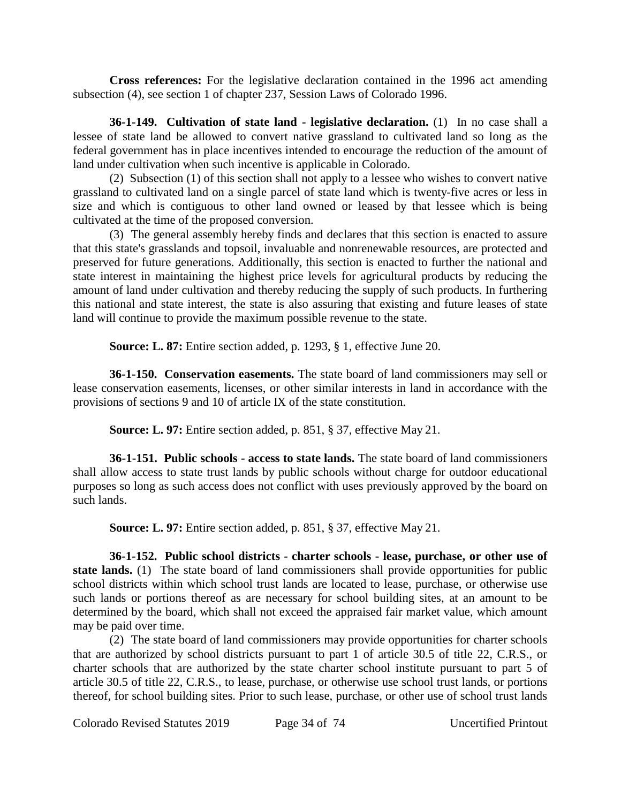**Cross references:** For the legislative declaration contained in the 1996 act amending subsection (4), see section 1 of chapter 237, Session Laws of Colorado 1996.

**36-1-149. Cultivation of state land - legislative declaration.** (1) In no case shall a lessee of state land be allowed to convert native grassland to cultivated land so long as the federal government has in place incentives intended to encourage the reduction of the amount of land under cultivation when such incentive is applicable in Colorado.

(2) Subsection (1) of this section shall not apply to a lessee who wishes to convert native grassland to cultivated land on a single parcel of state land which is twenty-five acres or less in size and which is contiguous to other land owned or leased by that lessee which is being cultivated at the time of the proposed conversion.

(3) The general assembly hereby finds and declares that this section is enacted to assure that this state's grasslands and topsoil, invaluable and nonrenewable resources, are protected and preserved for future generations. Additionally, this section is enacted to further the national and state interest in maintaining the highest price levels for agricultural products by reducing the amount of land under cultivation and thereby reducing the supply of such products. In furthering this national and state interest, the state is also assuring that existing and future leases of state land will continue to provide the maximum possible revenue to the state.

**Source: L. 87:** Entire section added, p. 1293, § 1, effective June 20.

**36-1-150. Conservation easements.** The state board of land commissioners may sell or lease conservation easements, licenses, or other similar interests in land in accordance with the provisions of sections 9 and 10 of article IX of the state constitution.

**Source: L. 97:** Entire section added, p. 851, § 37, effective May 21.

**36-1-151. Public schools - access to state lands.** The state board of land commissioners shall allow access to state trust lands by public schools without charge for outdoor educational purposes so long as such access does not conflict with uses previously approved by the board on such lands.

**Source: L. 97:** Entire section added, p. 851, § 37, effective May 21.

**36-1-152. Public school districts - charter schools - lease, purchase, or other use of** state lands. (1) The state board of land commissioners shall provide opportunities for public school districts within which school trust lands are located to lease, purchase, or otherwise use such lands or portions thereof as are necessary for school building sites, at an amount to be determined by the board, which shall not exceed the appraised fair market value, which amount may be paid over time.

(2) The state board of land commissioners may provide opportunities for charter schools that are authorized by school districts pursuant to part 1 of article 30.5 of title 22, C.R.S., or charter schools that are authorized by the state charter school institute pursuant to part 5 of article 30.5 of title 22, C.R.S., to lease, purchase, or otherwise use school trust lands, or portions thereof, for school building sites. Prior to such lease, purchase, or other use of school trust lands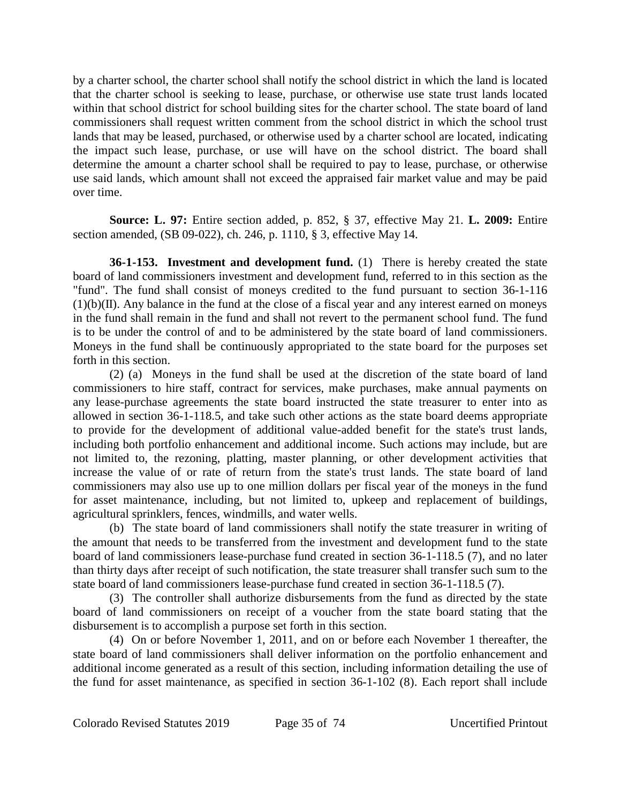by a charter school, the charter school shall notify the school district in which the land is located that the charter school is seeking to lease, purchase, or otherwise use state trust lands located within that school district for school building sites for the charter school. The state board of land commissioners shall request written comment from the school district in which the school trust lands that may be leased, purchased, or otherwise used by a charter school are located, indicating the impact such lease, purchase, or use will have on the school district. The board shall determine the amount a charter school shall be required to pay to lease, purchase, or otherwise use said lands, which amount shall not exceed the appraised fair market value and may be paid over time.

**Source: L. 97:** Entire section added, p. 852, § 37, effective May 21. **L. 2009:** Entire section amended, (SB 09-022), ch. 246, p. 1110, § 3, effective May 14.

**36-1-153. Investment and development fund.** (1) There is hereby created the state board of land commissioners investment and development fund, referred to in this section as the "fund". The fund shall consist of moneys credited to the fund pursuant to section 36-1-116  $(1)(b)(II)$ . Any balance in the fund at the close of a fiscal year and any interest earned on moneys in the fund shall remain in the fund and shall not revert to the permanent school fund. The fund is to be under the control of and to be administered by the state board of land commissioners. Moneys in the fund shall be continuously appropriated to the state board for the purposes set forth in this section.

(2) (a) Moneys in the fund shall be used at the discretion of the state board of land commissioners to hire staff, contract for services, make purchases, make annual payments on any lease-purchase agreements the state board instructed the state treasurer to enter into as allowed in section 36-1-118.5, and take such other actions as the state board deems appropriate to provide for the development of additional value-added benefit for the state's trust lands, including both portfolio enhancement and additional income. Such actions may include, but are not limited to, the rezoning, platting, master planning, or other development activities that increase the value of or rate of return from the state's trust lands. The state board of land commissioners may also use up to one million dollars per fiscal year of the moneys in the fund for asset maintenance, including, but not limited to, upkeep and replacement of buildings, agricultural sprinklers, fences, windmills, and water wells.

(b) The state board of land commissioners shall notify the state treasurer in writing of the amount that needs to be transferred from the investment and development fund to the state board of land commissioners lease-purchase fund created in section 36-1-118.5 (7), and no later than thirty days after receipt of such notification, the state treasurer shall transfer such sum to the state board of land commissioners lease-purchase fund created in section 36-1-118.5 (7).

(3) The controller shall authorize disbursements from the fund as directed by the state board of land commissioners on receipt of a voucher from the state board stating that the disbursement is to accomplish a purpose set forth in this section.

(4) On or before November 1, 2011, and on or before each November 1 thereafter, the state board of land commissioners shall deliver information on the portfolio enhancement and additional income generated as a result of this section, including information detailing the use of the fund for asset maintenance, as specified in section 36-1-102 (8). Each report shall include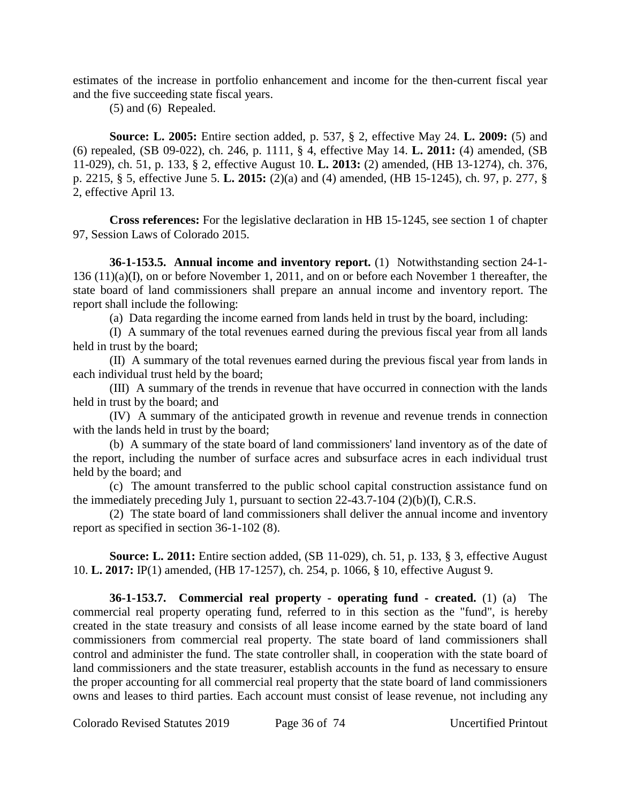estimates of the increase in portfolio enhancement and income for the then-current fiscal year and the five succeeding state fiscal years.

(5) and (6) Repealed.

**Source: L. 2005:** Entire section added, p. 537, § 2, effective May 24. **L. 2009:** (5) and (6) repealed, (SB 09-022), ch. 246, p. 1111, § 4, effective May 14. **L. 2011:** (4) amended, (SB 11-029), ch. 51, p. 133, § 2, effective August 10. **L. 2013:** (2) amended, (HB 13-1274), ch. 376, p. 2215, § 5, effective June 5. **L. 2015:** (2)(a) and (4) amended, (HB 15-1245), ch. 97, p. 277, § 2, effective April 13.

**Cross references:** For the legislative declaration in HB 15-1245, see section 1 of chapter 97, Session Laws of Colorado 2015.

**36-1-153.5. Annual income and inventory report.** (1) Notwithstanding section 24-1- 136 (11)(a)(I), on or before November 1, 2011, and on or before each November 1 thereafter, the state board of land commissioners shall prepare an annual income and inventory report. The report shall include the following:

(a) Data regarding the income earned from lands held in trust by the board, including:

(I) A summary of the total revenues earned during the previous fiscal year from all lands held in trust by the board;

(II) A summary of the total revenues earned during the previous fiscal year from lands in each individual trust held by the board;

(III) A summary of the trends in revenue that have occurred in connection with the lands held in trust by the board; and

(IV) A summary of the anticipated growth in revenue and revenue trends in connection with the lands held in trust by the board;

(b) A summary of the state board of land commissioners' land inventory as of the date of the report, including the number of surface acres and subsurface acres in each individual trust held by the board; and

(c) The amount transferred to the public school capital construction assistance fund on the immediately preceding July 1, pursuant to section 22-43.7-104 (2)(b)(I), C.R.S.

(2) The state board of land commissioners shall deliver the annual income and inventory report as specified in section 36-1-102 (8).

**Source: L. 2011:** Entire section added, (SB 11-029), ch. 51, p. 133, § 3, effective August 10. **L. 2017:** IP(1) amended, (HB 17-1257), ch. 254, p. 1066, § 10, effective August 9.

**36-1-153.7. Commercial real property - operating fund - created.** (1) (a) The commercial real property operating fund, referred to in this section as the "fund", is hereby created in the state treasury and consists of all lease income earned by the state board of land commissioners from commercial real property. The state board of land commissioners shall control and administer the fund. The state controller shall, in cooperation with the state board of land commissioners and the state treasurer, establish accounts in the fund as necessary to ensure the proper accounting for all commercial real property that the state board of land commissioners owns and leases to third parties. Each account must consist of lease revenue, not including any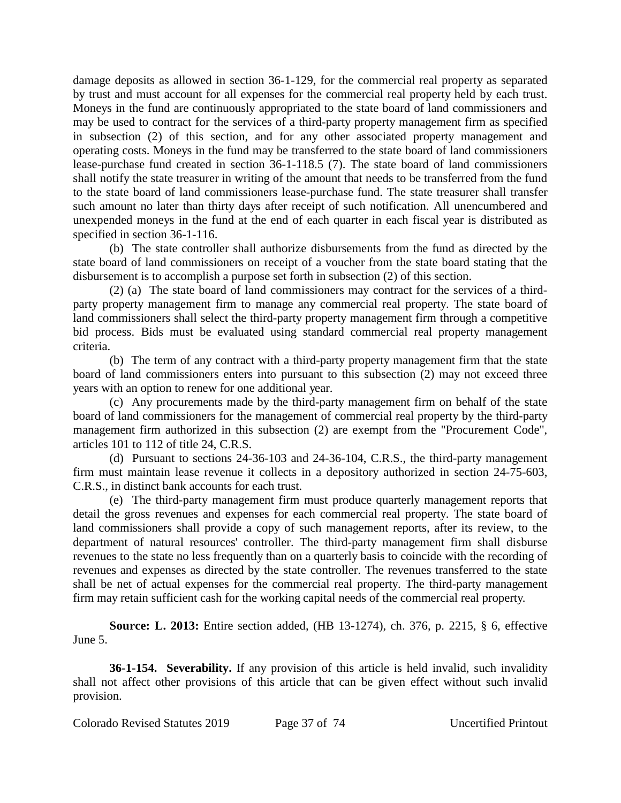damage deposits as allowed in section 36-1-129, for the commercial real property as separated by trust and must account for all expenses for the commercial real property held by each trust. Moneys in the fund are continuously appropriated to the state board of land commissioners and may be used to contract for the services of a third-party property management firm as specified in subsection (2) of this section, and for any other associated property management and operating costs. Moneys in the fund may be transferred to the state board of land commissioners lease-purchase fund created in section 36-1-118.5 (7). The state board of land commissioners shall notify the state treasurer in writing of the amount that needs to be transferred from the fund to the state board of land commissioners lease-purchase fund. The state treasurer shall transfer such amount no later than thirty days after receipt of such notification. All unencumbered and unexpended moneys in the fund at the end of each quarter in each fiscal year is distributed as specified in section 36-1-116.

(b) The state controller shall authorize disbursements from the fund as directed by the state board of land commissioners on receipt of a voucher from the state board stating that the disbursement is to accomplish a purpose set forth in subsection (2) of this section.

(2) (a) The state board of land commissioners may contract for the services of a thirdparty property management firm to manage any commercial real property. The state board of land commissioners shall select the third-party property management firm through a competitive bid process. Bids must be evaluated using standard commercial real property management criteria.

(b) The term of any contract with a third-party property management firm that the state board of land commissioners enters into pursuant to this subsection (2) may not exceed three years with an option to renew for one additional year.

(c) Any procurements made by the third-party management firm on behalf of the state board of land commissioners for the management of commercial real property by the third-party management firm authorized in this subsection (2) are exempt from the "Procurement Code", articles 101 to 112 of title 24, C.R.S.

(d) Pursuant to sections 24-36-103 and 24-36-104, C.R.S., the third-party management firm must maintain lease revenue it collects in a depository authorized in section 24-75-603, C.R.S., in distinct bank accounts for each trust.

(e) The third-party management firm must produce quarterly management reports that detail the gross revenues and expenses for each commercial real property. The state board of land commissioners shall provide a copy of such management reports, after its review, to the department of natural resources' controller. The third-party management firm shall disburse revenues to the state no less frequently than on a quarterly basis to coincide with the recording of revenues and expenses as directed by the state controller. The revenues transferred to the state shall be net of actual expenses for the commercial real property. The third-party management firm may retain sufficient cash for the working capital needs of the commercial real property.

**Source: L. 2013:** Entire section added, (HB 13-1274), ch. 376, p. 2215, § 6, effective June 5.

**36-1-154.** Severability. If any provision of this article is held invalid, such invalidity shall not affect other provisions of this article that can be given effect without such invalid provision.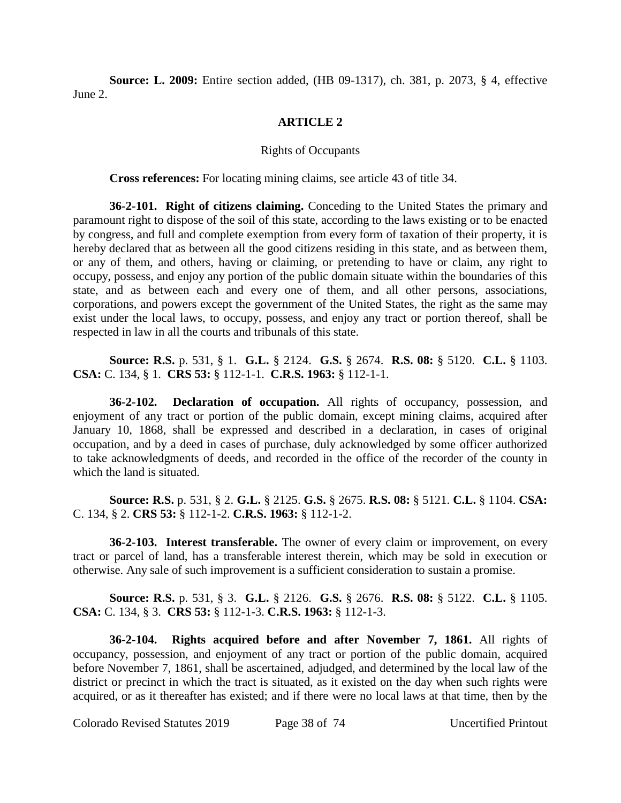**Source: L. 2009:** Entire section added, (HB 09-1317), ch. 381, p. 2073, § 4, effective June 2.

## **ARTICLE 2**

## Rights of Occupants

**Cross references:** For locating mining claims, see article 43 of title 34.

**36-2-101. Right of citizens claiming.** Conceding to the United States the primary and paramount right to dispose of the soil of this state, according to the laws existing or to be enacted by congress, and full and complete exemption from every form of taxation of their property, it is hereby declared that as between all the good citizens residing in this state, and as between them, or any of them, and others, having or claiming, or pretending to have or claim, any right to occupy, possess, and enjoy any portion of the public domain situate within the boundaries of this state, and as between each and every one of them, and all other persons, associations, corporations, and powers except the government of the United States, the right as the same may exist under the local laws, to occupy, possess, and enjoy any tract or portion thereof, shall be respected in law in all the courts and tribunals of this state.

**Source: R.S.** p. 531, § 1. **G.L.** § 2124. **G.S.** § 2674. **R.S. 08:** § 5120. **C.L.** § 1103. **CSA:** C. 134, § 1. **CRS 53:** § 112-1-1. **C.R.S. 1963:** § 112-1-1.

**36-2-102. Declaration of occupation.** All rights of occupancy, possession, and enjoyment of any tract or portion of the public domain, except mining claims, acquired after January 10, 1868, shall be expressed and described in a declaration, in cases of original occupation, and by a deed in cases of purchase, duly acknowledged by some officer authorized to take acknowledgments of deeds, and recorded in the office of the recorder of the county in which the land is situated.

**Source: R.S.** p. 531, § 2. **G.L.** § 2125. **G.S.** § 2675. **R.S. 08:** § 5121. **C.L.** § 1104. **CSA:** C. 134, § 2. **CRS 53:** § 112-1-2. **C.R.S. 1963:** § 112-1-2.

**36-2-103. Interest transferable.** The owner of every claim or improvement, on every tract or parcel of land, has a transferable interest therein, which may be sold in execution or otherwise. Any sale of such improvement is a sufficient consideration to sustain a promise.

**Source: R.S.** p. 531, § 3. **G.L.** § 2126. **G.S.** § 2676. **R.S. 08:** § 5122. **C.L.** § 1105. **CSA:** C. 134, § 3. **CRS 53:** § 112-1-3. **C.R.S. 1963:** § 112-1-3.

**36-2-104. Rights acquired before and after November 7, 1861.** All rights of occupancy, possession, and enjoyment of any tract or portion of the public domain, acquired before November 7, 1861, shall be ascertained, adjudged, and determined by the local law of the district or precinct in which the tract is situated, as it existed on the day when such rights were acquired, or as it thereafter has existed; and if there were no local laws at that time, then by the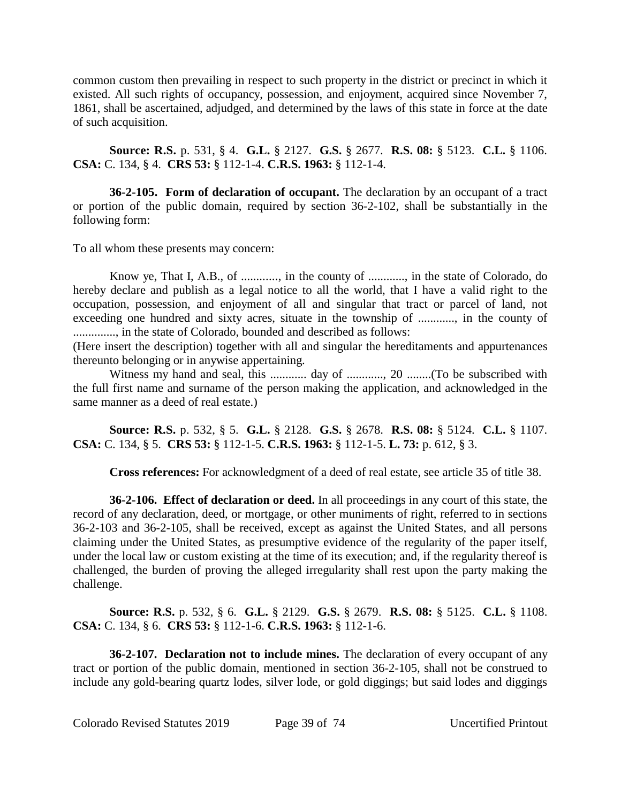common custom then prevailing in respect to such property in the district or precinct in which it existed. All such rights of occupancy, possession, and enjoyment, acquired since November 7, 1861, shall be ascertained, adjudged, and determined by the laws of this state in force at the date of such acquisition.

**Source: R.S.** p. 531, § 4. **G.L.** § 2127. **G.S.** § 2677. **R.S. 08:** § 5123. **C.L.** § 1106. **CSA:** C. 134, § 4. **CRS 53:** § 112-1-4. **C.R.S. 1963:** § 112-1-4.

**36-2-105. Form of declaration of occupant.** The declaration by an occupant of a tract or portion of the public domain, required by section 36-2-102, shall be substantially in the following form:

To all whom these presents may concern:

Know ye, That I, A.B., of ............, in the county of ............, in the state of Colorado, do hereby declare and publish as a legal notice to all the world, that I have a valid right to the occupation, possession, and enjoyment of all and singular that tract or parcel of land, not exceeding one hundred and sixty acres, situate in the township of ............, in the county of .............., in the state of Colorado, bounded and described as follows:

(Here insert the description) together with all and singular the hereditaments and appurtenances thereunto belonging or in anywise appertaining.

Witness my hand and seal, this ............ day of ............, 20 ........(To be subscribed with the full first name and surname of the person making the application, and acknowledged in the same manner as a deed of real estate.)

**Source: R.S.** p. 532, § 5. **G.L.** § 2128. **G.S.** § 2678. **R.S. 08:** § 5124. **C.L.** § 1107. **CSA:** C. 134, § 5. **CRS 53:** § 112-1-5. **C.R.S. 1963:** § 112-1-5. **L. 73:** p. 612, § 3.

**Cross references:** For acknowledgment of a deed of real estate, see article 35 of title 38.

**36-2-106. Effect of declaration or deed.** In all proceedings in any court of this state, the record of any declaration, deed, or mortgage, or other muniments of right, referred to in sections 36-2-103 and 36-2-105, shall be received, except as against the United States, and all persons claiming under the United States, as presumptive evidence of the regularity of the paper itself, under the local law or custom existing at the time of its execution; and, if the regularity thereof is challenged, the burden of proving the alleged irregularity shall rest upon the party making the challenge.

**Source: R.S.** p. 532, § 6. **G.L.** § 2129. **G.S.** § 2679. **R.S. 08:** § 5125. **C.L.** § 1108. **CSA:** C. 134, § 6. **CRS 53:** § 112-1-6. **C.R.S. 1963:** § 112-1-6.

**36-2-107. Declaration not to include mines.** The declaration of every occupant of any tract or portion of the public domain, mentioned in section 36-2-105, shall not be construed to include any gold-bearing quartz lodes, silver lode, or gold diggings; but said lodes and diggings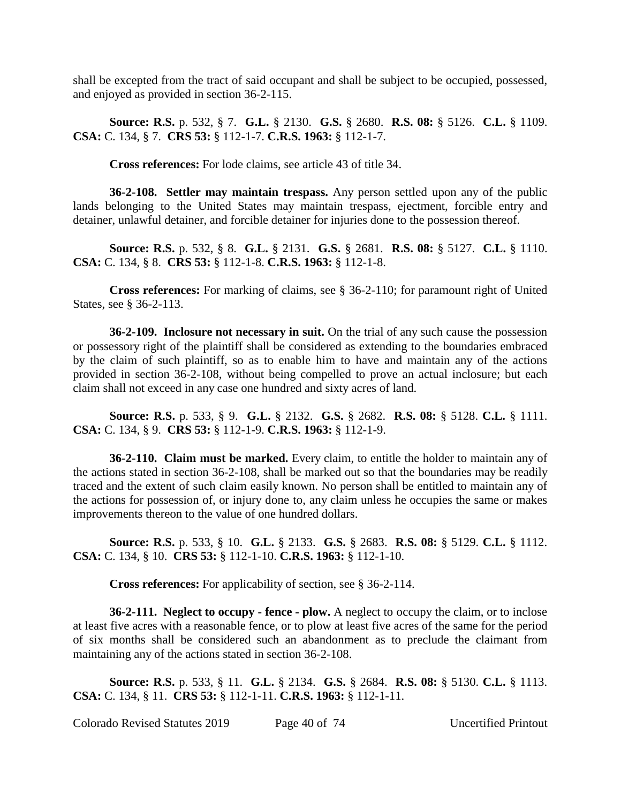shall be excepted from the tract of said occupant and shall be subject to be occupied, possessed, and enjoyed as provided in section 36-2-115.

**Source: R.S.** p. 532, § 7. **G.L.** § 2130. **G.S.** § 2680. **R.S. 08:** § 5126. **C.L.** § 1109. **CSA:** C. 134, § 7. **CRS 53:** § 112-1-7. **C.R.S. 1963:** § 112-1-7.

**Cross references:** For lode claims, see article 43 of title 34.

**36-2-108. Settler may maintain trespass.** Any person settled upon any of the public lands belonging to the United States may maintain trespass, ejectment, forcible entry and detainer, unlawful detainer, and forcible detainer for injuries done to the possession thereof.

**Source: R.S.** p. 532, § 8. **G.L.** § 2131. **G.S.** § 2681. **R.S. 08:** § 5127. **C.L.** § 1110. **CSA:** C. 134, § 8. **CRS 53:** § 112-1-8. **C.R.S. 1963:** § 112-1-8.

**Cross references:** For marking of claims, see § 36-2-110; for paramount right of United States, see § 36-2-113.

**36-2-109. Inclosure not necessary in suit.** On the trial of any such cause the possession or possessory right of the plaintiff shall be considered as extending to the boundaries embraced by the claim of such plaintiff, so as to enable him to have and maintain any of the actions provided in section 36-2-108, without being compelled to prove an actual inclosure; but each claim shall not exceed in any case one hundred and sixty acres of land.

**Source: R.S.** p. 533, § 9. **G.L.** § 2132. **G.S.** § 2682. **R.S. 08:** § 5128. **C.L.** § 1111. **CSA:** C. 134, § 9. **CRS 53:** § 112-1-9. **C.R.S. 1963:** § 112-1-9.

**36-2-110. Claim must be marked.** Every claim, to entitle the holder to maintain any of the actions stated in section 36-2-108, shall be marked out so that the boundaries may be readily traced and the extent of such claim easily known. No person shall be entitled to maintain any of the actions for possession of, or injury done to, any claim unless he occupies the same or makes improvements thereon to the value of one hundred dollars.

**Source: R.S.** p. 533, § 10. **G.L.** § 2133. **G.S.** § 2683. **R.S. 08:** § 5129. **C.L.** § 1112. **CSA:** C. 134, § 10. **CRS 53:** § 112-1-10. **C.R.S. 1963:** § 112-1-10.

**Cross references:** For applicability of section, see § 36-2-114.

**36-2-111. Neglect to occupy - fence - plow.** A neglect to occupy the claim, or to inclose at least five acres with a reasonable fence, or to plow at least five acres of the same for the period of six months shall be considered such an abandonment as to preclude the claimant from maintaining any of the actions stated in section 36-2-108.

**Source: R.S.** p. 533, § 11. **G.L.** § 2134. **G.S.** § 2684. **R.S. 08:** § 5130. **C.L.** § 1113. **CSA:** C. 134, § 11. **CRS 53:** § 112-1-11. **C.R.S. 1963:** § 112-1-11.

Colorado Revised Statutes 2019 Page 40 of 74 Uncertified Printout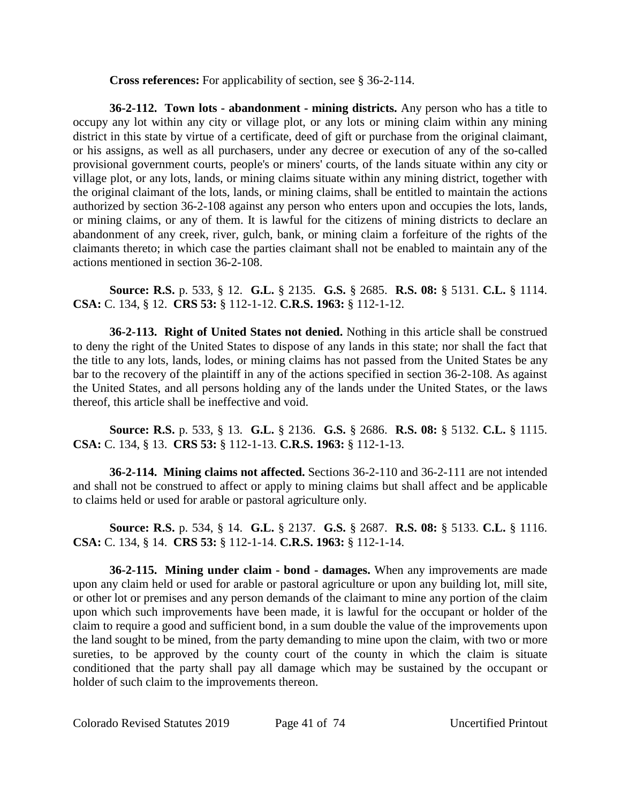**Cross references:** For applicability of section, see § 36-2-114.

**36-2-112. Town lots - abandonment - mining districts.** Any person who has a title to occupy any lot within any city or village plot, or any lots or mining claim within any mining district in this state by virtue of a certificate, deed of gift or purchase from the original claimant, or his assigns, as well as all purchasers, under any decree or execution of any of the so-called provisional government courts, people's or miners' courts, of the lands situate within any city or village plot, or any lots, lands, or mining claims situate within any mining district, together with the original claimant of the lots, lands, or mining claims, shall be entitled to maintain the actions authorized by section 36-2-108 against any person who enters upon and occupies the lots, lands, or mining claims, or any of them. It is lawful for the citizens of mining districts to declare an abandonment of any creek, river, gulch, bank, or mining claim a forfeiture of the rights of the claimants thereto; in which case the parties claimant shall not be enabled to maintain any of the actions mentioned in section 36-2-108.

**Source: R.S.** p. 533, § 12. **G.L.** § 2135. **G.S.** § 2685. **R.S. 08:** § 5131. **C.L.** § 1114. **CSA:** C. 134, § 12. **CRS 53:** § 112-1-12. **C.R.S. 1963:** § 112-1-12.

**36-2-113. Right of United States not denied.** Nothing in this article shall be construed to deny the right of the United States to dispose of any lands in this state; nor shall the fact that the title to any lots, lands, lodes, or mining claims has not passed from the United States be any bar to the recovery of the plaintiff in any of the actions specified in section 36-2-108. As against the United States, and all persons holding any of the lands under the United States, or the laws thereof, this article shall be ineffective and void.

**Source: R.S.** p. 533, § 13. **G.L.** § 2136. **G.S.** § 2686. **R.S. 08:** § 5132. **C.L.** § 1115. **CSA:** C. 134, § 13. **CRS 53:** § 112-1-13. **C.R.S. 1963:** § 112-1-13.

**36-2-114. Mining claims not affected.** Sections 36-2-110 and 36-2-111 are not intended and shall not be construed to affect or apply to mining claims but shall affect and be applicable to claims held or used for arable or pastoral agriculture only.

**Source: R.S.** p. 534, § 14. **G.L.** § 2137. **G.S.** § 2687. **R.S. 08:** § 5133. **C.L.** § 1116. **CSA:** C. 134, § 14. **CRS 53:** § 112-1-14. **C.R.S. 1963:** § 112-1-14.

**36-2-115. Mining under claim - bond - damages.** When any improvements are made upon any claim held or used for arable or pastoral agriculture or upon any building lot, mill site, or other lot or premises and any person demands of the claimant to mine any portion of the claim upon which such improvements have been made, it is lawful for the occupant or holder of the claim to require a good and sufficient bond, in a sum double the value of the improvements upon the land sought to be mined, from the party demanding to mine upon the claim, with two or more sureties, to be approved by the county court of the county in which the claim is situate conditioned that the party shall pay all damage which may be sustained by the occupant or holder of such claim to the improvements thereon.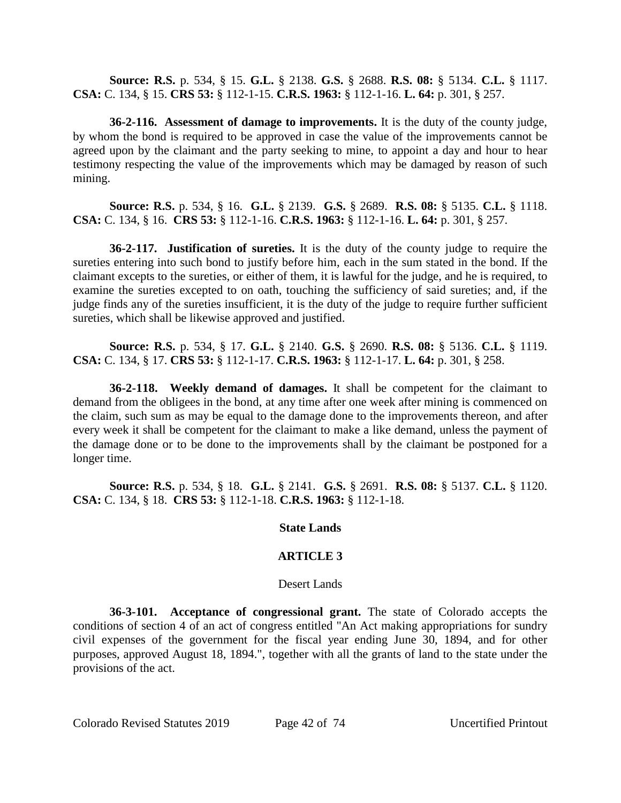**Source: R.S.** p. 534, § 15. **G.L.** § 2138. **G.S.** § 2688. **R.S. 08:** § 5134. **C.L.** § 1117. **CSA:** C. 134, § 15. **CRS 53:** § 112-1-15. **C.R.S. 1963:** § 112-1-16. **L. 64:** p. 301, § 257.

**36-2-116. Assessment of damage to improvements.** It is the duty of the county judge, by whom the bond is required to be approved in case the value of the improvements cannot be agreed upon by the claimant and the party seeking to mine, to appoint a day and hour to hear testimony respecting the value of the improvements which may be damaged by reason of such mining.

**Source: R.S.** p. 534, § 16. **G.L.** § 2139. **G.S.** § 2689. **R.S. 08:** § 5135. **C.L.** § 1118. **CSA:** C. 134, § 16. **CRS 53:** § 112-1-16. **C.R.S. 1963:** § 112-1-16. **L. 64:** p. 301, § 257.

**36-2-117. Justification of sureties.** It is the duty of the county judge to require the sureties entering into such bond to justify before him, each in the sum stated in the bond. If the claimant excepts to the sureties, or either of them, it is lawful for the judge, and he is required, to examine the sureties excepted to on oath, touching the sufficiency of said sureties; and, if the judge finds any of the sureties insufficient, it is the duty of the judge to require further sufficient sureties, which shall be likewise approved and justified.

**Source: R.S.** p. 534, § 17. **G.L.** § 2140. **G.S.** § 2690. **R.S. 08:** § 5136. **C.L.** § 1119. **CSA:** C. 134, § 17. **CRS 53:** § 112-1-17. **C.R.S. 1963:** § 112-1-17. **L. 64:** p. 301, § 258.

**36-2-118. Weekly demand of damages.** It shall be competent for the claimant to demand from the obligees in the bond, at any time after one week after mining is commenced on the claim, such sum as may be equal to the damage done to the improvements thereon, and after every week it shall be competent for the claimant to make a like demand, unless the payment of the damage done or to be done to the improvements shall by the claimant be postponed for a longer time.

**Source: R.S.** p. 534, § 18. **G.L.** § 2141. **G.S.** § 2691. **R.S. 08:** § 5137. **C.L.** § 1120. **CSA:** C. 134, § 18. **CRS 53:** § 112-1-18. **C.R.S. 1963:** § 112-1-18.

## **State Lands**

# **ARTICLE 3**

## Desert Lands

**36-3-101. Acceptance of congressional grant.** The state of Colorado accepts the conditions of section 4 of an act of congress entitled "An Act making appropriations for sundry civil expenses of the government for the fiscal year ending June 30, 1894, and for other purposes, approved August 18, 1894.", together with all the grants of land to the state under the provisions of the act.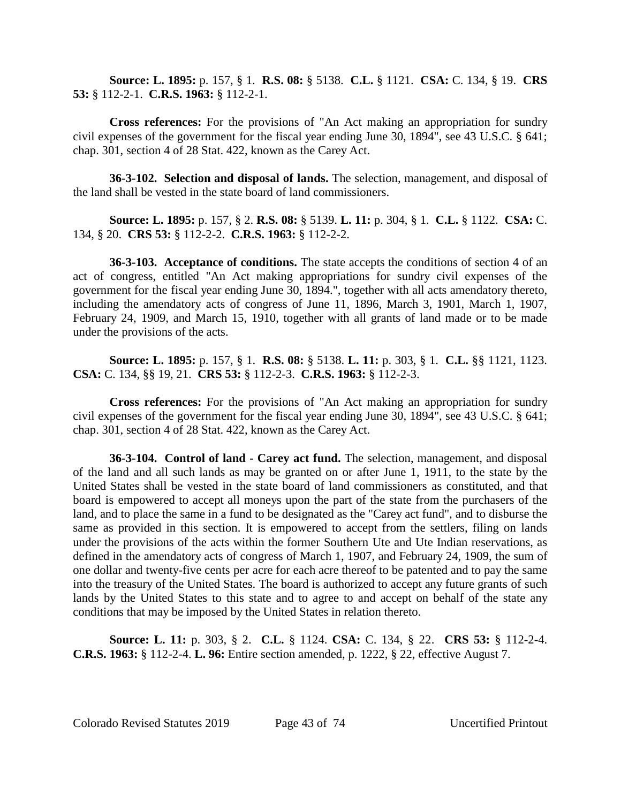**Source: L. 1895:** p. 157, § 1. **R.S. 08:** § 5138. **C.L.** § 1121. **CSA:** C. 134, § 19. **CRS 53:** § 112-2-1. **C.R.S. 1963:** § 112-2-1.

**Cross references:** For the provisions of "An Act making an appropriation for sundry civil expenses of the government for the fiscal year ending June 30, 1894", see 43 U.S.C. § 641; chap. 301, section 4 of 28 Stat. 422, known as the Carey Act.

**36-3-102. Selection and disposal of lands.** The selection, management, and disposal of the land shall be vested in the state board of land commissioners.

**Source: L. 1895:** p. 157, § 2. **R.S. 08:** § 5139. **L. 11:** p. 304, § 1. **C.L.** § 1122. **CSA:** C. 134, § 20. **CRS 53:** § 112-2-2. **C.R.S. 1963:** § 112-2-2.

**36-3-103. Acceptance of conditions.** The state accepts the conditions of section 4 of an act of congress, entitled "An Act making appropriations for sundry civil expenses of the government for the fiscal year ending June 30, 1894.", together with all acts amendatory thereto, including the amendatory acts of congress of June 11, 1896, March 3, 1901, March 1, 1907, February 24, 1909, and March 15, 1910, together with all grants of land made or to be made under the provisions of the acts.

**Source: L. 1895:** p. 157, § 1. **R.S. 08:** § 5138. **L. 11:** p. 303, § 1. **C.L.** §§ 1121, 1123. **CSA:** C. 134, §§ 19, 21. **CRS 53:** § 112-2-3. **C.R.S. 1963:** § 112-2-3.

**Cross references:** For the provisions of "An Act making an appropriation for sundry civil expenses of the government for the fiscal year ending June 30, 1894", see 43 U.S.C. § 641; chap. 301, section 4 of 28 Stat. 422, known as the Carey Act.

**36-3-104. Control of land - Carey act fund.** The selection, management, and disposal of the land and all such lands as may be granted on or after June 1, 1911, to the state by the United States shall be vested in the state board of land commissioners as constituted, and that board is empowered to accept all moneys upon the part of the state from the purchasers of the land, and to place the same in a fund to be designated as the "Carey act fund", and to disburse the same as provided in this section. It is empowered to accept from the settlers, filing on lands under the provisions of the acts within the former Southern Ute and Ute Indian reservations, as defined in the amendatory acts of congress of March 1, 1907, and February 24, 1909, the sum of one dollar and twenty-five cents per acre for each acre thereof to be patented and to pay the same into the treasury of the United States. The board is authorized to accept any future grants of such lands by the United States to this state and to agree to and accept on behalf of the state any conditions that may be imposed by the United States in relation thereto.

**Source: L. 11:** p. 303, § 2. **C.L.** § 1124. **CSA:** C. 134, § 22. **CRS 53:** § 112-2-4. **C.R.S. 1963:** § 112-2-4. **L. 96:** Entire section amended, p. 1222, § 22, effective August 7.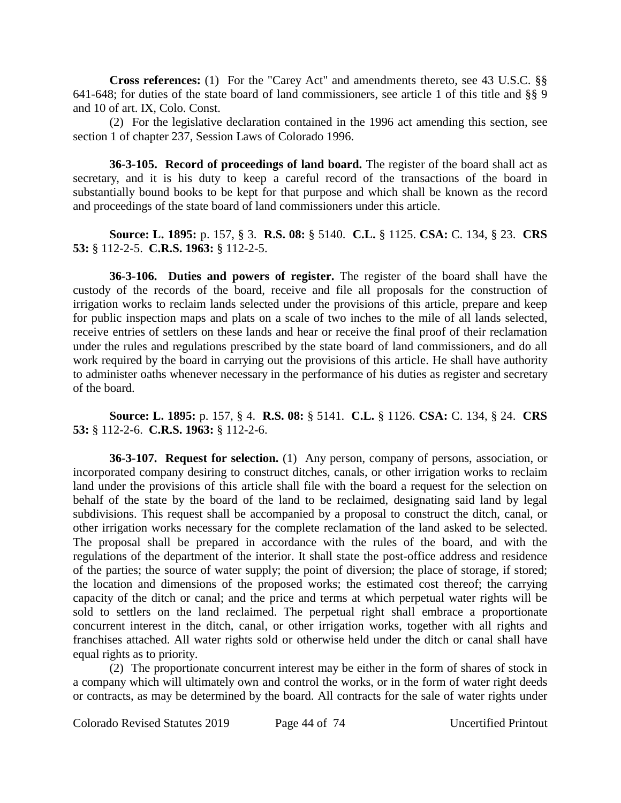**Cross references:** (1) For the "Carey Act" and amendments thereto, see 43 U.S.C. §§ 641-648; for duties of the state board of land commissioners, see article 1 of this title and §§ 9 and 10 of art. IX, Colo. Const.

(2) For the legislative declaration contained in the 1996 act amending this section, see section 1 of chapter 237, Session Laws of Colorado 1996.

**36-3-105. Record of proceedings of land board.** The register of the board shall act as secretary, and it is his duty to keep a careful record of the transactions of the board in substantially bound books to be kept for that purpose and which shall be known as the record and proceedings of the state board of land commissioners under this article.

# **Source: L. 1895:** p. 157, § 3. **R.S. 08:** § 5140. **C.L.** § 1125. **CSA:** C. 134, § 23. **CRS 53:** § 112-2-5. **C.R.S. 1963:** § 112-2-5.

**36-3-106. Duties and powers of register.** The register of the board shall have the custody of the records of the board, receive and file all proposals for the construction of irrigation works to reclaim lands selected under the provisions of this article, prepare and keep for public inspection maps and plats on a scale of two inches to the mile of all lands selected, receive entries of settlers on these lands and hear or receive the final proof of their reclamation under the rules and regulations prescribed by the state board of land commissioners, and do all work required by the board in carrying out the provisions of this article. He shall have authority to administer oaths whenever necessary in the performance of his duties as register and secretary of the board.

**Source: L. 1895:** p. 157, § 4. **R.S. 08:** § 5141. **C.L.** § 1126. **CSA:** C. 134, § 24. **CRS 53:** § 112-2-6. **C.R.S. 1963:** § 112-2-6.

**36-3-107. Request for selection.** (1) Any person, company of persons, association, or incorporated company desiring to construct ditches, canals, or other irrigation works to reclaim land under the provisions of this article shall file with the board a request for the selection on behalf of the state by the board of the land to be reclaimed, designating said land by legal subdivisions. This request shall be accompanied by a proposal to construct the ditch, canal, or other irrigation works necessary for the complete reclamation of the land asked to be selected. The proposal shall be prepared in accordance with the rules of the board, and with the regulations of the department of the interior. It shall state the post-office address and residence of the parties; the source of water supply; the point of diversion; the place of storage, if stored; the location and dimensions of the proposed works; the estimated cost thereof; the carrying capacity of the ditch or canal; and the price and terms at which perpetual water rights will be sold to settlers on the land reclaimed. The perpetual right shall embrace a proportionate concurrent interest in the ditch, canal, or other irrigation works, together with all rights and franchises attached. All water rights sold or otherwise held under the ditch or canal shall have equal rights as to priority.

(2) The proportionate concurrent interest may be either in the form of shares of stock in a company which will ultimately own and control the works, or in the form of water right deeds or contracts, as may be determined by the board. All contracts for the sale of water rights under

Colorado Revised Statutes 2019 Page 44 of 74 Uncertified Printout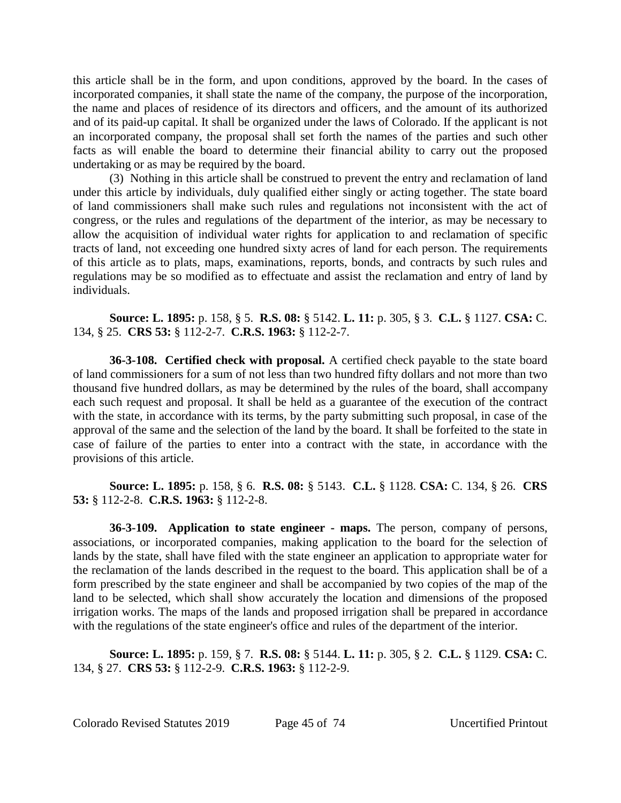this article shall be in the form, and upon conditions, approved by the board. In the cases of incorporated companies, it shall state the name of the company, the purpose of the incorporation, the name and places of residence of its directors and officers, and the amount of its authorized and of its paid-up capital. It shall be organized under the laws of Colorado. If the applicant is not an incorporated company, the proposal shall set forth the names of the parties and such other facts as will enable the board to determine their financial ability to carry out the proposed undertaking or as may be required by the board.

(3) Nothing in this article shall be construed to prevent the entry and reclamation of land under this article by individuals, duly qualified either singly or acting together. The state board of land commissioners shall make such rules and regulations not inconsistent with the act of congress, or the rules and regulations of the department of the interior, as may be necessary to allow the acquisition of individual water rights for application to and reclamation of specific tracts of land, not exceeding one hundred sixty acres of land for each person. The requirements of this article as to plats, maps, examinations, reports, bonds, and contracts by such rules and regulations may be so modified as to effectuate and assist the reclamation and entry of land by individuals.

**Source: L. 1895:** p. 158, § 5. **R.S. 08:** § 5142. **L. 11:** p. 305, § 3. **C.L.** § 1127. **CSA:** C. 134, § 25. **CRS 53:** § 112-2-7. **C.R.S. 1963:** § 112-2-7.

**36-3-108. Certified check with proposal.** A certified check payable to the state board of land commissioners for a sum of not less than two hundred fifty dollars and not more than two thousand five hundred dollars, as may be determined by the rules of the board, shall accompany each such request and proposal. It shall be held as a guarantee of the execution of the contract with the state, in accordance with its terms, by the party submitting such proposal, in case of the approval of the same and the selection of the land by the board. It shall be forfeited to the state in case of failure of the parties to enter into a contract with the state, in accordance with the provisions of this article.

**Source: L. 1895:** p. 158, § 6. **R.S. 08:** § 5143. **C.L.** § 1128. **CSA:** C. 134, § 26. **CRS 53:** § 112-2-8. **C.R.S. 1963:** § 112-2-8.

**36-3-109. Application to state engineer - maps.** The person, company of persons, associations, or incorporated companies, making application to the board for the selection of lands by the state, shall have filed with the state engineer an application to appropriate water for the reclamation of the lands described in the request to the board. This application shall be of a form prescribed by the state engineer and shall be accompanied by two copies of the map of the land to be selected, which shall show accurately the location and dimensions of the proposed irrigation works. The maps of the lands and proposed irrigation shall be prepared in accordance with the regulations of the state engineer's office and rules of the department of the interior.

**Source: L. 1895:** p. 159, § 7. **R.S. 08:** § 5144. **L. 11:** p. 305, § 2. **C.L.** § 1129. **CSA:** C. 134, § 27. **CRS 53:** § 112-2-9. **C.R.S. 1963:** § 112-2-9.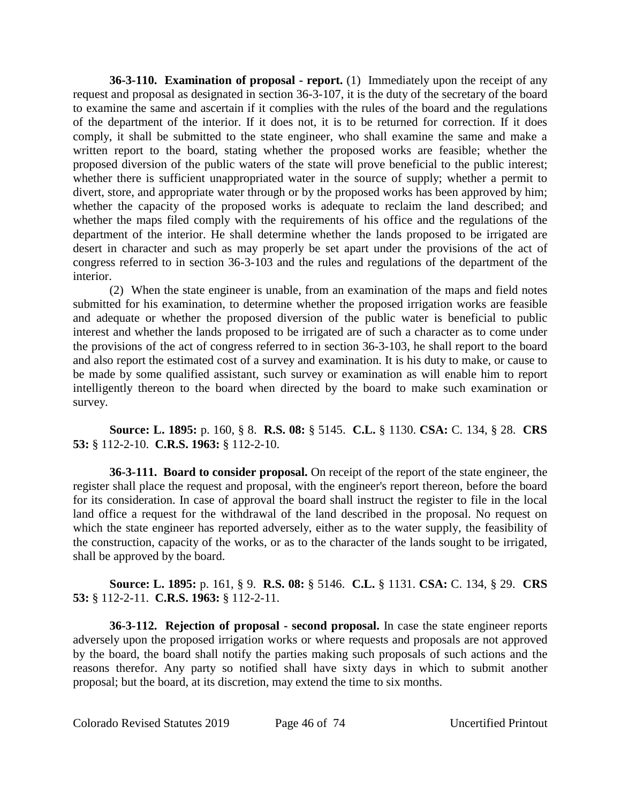**36-3-110. Examination of proposal - report.** (1) Immediately upon the receipt of any request and proposal as designated in section 36-3-107, it is the duty of the secretary of the board to examine the same and ascertain if it complies with the rules of the board and the regulations of the department of the interior. If it does not, it is to be returned for correction. If it does comply, it shall be submitted to the state engineer, who shall examine the same and make a written report to the board, stating whether the proposed works are feasible; whether the proposed diversion of the public waters of the state will prove beneficial to the public interest; whether there is sufficient unappropriated water in the source of supply; whether a permit to divert, store, and appropriate water through or by the proposed works has been approved by him; whether the capacity of the proposed works is adequate to reclaim the land described; and whether the maps filed comply with the requirements of his office and the regulations of the department of the interior. He shall determine whether the lands proposed to be irrigated are desert in character and such as may properly be set apart under the provisions of the act of congress referred to in section 36-3-103 and the rules and regulations of the department of the interior.

(2) When the state engineer is unable, from an examination of the maps and field notes submitted for his examination, to determine whether the proposed irrigation works are feasible and adequate or whether the proposed diversion of the public water is beneficial to public interest and whether the lands proposed to be irrigated are of such a character as to come under the provisions of the act of congress referred to in section 36-3-103, he shall report to the board and also report the estimated cost of a survey and examination. It is his duty to make, or cause to be made by some qualified assistant, such survey or examination as will enable him to report intelligently thereon to the board when directed by the board to make such examination or survey.

**Source: L. 1895:** p. 160, § 8. **R.S. 08:** § 5145. **C.L.** § 1130. **CSA:** C. 134, § 28. **CRS 53:** § 112-2-10. **C.R.S. 1963:** § 112-2-10.

**36-3-111. Board to consider proposal.** On receipt of the report of the state engineer, the register shall place the request and proposal, with the engineer's report thereon, before the board for its consideration. In case of approval the board shall instruct the register to file in the local land office a request for the withdrawal of the land described in the proposal. No request on which the state engineer has reported adversely, either as to the water supply, the feasibility of the construction, capacity of the works, or as to the character of the lands sought to be irrigated, shall be approved by the board.

**Source: L. 1895:** p. 161, § 9. **R.S. 08:** § 5146. **C.L.** § 1131. **CSA:** C. 134, § 29. **CRS 53:** § 112-2-11. **C.R.S. 1963:** § 112-2-11.

**36-3-112. Rejection of proposal - second proposal.** In case the state engineer reports adversely upon the proposed irrigation works or where requests and proposals are not approved by the board, the board shall notify the parties making such proposals of such actions and the reasons therefor. Any party so notified shall have sixty days in which to submit another proposal; but the board, at its discretion, may extend the time to six months.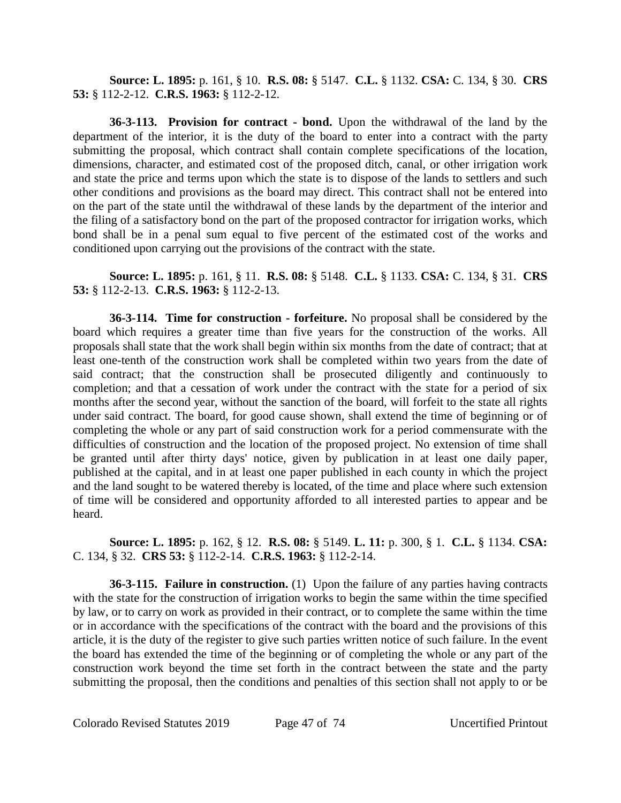**Source: L. 1895:** p. 161, § 10. **R.S. 08:** § 5147. **C.L.** § 1132. **CSA:** C. 134, § 30. **CRS 53:** § 112-2-12. **C.R.S. 1963:** § 112-2-12.

**36-3-113. Provision for contract - bond.** Upon the withdrawal of the land by the department of the interior, it is the duty of the board to enter into a contract with the party submitting the proposal, which contract shall contain complete specifications of the location, dimensions, character, and estimated cost of the proposed ditch, canal, or other irrigation work and state the price and terms upon which the state is to dispose of the lands to settlers and such other conditions and provisions as the board may direct. This contract shall not be entered into on the part of the state until the withdrawal of these lands by the department of the interior and the filing of a satisfactory bond on the part of the proposed contractor for irrigation works, which bond shall be in a penal sum equal to five percent of the estimated cost of the works and conditioned upon carrying out the provisions of the contract with the state.

**Source: L. 1895:** p. 161, § 11. **R.S. 08:** § 5148. **C.L.** § 1133. **CSA:** C. 134, § 31. **CRS 53:** § 112-2-13. **C.R.S. 1963:** § 112-2-13.

**36-3-114. Time for construction - forfeiture.** No proposal shall be considered by the board which requires a greater time than five years for the construction of the works. All proposals shall state that the work shall begin within six months from the date of contract; that at least one-tenth of the construction work shall be completed within two years from the date of said contract; that the construction shall be prosecuted diligently and continuously to completion; and that a cessation of work under the contract with the state for a period of six months after the second year, without the sanction of the board, will forfeit to the state all rights under said contract. The board, for good cause shown, shall extend the time of beginning or of completing the whole or any part of said construction work for a period commensurate with the difficulties of construction and the location of the proposed project. No extension of time shall be granted until after thirty days' notice, given by publication in at least one daily paper, published at the capital, and in at least one paper published in each county in which the project and the land sought to be watered thereby is located, of the time and place where such extension of time will be considered and opportunity afforded to all interested parties to appear and be heard.

**Source: L. 1895:** p. 162, § 12. **R.S. 08:** § 5149. **L. 11:** p. 300, § 1. **C.L.** § 1134. **CSA:** C. 134, § 32. **CRS 53:** § 112-2-14. **C.R.S. 1963:** § 112-2-14.

**36-3-115. Failure in construction.** (1) Upon the failure of any parties having contracts with the state for the construction of irrigation works to begin the same within the time specified by law, or to carry on work as provided in their contract, or to complete the same within the time or in accordance with the specifications of the contract with the board and the provisions of this article, it is the duty of the register to give such parties written notice of such failure. In the event the board has extended the time of the beginning or of completing the whole or any part of the construction work beyond the time set forth in the contract between the state and the party submitting the proposal, then the conditions and penalties of this section shall not apply to or be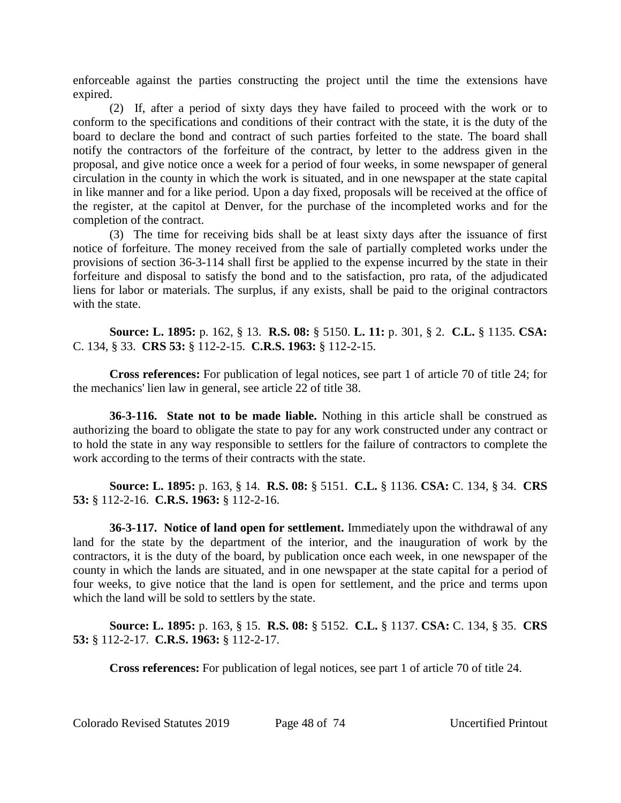enforceable against the parties constructing the project until the time the extensions have expired.

(2) If, after a period of sixty days they have failed to proceed with the work or to conform to the specifications and conditions of their contract with the state, it is the duty of the board to declare the bond and contract of such parties forfeited to the state. The board shall notify the contractors of the forfeiture of the contract, by letter to the address given in the proposal, and give notice once a week for a period of four weeks, in some newspaper of general circulation in the county in which the work is situated, and in one newspaper at the state capital in like manner and for a like period. Upon a day fixed, proposals will be received at the office of the register, at the capitol at Denver, for the purchase of the incompleted works and for the completion of the contract.

(3) The time for receiving bids shall be at least sixty days after the issuance of first notice of forfeiture. The money received from the sale of partially completed works under the provisions of section 36-3-114 shall first be applied to the expense incurred by the state in their forfeiture and disposal to satisfy the bond and to the satisfaction, pro rata, of the adjudicated liens for labor or materials. The surplus, if any exists, shall be paid to the original contractors with the state.

**Source: L. 1895:** p. 162, § 13. **R.S. 08:** § 5150. **L. 11:** p. 301, § 2. **C.L.** § 1135. **CSA:** C. 134, § 33. **CRS 53:** § 112-2-15. **C.R.S. 1963:** § 112-2-15.

**Cross references:** For publication of legal notices, see part 1 of article 70 of title 24; for the mechanics' lien law in general, see article 22 of title 38.

**36-3-116. State not to be made liable.** Nothing in this article shall be construed as authorizing the board to obligate the state to pay for any work constructed under any contract or to hold the state in any way responsible to settlers for the failure of contractors to complete the work according to the terms of their contracts with the state.

**Source: L. 1895:** p. 163, § 14. **R.S. 08:** § 5151. **C.L.** § 1136. **CSA:** C. 134, § 34. **CRS 53:** § 112-2-16. **C.R.S. 1963:** § 112-2-16.

**36-3-117. Notice of land open for settlement.** Immediately upon the withdrawal of any land for the state by the department of the interior, and the inauguration of work by the contractors, it is the duty of the board, by publication once each week, in one newspaper of the county in which the lands are situated, and in one newspaper at the state capital for a period of four weeks, to give notice that the land is open for settlement, and the price and terms upon which the land will be sold to settlers by the state.

**Source: L. 1895:** p. 163, § 15. **R.S. 08:** § 5152. **C.L.** § 1137. **CSA:** C. 134, § 35. **CRS 53:** § 112-2-17. **C.R.S. 1963:** § 112-2-17.

**Cross references:** For publication of legal notices, see part 1 of article 70 of title 24.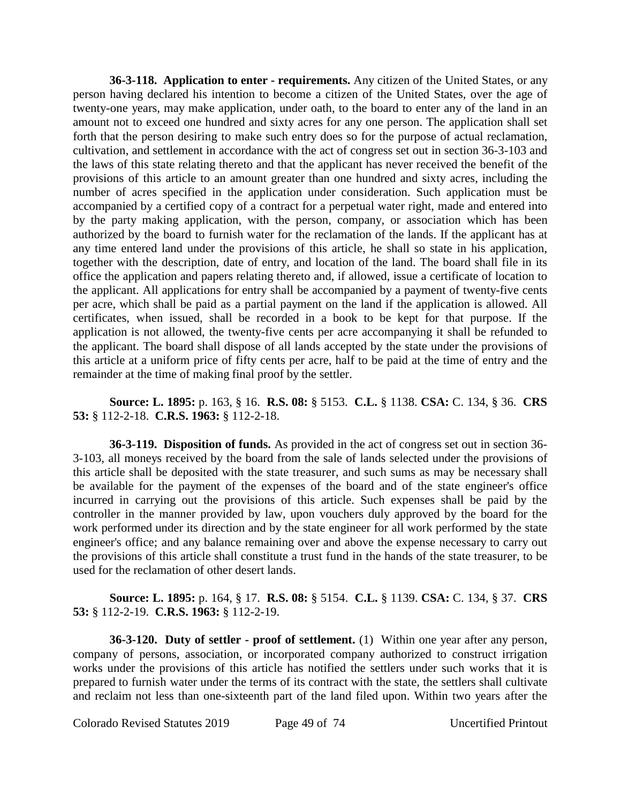**36-3-118. Application to enter - requirements.** Any citizen of the United States, or any person having declared his intention to become a citizen of the United States, over the age of twenty-one years, may make application, under oath, to the board to enter any of the land in an amount not to exceed one hundred and sixty acres for any one person. The application shall set forth that the person desiring to make such entry does so for the purpose of actual reclamation, cultivation, and settlement in accordance with the act of congress set out in section 36-3-103 and the laws of this state relating thereto and that the applicant has never received the benefit of the provisions of this article to an amount greater than one hundred and sixty acres, including the number of acres specified in the application under consideration. Such application must be accompanied by a certified copy of a contract for a perpetual water right, made and entered into by the party making application, with the person, company, or association which has been authorized by the board to furnish water for the reclamation of the lands. If the applicant has at any time entered land under the provisions of this article, he shall so state in his application, together with the description, date of entry, and location of the land. The board shall file in its office the application and papers relating thereto and, if allowed, issue a certificate of location to the applicant. All applications for entry shall be accompanied by a payment of twenty-five cents per acre, which shall be paid as a partial payment on the land if the application is allowed. All certificates, when issued, shall be recorded in a book to be kept for that purpose. If the application is not allowed, the twenty-five cents per acre accompanying it shall be refunded to the applicant. The board shall dispose of all lands accepted by the state under the provisions of this article at a uniform price of fifty cents per acre, half to be paid at the time of entry and the remainder at the time of making final proof by the settler.

# **Source: L. 1895:** p. 163, § 16. **R.S. 08:** § 5153. **C.L.** § 1138. **CSA:** C. 134, § 36. **CRS 53:** § 112-2-18. **C.R.S. 1963:** § 112-2-18.

**36-3-119. Disposition of funds.** As provided in the act of congress set out in section 36- 3-103, all moneys received by the board from the sale of lands selected under the provisions of this article shall be deposited with the state treasurer, and such sums as may be necessary shall be available for the payment of the expenses of the board and of the state engineer's office incurred in carrying out the provisions of this article. Such expenses shall be paid by the controller in the manner provided by law, upon vouchers duly approved by the board for the work performed under its direction and by the state engineer for all work performed by the state engineer's office; and any balance remaining over and above the expense necessary to carry out the provisions of this article shall constitute a trust fund in the hands of the state treasurer, to be used for the reclamation of other desert lands.

**Source: L. 1895:** p. 164, § 17. **R.S. 08:** § 5154. **C.L.** § 1139. **CSA:** C. 134, § 37. **CRS 53:** § 112-2-19. **C.R.S. 1963:** § 112-2-19.

**36-3-120. Duty of settler - proof of settlement.** (1) Within one year after any person, company of persons, association, or incorporated company authorized to construct irrigation works under the provisions of this article has notified the settlers under such works that it is prepared to furnish water under the terms of its contract with the state, the settlers shall cultivate and reclaim not less than one-sixteenth part of the land filed upon. Within two years after the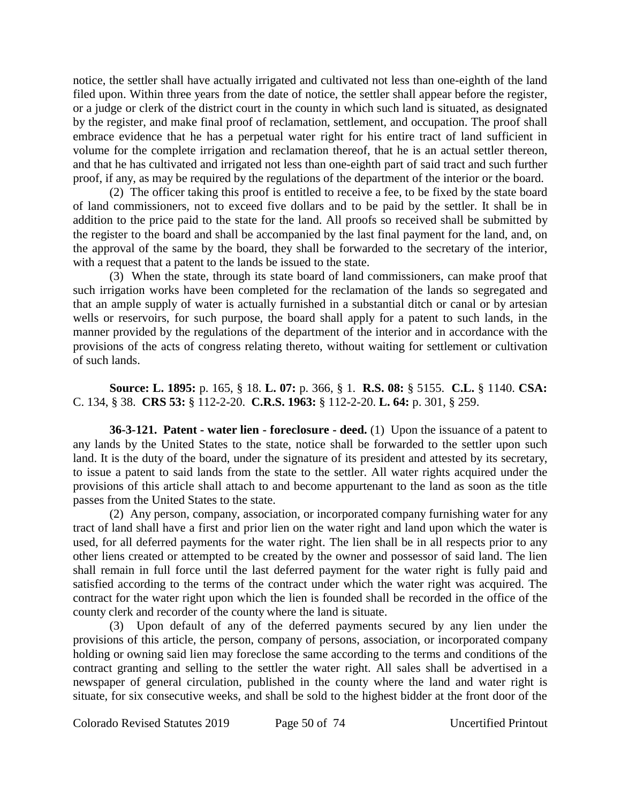notice, the settler shall have actually irrigated and cultivated not less than one-eighth of the land filed upon. Within three years from the date of notice, the settler shall appear before the register, or a judge or clerk of the district court in the county in which such land is situated, as designated by the register, and make final proof of reclamation, settlement, and occupation. The proof shall embrace evidence that he has a perpetual water right for his entire tract of land sufficient in volume for the complete irrigation and reclamation thereof, that he is an actual settler thereon, and that he has cultivated and irrigated not less than one-eighth part of said tract and such further proof, if any, as may be required by the regulations of the department of the interior or the board.

(2) The officer taking this proof is entitled to receive a fee, to be fixed by the state board of land commissioners, not to exceed five dollars and to be paid by the settler. It shall be in addition to the price paid to the state for the land. All proofs so received shall be submitted by the register to the board and shall be accompanied by the last final payment for the land, and, on the approval of the same by the board, they shall be forwarded to the secretary of the interior, with a request that a patent to the lands be issued to the state.

(3) When the state, through its state board of land commissioners, can make proof that such irrigation works have been completed for the reclamation of the lands so segregated and that an ample supply of water is actually furnished in a substantial ditch or canal or by artesian wells or reservoirs, for such purpose, the board shall apply for a patent to such lands, in the manner provided by the regulations of the department of the interior and in accordance with the provisions of the acts of congress relating thereto, without waiting for settlement or cultivation of such lands.

**Source: L. 1895:** p. 165, § 18. **L. 07:** p. 366, § 1. **R.S. 08:** § 5155. **C.L.** § 1140. **CSA:** C. 134, § 38. **CRS 53:** § 112-2-20. **C.R.S. 1963:** § 112-2-20. **L. 64:** p. 301, § 259.

**36-3-121. Patent - water lien - foreclosure - deed.** (1) Upon the issuance of a patent to any lands by the United States to the state, notice shall be forwarded to the settler upon such land. It is the duty of the board, under the signature of its president and attested by its secretary, to issue a patent to said lands from the state to the settler. All water rights acquired under the provisions of this article shall attach to and become appurtenant to the land as soon as the title passes from the United States to the state.

(2) Any person, company, association, or incorporated company furnishing water for any tract of land shall have a first and prior lien on the water right and land upon which the water is used, for all deferred payments for the water right. The lien shall be in all respects prior to any other liens created or attempted to be created by the owner and possessor of said land. The lien shall remain in full force until the last deferred payment for the water right is fully paid and satisfied according to the terms of the contract under which the water right was acquired. The contract for the water right upon which the lien is founded shall be recorded in the office of the county clerk and recorder of the county where the land is situate.

(3) Upon default of any of the deferred payments secured by any lien under the provisions of this article, the person, company of persons, association, or incorporated company holding or owning said lien may foreclose the same according to the terms and conditions of the contract granting and selling to the settler the water right. All sales shall be advertised in a newspaper of general circulation, published in the county where the land and water right is situate, for six consecutive weeks, and shall be sold to the highest bidder at the front door of the

Colorado Revised Statutes 2019 Page 50 of 74 Uncertified Printout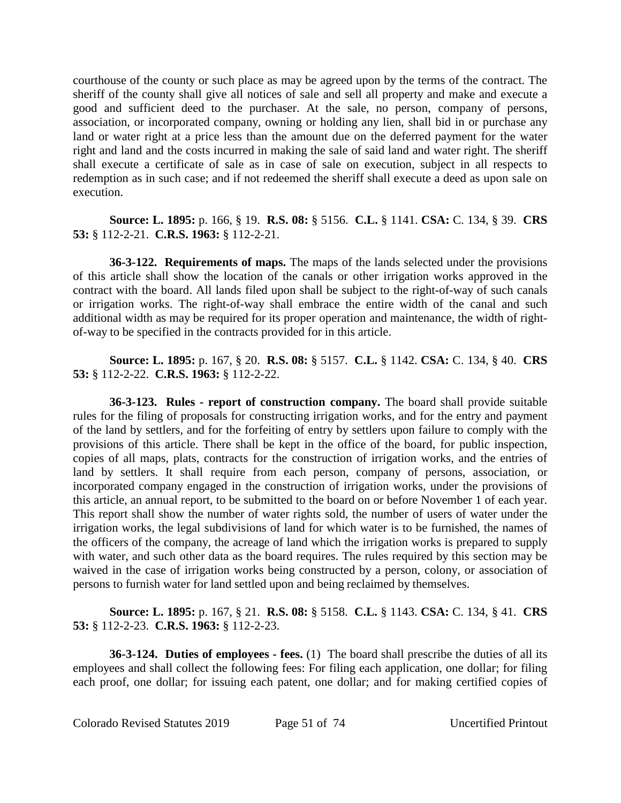courthouse of the county or such place as may be agreed upon by the terms of the contract. The sheriff of the county shall give all notices of sale and sell all property and make and execute a good and sufficient deed to the purchaser. At the sale, no person, company of persons, association, or incorporated company, owning or holding any lien, shall bid in or purchase any land or water right at a price less than the amount due on the deferred payment for the water right and land and the costs incurred in making the sale of said land and water right. The sheriff shall execute a certificate of sale as in case of sale on execution, subject in all respects to redemption as in such case; and if not redeemed the sheriff shall execute a deed as upon sale on execution.

**Source: L. 1895:** p. 166, § 19. **R.S. 08:** § 5156. **C.L.** § 1141. **CSA:** C. 134, § 39. **CRS 53:** § 112-2-21. **C.R.S. 1963:** § 112-2-21.

**36-3-122. Requirements of maps.** The maps of the lands selected under the provisions of this article shall show the location of the canals or other irrigation works approved in the contract with the board. All lands filed upon shall be subject to the right-of-way of such canals or irrigation works. The right-of-way shall embrace the entire width of the canal and such additional width as may be required for its proper operation and maintenance, the width of rightof-way to be specified in the contracts provided for in this article.

**Source: L. 1895:** p. 167, § 20. **R.S. 08:** § 5157. **C.L.** § 1142. **CSA:** C. 134, § 40. **CRS 53:** § 112-2-22. **C.R.S. 1963:** § 112-2-22.

**36-3-123. Rules - report of construction company.** The board shall provide suitable rules for the filing of proposals for constructing irrigation works, and for the entry and payment of the land by settlers, and for the forfeiting of entry by settlers upon failure to comply with the provisions of this article. There shall be kept in the office of the board, for public inspection, copies of all maps, plats, contracts for the construction of irrigation works, and the entries of land by settlers. It shall require from each person, company of persons, association, or incorporated company engaged in the construction of irrigation works, under the provisions of this article, an annual report, to be submitted to the board on or before November 1 of each year. This report shall show the number of water rights sold, the number of users of water under the irrigation works, the legal subdivisions of land for which water is to be furnished, the names of the officers of the company, the acreage of land which the irrigation works is prepared to supply with water, and such other data as the board requires. The rules required by this section may be waived in the case of irrigation works being constructed by a person, colony, or association of persons to furnish water for land settled upon and being reclaimed by themselves.

# **Source: L. 1895:** p. 167, § 21. **R.S. 08:** § 5158. **C.L.** § 1143. **CSA:** C. 134, § 41. **CRS 53:** § 112-2-23. **C.R.S. 1963:** § 112-2-23.

**36-3-124. Duties of employees - fees.** (1) The board shall prescribe the duties of all its employees and shall collect the following fees: For filing each application, one dollar; for filing each proof, one dollar; for issuing each patent, one dollar; and for making certified copies of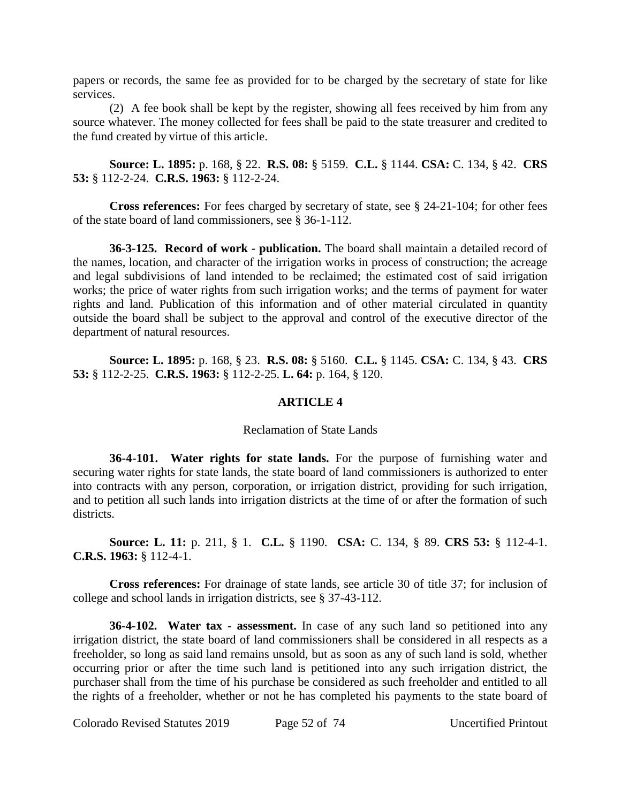papers or records, the same fee as provided for to be charged by the secretary of state for like services.

(2) A fee book shall be kept by the register, showing all fees received by him from any source whatever. The money collected for fees shall be paid to the state treasurer and credited to the fund created by virtue of this article.

**Source: L. 1895:** p. 168, § 22. **R.S. 08:** § 5159. **C.L.** § 1144. **CSA:** C. 134, § 42. **CRS 53:** § 112-2-24. **C.R.S. 1963:** § 112-2-24.

**Cross references:** For fees charged by secretary of state, see § 24-21-104; for other fees of the state board of land commissioners, see § 36-1-112.

**36-3-125. Record of work - publication.** The board shall maintain a detailed record of the names, location, and character of the irrigation works in process of construction; the acreage and legal subdivisions of land intended to be reclaimed; the estimated cost of said irrigation works; the price of water rights from such irrigation works; and the terms of payment for water rights and land. Publication of this information and of other material circulated in quantity outside the board shall be subject to the approval and control of the executive director of the department of natural resources.

**Source: L. 1895:** p. 168, § 23. **R.S. 08:** § 5160. **C.L.** § 1145. **CSA:** C. 134, § 43. **CRS 53:** § 112-2-25. **C.R.S. 1963:** § 112-2-25. **L. 64:** p. 164, § 120.

# **ARTICLE 4**

## Reclamation of State Lands

**36-4-101. Water rights for state lands.** For the purpose of furnishing water and securing water rights for state lands, the state board of land commissioners is authorized to enter into contracts with any person, corporation, or irrigation district, providing for such irrigation, and to petition all such lands into irrigation districts at the time of or after the formation of such districts.

**Source: L. 11:** p. 211, § 1. **C.L.** § 1190. **CSA:** C. 134, § 89. **CRS 53:** § 112-4-1. **C.R.S. 1963:** § 112-4-1.

**Cross references:** For drainage of state lands, see article 30 of title 37; for inclusion of college and school lands in irrigation districts, see § 37-43-112.

**36-4-102. Water tax - assessment.** In case of any such land so petitioned into any irrigation district, the state board of land commissioners shall be considered in all respects as a freeholder, so long as said land remains unsold, but as soon as any of such land is sold, whether occurring prior or after the time such land is petitioned into any such irrigation district, the purchaser shall from the time of his purchase be considered as such freeholder and entitled to all the rights of a freeholder, whether or not he has completed his payments to the state board of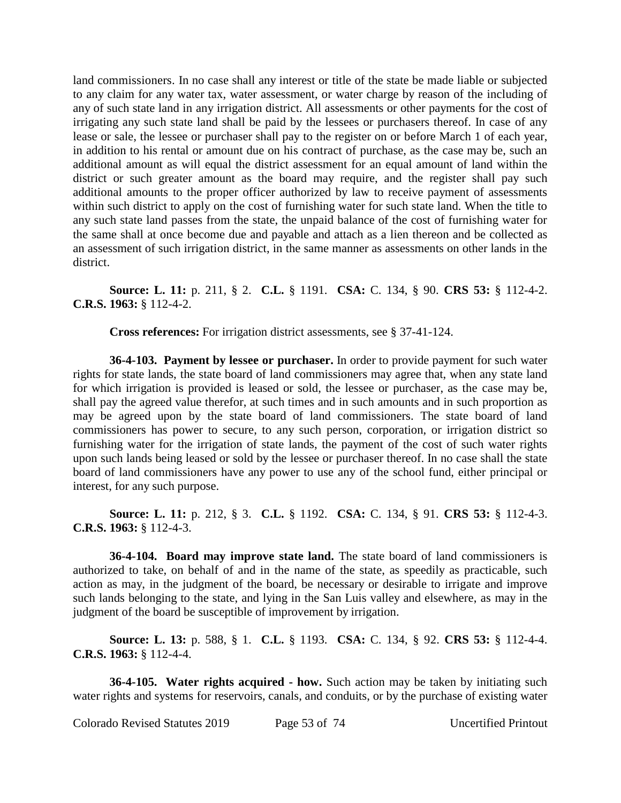land commissioners. In no case shall any interest or title of the state be made liable or subjected to any claim for any water tax, water assessment, or water charge by reason of the including of any of such state land in any irrigation district. All assessments or other payments for the cost of irrigating any such state land shall be paid by the lessees or purchasers thereof. In case of any lease or sale, the lessee or purchaser shall pay to the register on or before March 1 of each year, in addition to his rental or amount due on his contract of purchase, as the case may be, such an additional amount as will equal the district assessment for an equal amount of land within the district or such greater amount as the board may require, and the register shall pay such additional amounts to the proper officer authorized by law to receive payment of assessments within such district to apply on the cost of furnishing water for such state land. When the title to any such state land passes from the state, the unpaid balance of the cost of furnishing water for the same shall at once become due and payable and attach as a lien thereon and be collected as an assessment of such irrigation district, in the same manner as assessments on other lands in the district.

**Source: L. 11:** p. 211, § 2. **C.L.** § 1191. **CSA:** C. 134, § 90. **CRS 53:** § 112-4-2. **C.R.S. 1963:** § 112-4-2.

**Cross references:** For irrigation district assessments, see § 37-41-124.

**36-4-103. Payment by lessee or purchaser.** In order to provide payment for such water rights for state lands, the state board of land commissioners may agree that, when any state land for which irrigation is provided is leased or sold, the lessee or purchaser, as the case may be, shall pay the agreed value therefor, at such times and in such amounts and in such proportion as may be agreed upon by the state board of land commissioners. The state board of land commissioners has power to secure, to any such person, corporation, or irrigation district so furnishing water for the irrigation of state lands, the payment of the cost of such water rights upon such lands being leased or sold by the lessee or purchaser thereof. In no case shall the state board of land commissioners have any power to use any of the school fund, either principal or interest, for any such purpose.

**Source: L. 11:** p. 212, § 3. **C.L.** § 1192. **CSA:** C. 134, § 91. **CRS 53:** § 112-4-3. **C.R.S. 1963:** § 112-4-3.

**36-4-104. Board may improve state land.** The state board of land commissioners is authorized to take, on behalf of and in the name of the state, as speedily as practicable, such action as may, in the judgment of the board, be necessary or desirable to irrigate and improve such lands belonging to the state, and lying in the San Luis valley and elsewhere, as may in the judgment of the board be susceptible of improvement by irrigation.

**Source: L. 13:** p. 588, § 1. **C.L.** § 1193. **CSA:** C. 134, § 92. **CRS 53:** § 112-4-4. **C.R.S. 1963:** § 112-4-4.

**36-4-105. Water rights acquired - how.** Such action may be taken by initiating such water rights and systems for reservoirs, canals, and conduits, or by the purchase of existing water

Colorado Revised Statutes 2019 Page 53 of 74 Uncertified Printout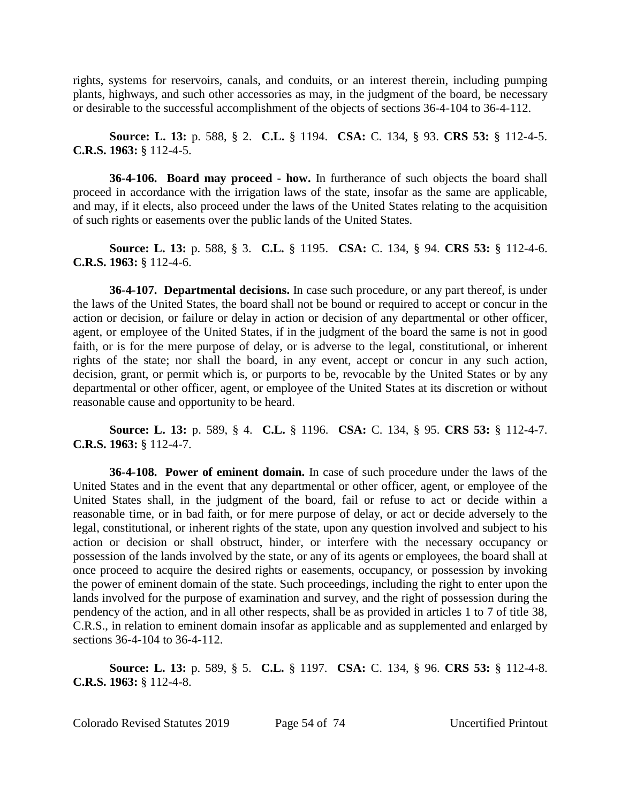rights, systems for reservoirs, canals, and conduits, or an interest therein, including pumping plants, highways, and such other accessories as may, in the judgment of the board, be necessary or desirable to the successful accomplishment of the objects of sections 36-4-104 to 36-4-112.

**Source: L. 13:** p. 588, § 2. **C.L.** § 1194. **CSA:** C. 134, § 93. **CRS 53:** § 112-4-5. **C.R.S. 1963:** § 112-4-5.

**36-4-106. Board may proceed - how.** In furtherance of such objects the board shall proceed in accordance with the irrigation laws of the state, insofar as the same are applicable, and may, if it elects, also proceed under the laws of the United States relating to the acquisition of such rights or easements over the public lands of the United States.

**Source: L. 13:** p. 588, § 3. **C.L.** § 1195. **CSA:** C. 134, § 94. **CRS 53:** § 112-4-6. **C.R.S. 1963:** § 112-4-6.

**36-4-107. Departmental decisions.** In case such procedure, or any part thereof, is under the laws of the United States, the board shall not be bound or required to accept or concur in the action or decision, or failure or delay in action or decision of any departmental or other officer, agent, or employee of the United States, if in the judgment of the board the same is not in good faith, or is for the mere purpose of delay, or is adverse to the legal, constitutional, or inherent rights of the state; nor shall the board, in any event, accept or concur in any such action, decision, grant, or permit which is, or purports to be, revocable by the United States or by any departmental or other officer, agent, or employee of the United States at its discretion or without reasonable cause and opportunity to be heard.

**Source: L. 13:** p. 589, § 4. **C.L.** § 1196. **CSA:** C. 134, § 95. **CRS 53:** § 112-4-7. **C.R.S. 1963:** § 112-4-7.

**36-4-108. Power of eminent domain.** In case of such procedure under the laws of the United States and in the event that any departmental or other officer, agent, or employee of the United States shall, in the judgment of the board, fail or refuse to act or decide within a reasonable time, or in bad faith, or for mere purpose of delay, or act or decide adversely to the legal, constitutional, or inherent rights of the state, upon any question involved and subject to his action or decision or shall obstruct, hinder, or interfere with the necessary occupancy or possession of the lands involved by the state, or any of its agents or employees, the board shall at once proceed to acquire the desired rights or easements, occupancy, or possession by invoking the power of eminent domain of the state. Such proceedings, including the right to enter upon the lands involved for the purpose of examination and survey, and the right of possession during the pendency of the action, and in all other respects, shall be as provided in articles 1 to 7 of title 38, C.R.S., in relation to eminent domain insofar as applicable and as supplemented and enlarged by sections 36-4-104 to 36-4-112.

**Source: L. 13:** p. 589, § 5. **C.L.** § 1197. **CSA:** C. 134, § 96. **CRS 53:** § 112-4-8. **C.R.S. 1963:** § 112-4-8.

Colorado Revised Statutes 2019 Page 54 of 74 Uncertified Printout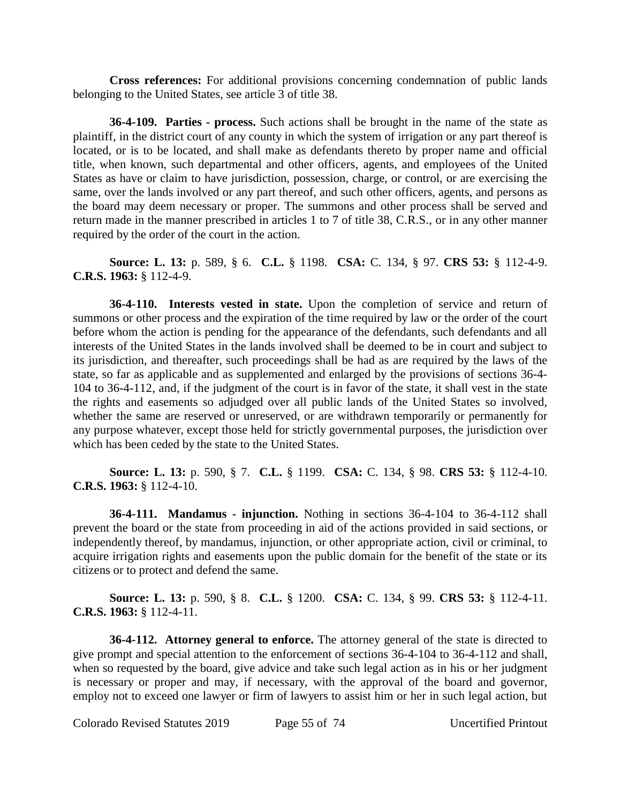**Cross references:** For additional provisions concerning condemnation of public lands belonging to the United States, see article 3 of title 38.

**36-4-109. Parties - process.** Such actions shall be brought in the name of the state as plaintiff, in the district court of any county in which the system of irrigation or any part thereof is located, or is to be located, and shall make as defendants thereto by proper name and official title, when known, such departmental and other officers, agents, and employees of the United States as have or claim to have jurisdiction, possession, charge, or control, or are exercising the same, over the lands involved or any part thereof, and such other officers, agents, and persons as the board may deem necessary or proper. The summons and other process shall be served and return made in the manner prescribed in articles 1 to 7 of title 38, C.R.S., or in any other manner required by the order of the court in the action.

**Source: L. 13:** p. 589, § 6. **C.L.** § 1198. **CSA:** C. 134, § 97. **CRS 53:** § 112-4-9. **C.R.S. 1963:** § 112-4-9.

**36-4-110. Interests vested in state.** Upon the completion of service and return of summons or other process and the expiration of the time required by law or the order of the court before whom the action is pending for the appearance of the defendants, such defendants and all interests of the United States in the lands involved shall be deemed to be in court and subject to its jurisdiction, and thereafter, such proceedings shall be had as are required by the laws of the state, so far as applicable and as supplemented and enlarged by the provisions of sections 36-4- 104 to 36-4-112, and, if the judgment of the court is in favor of the state, it shall vest in the state the rights and easements so adjudged over all public lands of the United States so involved, whether the same are reserved or unreserved, or are withdrawn temporarily or permanently for any purpose whatever, except those held for strictly governmental purposes, the jurisdiction over which has been ceded by the state to the United States.

**Source: L. 13:** p. 590, § 7. **C.L.** § 1199. **CSA:** C. 134, § 98. **CRS 53:** § 112-4-10. **C.R.S. 1963:** § 112-4-10.

**36-4-111. Mandamus - injunction.** Nothing in sections 36-4-104 to 36-4-112 shall prevent the board or the state from proceeding in aid of the actions provided in said sections, or independently thereof, by mandamus, injunction, or other appropriate action, civil or criminal, to acquire irrigation rights and easements upon the public domain for the benefit of the state or its citizens or to protect and defend the same.

**Source: L. 13:** p. 590, § 8. **C.L.** § 1200. **CSA:** C. 134, § 99. **CRS 53:** § 112-4-11. **C.R.S. 1963:** § 112-4-11.

**36-4-112. Attorney general to enforce.** The attorney general of the state is directed to give prompt and special attention to the enforcement of sections 36-4-104 to 36-4-112 and shall, when so requested by the board, give advice and take such legal action as in his or her judgment is necessary or proper and may, if necessary, with the approval of the board and governor, employ not to exceed one lawyer or firm of lawyers to assist him or her in such legal action, but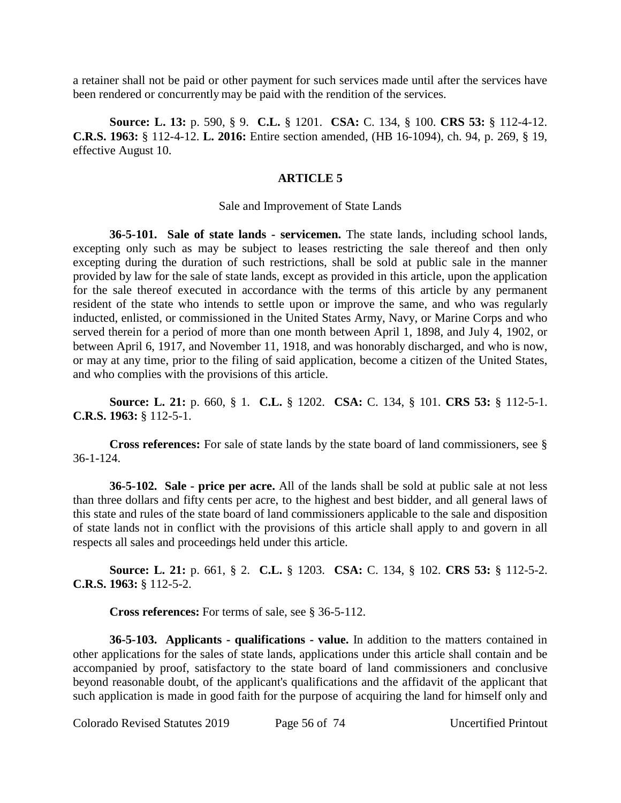a retainer shall not be paid or other payment for such services made until after the services have been rendered or concurrently may be paid with the rendition of the services.

**Source: L. 13:** p. 590, § 9. **C.L.** § 1201. **CSA:** C. 134, § 100. **CRS 53:** § 112-4-12. **C.R.S. 1963:** § 112-4-12. **L. 2016:** Entire section amended, (HB 16-1094), ch. 94, p. 269, § 19, effective August 10.

# **ARTICLE 5**

### Sale and Improvement of State Lands

**36-5-101. Sale of state lands - servicemen.** The state lands, including school lands, excepting only such as may be subject to leases restricting the sale thereof and then only excepting during the duration of such restrictions, shall be sold at public sale in the manner provided by law for the sale of state lands, except as provided in this article, upon the application for the sale thereof executed in accordance with the terms of this article by any permanent resident of the state who intends to settle upon or improve the same, and who was regularly inducted, enlisted, or commissioned in the United States Army, Navy, or Marine Corps and who served therein for a period of more than one month between April 1, 1898, and July 4, 1902, or between April 6, 1917, and November 11, 1918, and was honorably discharged, and who is now, or may at any time, prior to the filing of said application, become a citizen of the United States, and who complies with the provisions of this article.

**Source: L. 21:** p. 660, § 1. **C.L.** § 1202. **CSA:** C. 134, § 101. **CRS 53:** § 112-5-1. **C.R.S. 1963:** § 112-5-1.

**Cross references:** For sale of state lands by the state board of land commissioners, see § 36-1-124.

**36-5-102. Sale - price per acre.** All of the lands shall be sold at public sale at not less than three dollars and fifty cents per acre, to the highest and best bidder, and all general laws of this state and rules of the state board of land commissioners applicable to the sale and disposition of state lands not in conflict with the provisions of this article shall apply to and govern in all respects all sales and proceedings held under this article.

**Source: L. 21:** p. 661, § 2. **C.L.** § 1203. **CSA:** C. 134, § 102. **CRS 53:** § 112-5-2. **C.R.S. 1963:** § 112-5-2.

**Cross references:** For terms of sale, see § 36-5-112.

**36-5-103. Applicants - qualifications - value.** In addition to the matters contained in other applications for the sales of state lands, applications under this article shall contain and be accompanied by proof, satisfactory to the state board of land commissioners and conclusive beyond reasonable doubt, of the applicant's qualifications and the affidavit of the applicant that such application is made in good faith for the purpose of acquiring the land for himself only and

Colorado Revised Statutes 2019 Page 56 of 74 Uncertified Printout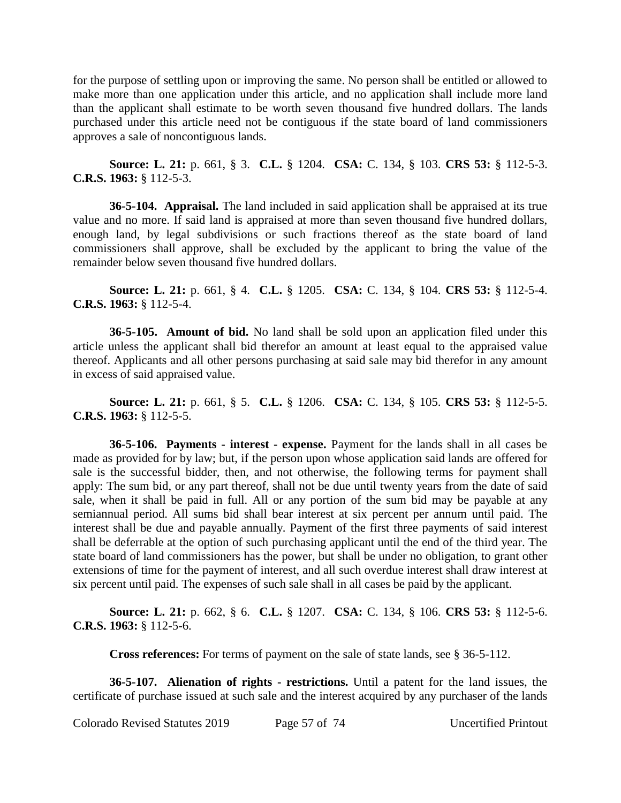for the purpose of settling upon or improving the same. No person shall be entitled or allowed to make more than one application under this article, and no application shall include more land than the applicant shall estimate to be worth seven thousand five hundred dollars. The lands purchased under this article need not be contiguous if the state board of land commissioners approves a sale of noncontiguous lands.

**Source: L. 21:** p. 661, § 3. **C.L.** § 1204. **CSA:** C. 134, § 103. **CRS 53:** § 112-5-3. **C.R.S. 1963:** § 112-5-3.

**36-5-104. Appraisal.** The land included in said application shall be appraised at its true value and no more. If said land is appraised at more than seven thousand five hundred dollars, enough land, by legal subdivisions or such fractions thereof as the state board of land commissioners shall approve, shall be excluded by the applicant to bring the value of the remainder below seven thousand five hundred dollars.

**Source: L. 21:** p. 661, § 4. **C.L.** § 1205. **CSA:** C. 134, § 104. **CRS 53:** § 112-5-4. **C.R.S. 1963:** § 112-5-4.

**36-5-105. Amount of bid.** No land shall be sold upon an application filed under this article unless the applicant shall bid therefor an amount at least equal to the appraised value thereof. Applicants and all other persons purchasing at said sale may bid therefor in any amount in excess of said appraised value.

**Source: L. 21:** p. 661, § 5. **C.L.** § 1206. **CSA:** C. 134, § 105. **CRS 53:** § 112-5-5. **C.R.S. 1963:** § 112-5-5.

**36-5-106. Payments - interest - expense.** Payment for the lands shall in all cases be made as provided for by law; but, if the person upon whose application said lands are offered for sale is the successful bidder, then, and not otherwise, the following terms for payment shall apply: The sum bid, or any part thereof, shall not be due until twenty years from the date of said sale, when it shall be paid in full. All or any portion of the sum bid may be payable at any semiannual period. All sums bid shall bear interest at six percent per annum until paid. The interest shall be due and payable annually. Payment of the first three payments of said interest shall be deferrable at the option of such purchasing applicant until the end of the third year. The state board of land commissioners has the power, but shall be under no obligation, to grant other extensions of time for the payment of interest, and all such overdue interest shall draw interest at six percent until paid. The expenses of such sale shall in all cases be paid by the applicant.

**Source: L. 21:** p. 662, § 6. **C.L.** § 1207. **CSA:** C. 134, § 106. **CRS 53:** § 112-5-6. **C.R.S. 1963:** § 112-5-6.

**Cross references:** For terms of payment on the sale of state lands, see § 36-5-112.

**36-5-107. Alienation of rights - restrictions.** Until a patent for the land issues, the certificate of purchase issued at such sale and the interest acquired by any purchaser of the lands

Colorado Revised Statutes 2019 Page 57 of 74 Uncertified Printout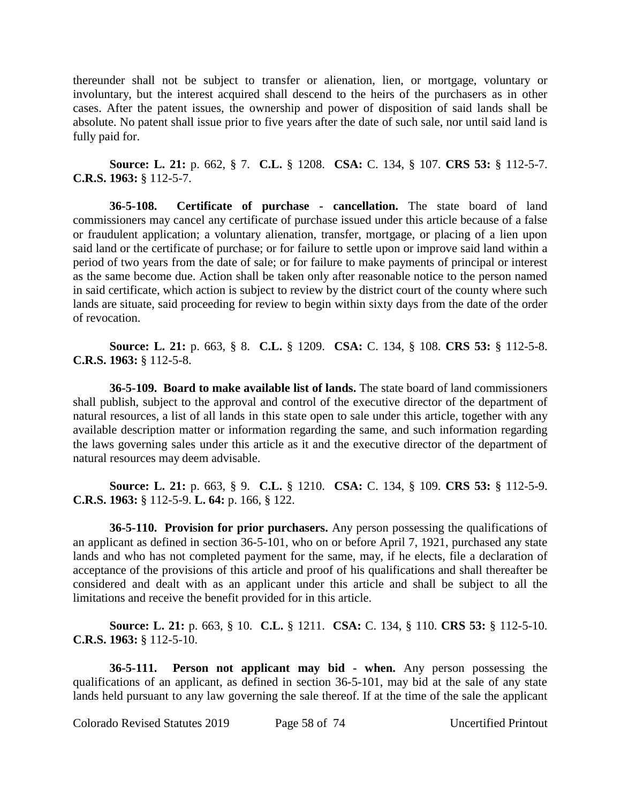thereunder shall not be subject to transfer or alienation, lien, or mortgage, voluntary or involuntary, but the interest acquired shall descend to the heirs of the purchasers as in other cases. After the patent issues, the ownership and power of disposition of said lands shall be absolute. No patent shall issue prior to five years after the date of such sale, nor until said land is fully paid for.

**Source: L. 21:** p. 662, § 7. **C.L.** § 1208. **CSA:** C. 134, § 107. **CRS 53:** § 112-5-7. **C.R.S. 1963:** § 112-5-7.

**36-5-108. Certificate of purchase - cancellation.** The state board of land commissioners may cancel any certificate of purchase issued under this article because of a false or fraudulent application; a voluntary alienation, transfer, mortgage, or placing of a lien upon said land or the certificate of purchase; or for failure to settle upon or improve said land within a period of two years from the date of sale; or for failure to make payments of principal or interest as the same become due. Action shall be taken only after reasonable notice to the person named in said certificate, which action is subject to review by the district court of the county where such lands are situate, said proceeding for review to begin within sixty days from the date of the order of revocation.

**Source: L. 21:** p. 663, § 8. **C.L.** § 1209. **CSA:** C. 134, § 108. **CRS 53:** § 112-5-8. **C.R.S. 1963:** § 112-5-8.

**36-5-109. Board to make available list of lands.** The state board of land commissioners shall publish, subject to the approval and control of the executive director of the department of natural resources, a list of all lands in this state open to sale under this article, together with any available description matter or information regarding the same, and such information regarding the laws governing sales under this article as it and the executive director of the department of natural resources may deem advisable.

**Source: L. 21:** p. 663, § 9. **C.L.** § 1210. **CSA:** C. 134, § 109. **CRS 53:** § 112-5-9. **C.R.S. 1963:** § 112-5-9. **L. 64:** p. 166, § 122.

**36-5-110. Provision for prior purchasers.** Any person possessing the qualifications of an applicant as defined in section 36-5-101, who on or before April 7, 1921, purchased any state lands and who has not completed payment for the same, may, if he elects, file a declaration of acceptance of the provisions of this article and proof of his qualifications and shall thereafter be considered and dealt with as an applicant under this article and shall be subject to all the limitations and receive the benefit provided for in this article.

**Source: L. 21:** p. 663, § 10. **C.L.** § 1211. **CSA:** C. 134, § 110. **CRS 53:** § 112-5-10. **C.R.S. 1963:** § 112-5-10.

**36-5-111. Person not applicant may bid - when.** Any person possessing the qualifications of an applicant, as defined in section 36-5-101, may bid at the sale of any state lands held pursuant to any law governing the sale thereof. If at the time of the sale the applicant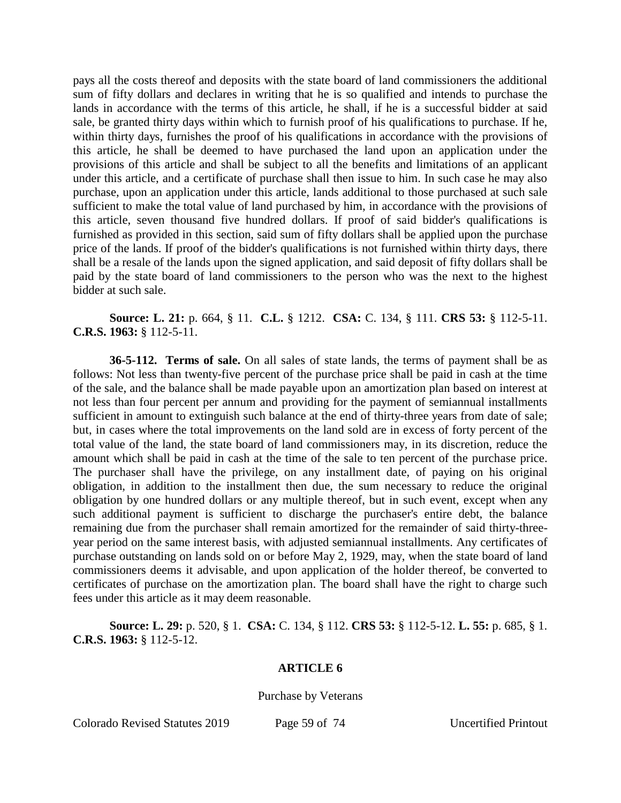pays all the costs thereof and deposits with the state board of land commissioners the additional sum of fifty dollars and declares in writing that he is so qualified and intends to purchase the lands in accordance with the terms of this article, he shall, if he is a successful bidder at said sale, be granted thirty days within which to furnish proof of his qualifications to purchase. If he, within thirty days, furnishes the proof of his qualifications in accordance with the provisions of this article, he shall be deemed to have purchased the land upon an application under the provisions of this article and shall be subject to all the benefits and limitations of an applicant under this article, and a certificate of purchase shall then issue to him. In such case he may also purchase, upon an application under this article, lands additional to those purchased at such sale sufficient to make the total value of land purchased by him, in accordance with the provisions of this article, seven thousand five hundred dollars. If proof of said bidder's qualifications is furnished as provided in this section, said sum of fifty dollars shall be applied upon the purchase price of the lands. If proof of the bidder's qualifications is not furnished within thirty days, there shall be a resale of the lands upon the signed application, and said deposit of fifty dollars shall be paid by the state board of land commissioners to the person who was the next to the highest bidder at such sale.

**Source: L. 21:** p. 664, § 11. **C.L.** § 1212. **CSA:** C. 134, § 111. **CRS 53:** § 112-5-11. **C.R.S. 1963:** § 112-5-11.

**36-5-112. Terms of sale.** On all sales of state lands, the terms of payment shall be as follows: Not less than twenty-five percent of the purchase price shall be paid in cash at the time of the sale, and the balance shall be made payable upon an amortization plan based on interest at not less than four percent per annum and providing for the payment of semiannual installments sufficient in amount to extinguish such balance at the end of thirty-three years from date of sale; but, in cases where the total improvements on the land sold are in excess of forty percent of the total value of the land, the state board of land commissioners may, in its discretion, reduce the amount which shall be paid in cash at the time of the sale to ten percent of the purchase price. The purchaser shall have the privilege, on any installment date, of paying on his original obligation, in addition to the installment then due, the sum necessary to reduce the original obligation by one hundred dollars or any multiple thereof, but in such event, except when any such additional payment is sufficient to discharge the purchaser's entire debt, the balance remaining due from the purchaser shall remain amortized for the remainder of said thirty-threeyear period on the same interest basis, with adjusted semiannual installments. Any certificates of purchase outstanding on lands sold on or before May 2, 1929, may, when the state board of land commissioners deems it advisable, and upon application of the holder thereof, be converted to certificates of purchase on the amortization plan. The board shall have the right to charge such fees under this article as it may deem reasonable.

**Source: L. 29:** p. 520, § 1. **CSA:** C. 134, § 112. **CRS 53:** § 112-5-12. **L. 55:** p. 685, § 1. **C.R.S. 1963:** § 112-5-12.

## **ARTICLE 6**

Purchase by Veterans

Colorado Revised Statutes 2019 Page 59 of 74 Uncertified Printout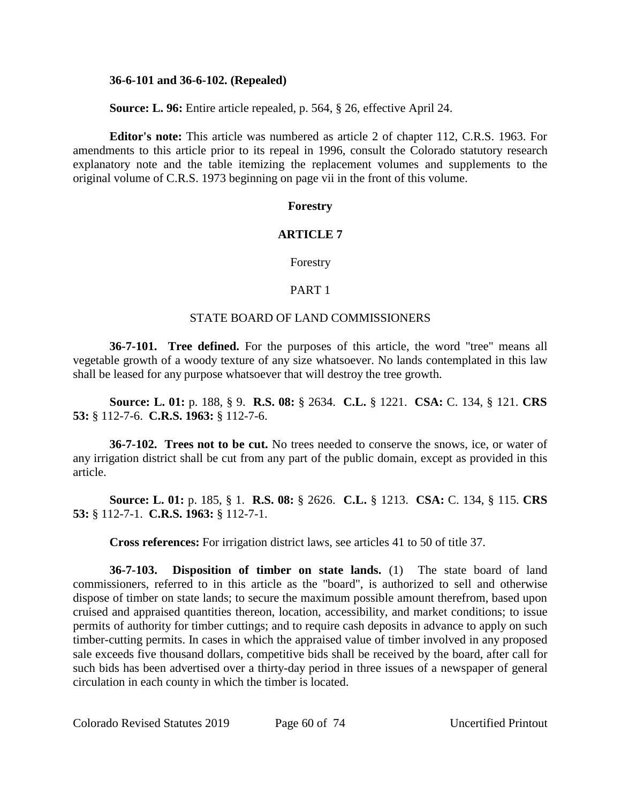### **36-6-101 and 36-6-102. (Repealed)**

**Source: L. 96:** Entire article repealed, p. 564, § 26, effective April 24.

**Editor's note:** This article was numbered as article 2 of chapter 112, C.R.S. 1963. For amendments to this article prior to its repeal in 1996, consult the Colorado statutory research explanatory note and the table itemizing the replacement volumes and supplements to the original volume of C.R.S. 1973 beginning on page vii in the front of this volume.

# **Forestry**

# **ARTICLE 7**

Forestry

## PART 1

#### STATE BOARD OF LAND COMMISSIONERS

**36-7-101. Tree defined.** For the purposes of this article, the word "tree" means all vegetable growth of a woody texture of any size whatsoever. No lands contemplated in this law shall be leased for any purpose whatsoever that will destroy the tree growth.

**Source: L. 01:** p. 188, § 9. **R.S. 08:** § 2634. **C.L.** § 1221. **CSA:** C. 134, § 121. **CRS 53:** § 112-7-6. **C.R.S. 1963:** § 112-7-6.

**36-7-102. Trees not to be cut.** No trees needed to conserve the snows, ice, or water of any irrigation district shall be cut from any part of the public domain, except as provided in this article.

**Source: L. 01:** p. 185, § 1. **R.S. 08:** § 2626. **C.L.** § 1213. **CSA:** C. 134, § 115. **CRS 53:** § 112-7-1. **C.R.S. 1963:** § 112-7-1.

**Cross references:** For irrigation district laws, see articles 41 to 50 of title 37.

**36-7-103. Disposition of timber on state lands.** (1) The state board of land commissioners, referred to in this article as the "board", is authorized to sell and otherwise dispose of timber on state lands; to secure the maximum possible amount therefrom, based upon cruised and appraised quantities thereon, location, accessibility, and market conditions; to issue permits of authority for timber cuttings; and to require cash deposits in advance to apply on such timber-cutting permits. In cases in which the appraised value of timber involved in any proposed sale exceeds five thousand dollars, competitive bids shall be received by the board, after call for such bids has been advertised over a thirty-day period in three issues of a newspaper of general circulation in each county in which the timber is located.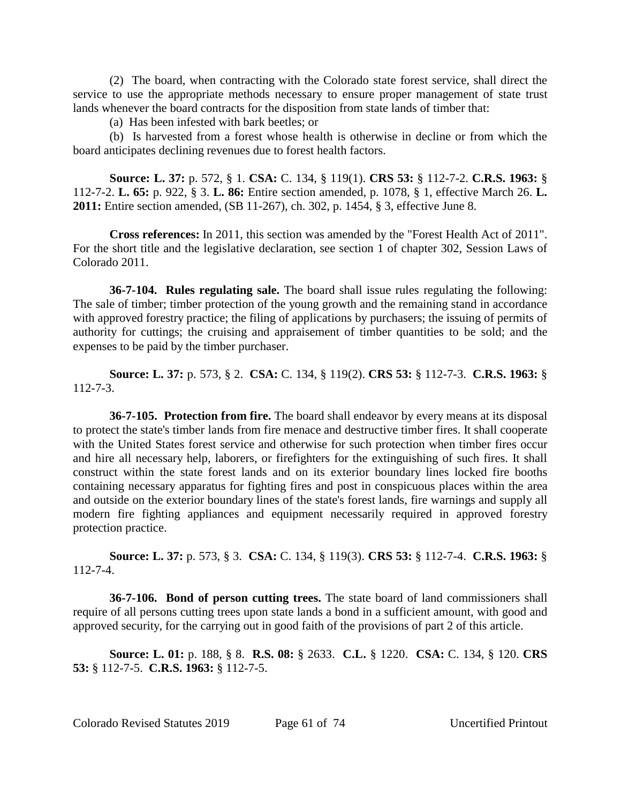(2) The board, when contracting with the Colorado state forest service, shall direct the service to use the appropriate methods necessary to ensure proper management of state trust lands whenever the board contracts for the disposition from state lands of timber that:

(a) Has been infested with bark beetles; or

(b) Is harvested from a forest whose health is otherwise in decline or from which the board anticipates declining revenues due to forest health factors.

**Source: L. 37:** p. 572, § 1. **CSA:** C. 134, § 119(1). **CRS 53:** § 112-7-2. **C.R.S. 1963:** § 112-7-2. **L. 65:** p. 922, § 3. **L. 86:** Entire section amended, p. 1078, § 1, effective March 26. **L. 2011:** Entire section amended, (SB 11-267), ch. 302, p. 1454, § 3, effective June 8.

**Cross references:** In 2011, this section was amended by the "Forest Health Act of 2011". For the short title and the legislative declaration, see section 1 of chapter 302, Session Laws of Colorado 2011.

**36-7-104. Rules regulating sale.** The board shall issue rules regulating the following: The sale of timber; timber protection of the young growth and the remaining stand in accordance with approved forestry practice; the filing of applications by purchasers; the issuing of permits of authority for cuttings; the cruising and appraisement of timber quantities to be sold; and the expenses to be paid by the timber purchaser.

**Source: L. 37:** p. 573, § 2. **CSA:** C. 134, § 119(2). **CRS 53:** § 112-7-3. **C.R.S. 1963:** § 112-7-3.

**36-7-105. Protection from fire.** The board shall endeavor by every means at its disposal to protect the state's timber lands from fire menace and destructive timber fires. It shall cooperate with the United States forest service and otherwise for such protection when timber fires occur and hire all necessary help, laborers, or firefighters for the extinguishing of such fires. It shall construct within the state forest lands and on its exterior boundary lines locked fire booths containing necessary apparatus for fighting fires and post in conspicuous places within the area and outside on the exterior boundary lines of the state's forest lands, fire warnings and supply all modern fire fighting appliances and equipment necessarily required in approved forestry protection practice.

**Source: L. 37:** p. 573, § 3. **CSA:** C. 134, § 119(3). **CRS 53:** § 112-7-4. **C.R.S. 1963:** § 112-7-4.

**36-7-106. Bond of person cutting trees.** The state board of land commissioners shall require of all persons cutting trees upon state lands a bond in a sufficient amount, with good and approved security, for the carrying out in good faith of the provisions of part 2 of this article.

**Source: L. 01:** p. 188, § 8. **R.S. 08:** § 2633. **C.L.** § 1220. **CSA:** C. 134, § 120. **CRS 53:** § 112-7-5. **C.R.S. 1963:** § 112-7-5.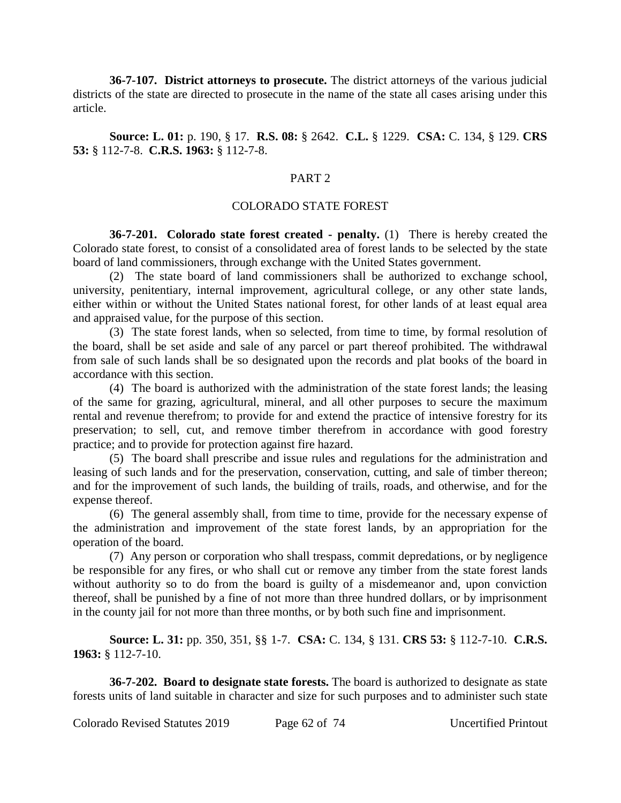**36-7-107. District attorneys to prosecute.** The district attorneys of the various judicial districts of the state are directed to prosecute in the name of the state all cases arising under this article.

**Source: L. 01:** p. 190, § 17. **R.S. 08:** § 2642. **C.L.** § 1229. **CSA:** C. 134, § 129. **CRS 53:** § 112-7-8. **C.R.S. 1963:** § 112-7-8.

## PART 2

#### COLORADO STATE FOREST

**36-7-201. Colorado state forest created - penalty.** (1) There is hereby created the Colorado state forest, to consist of a consolidated area of forest lands to be selected by the state board of land commissioners, through exchange with the United States government.

(2) The state board of land commissioners shall be authorized to exchange school, university, penitentiary, internal improvement, agricultural college, or any other state lands, either within or without the United States national forest, for other lands of at least equal area and appraised value, for the purpose of this section.

(3) The state forest lands, when so selected, from time to time, by formal resolution of the board, shall be set aside and sale of any parcel or part thereof prohibited. The withdrawal from sale of such lands shall be so designated upon the records and plat books of the board in accordance with this section.

(4) The board is authorized with the administration of the state forest lands; the leasing of the same for grazing, agricultural, mineral, and all other purposes to secure the maximum rental and revenue therefrom; to provide for and extend the practice of intensive forestry for its preservation; to sell, cut, and remove timber therefrom in accordance with good forestry practice; and to provide for protection against fire hazard.

(5) The board shall prescribe and issue rules and regulations for the administration and leasing of such lands and for the preservation, conservation, cutting, and sale of timber thereon; and for the improvement of such lands, the building of trails, roads, and otherwise, and for the expense thereof.

(6) The general assembly shall, from time to time, provide for the necessary expense of the administration and improvement of the state forest lands, by an appropriation for the operation of the board.

(7) Any person or corporation who shall trespass, commit depredations, or by negligence be responsible for any fires, or who shall cut or remove any timber from the state forest lands without authority so to do from the board is guilty of a misdemeanor and, upon conviction thereof, shall be punished by a fine of not more than three hundred dollars, or by imprisonment in the county jail for not more than three months, or by both such fine and imprisonment.

**Source: L. 31:** pp. 350, 351, §§ 1-7. **CSA:** C. 134, § 131. **CRS 53:** § 112-7-10. **C.R.S. 1963:** § 112-7-10.

**36-7-202. Board to designate state forests.** The board is authorized to designate as state forests units of land suitable in character and size for such purposes and to administer such state

Colorado Revised Statutes 2019 Page 62 of 74 Uncertified Printout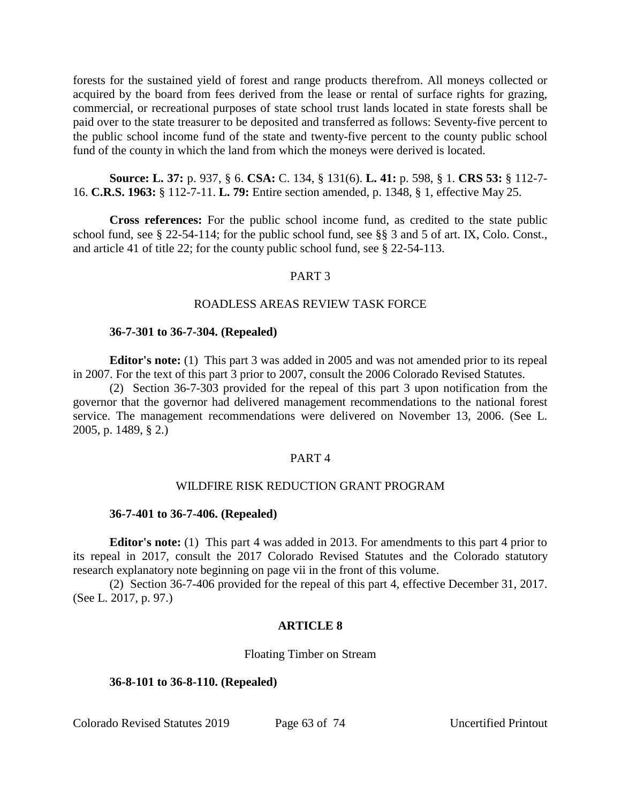forests for the sustained yield of forest and range products therefrom. All moneys collected or acquired by the board from fees derived from the lease or rental of surface rights for grazing, commercial, or recreational purposes of state school trust lands located in state forests shall be paid over to the state treasurer to be deposited and transferred as follows: Seventy-five percent to the public school income fund of the state and twenty-five percent to the county public school fund of the county in which the land from which the moneys were derived is located.

**Source: L. 37:** p. 937, § 6. **CSA:** C. 134, § 131(6). **L. 41:** p. 598, § 1. **CRS 53:** § 112-7- 16. **C.R.S. 1963:** § 112-7-11. **L. 79:** Entire section amended, p. 1348, § 1, effective May 25.

**Cross references:** For the public school income fund, as credited to the state public school fund, see § 22-54-114; for the public school fund, see §§ 3 and 5 of art. IX, Colo. Const., and article 41 of title 22; for the county public school fund, see § 22-54-113.

## PART 3

# ROADLESS AREAS REVIEW TASK FORCE

# **36-7-301 to 36-7-304. (Repealed)**

**Editor's note:** (1) This part 3 was added in 2005 and was not amended prior to its repeal in 2007. For the text of this part 3 prior to 2007, consult the 2006 Colorado Revised Statutes.

(2) Section 36-7-303 provided for the repeal of this part 3 upon notification from the governor that the governor had delivered management recommendations to the national forest service. The management recommendations were delivered on November 13, 2006. (See L. 2005, p. 1489, § 2.)

## PART 4

# WILDFIRE RISK REDUCTION GRANT PROGRAM

## **36-7-401 to 36-7-406. (Repealed)**

**Editor's note:** (1) This part 4 was added in 2013. For amendments to this part 4 prior to its repeal in 2017, consult the 2017 Colorado Revised Statutes and the Colorado statutory research explanatory note beginning on page vii in the front of this volume.

(2) Section 36-7-406 provided for the repeal of this part 4, effective December 31, 2017. (See L. 2017, p. 97.)

# **ARTICLE 8**

Floating Timber on Stream

## **36-8-101 to 36-8-110. (Repealed)**

Colorado Revised Statutes 2019 Page 63 of 74 Uncertified Printout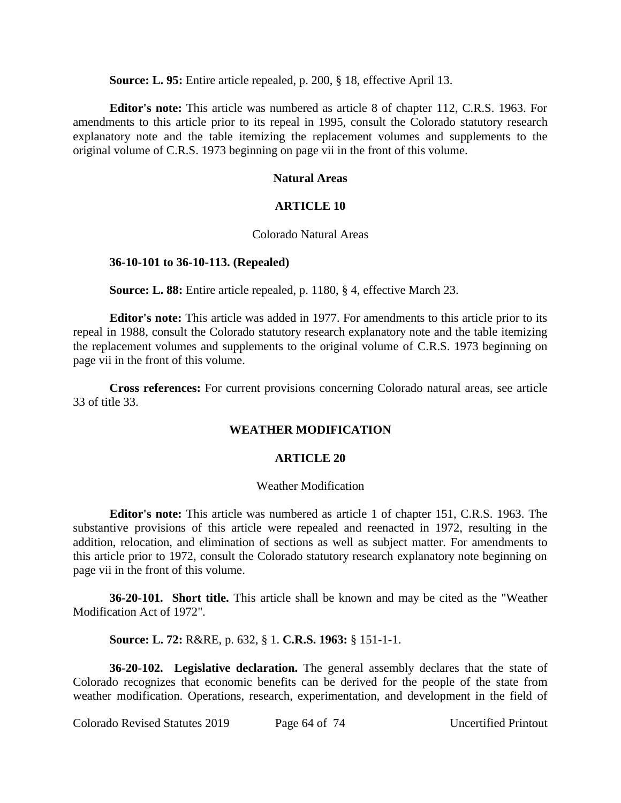**Source: L. 95:** Entire article repealed, p. 200, § 18, effective April 13.

**Editor's note:** This article was numbered as article 8 of chapter 112, C.R.S. 1963. For amendments to this article prior to its repeal in 1995, consult the Colorado statutory research explanatory note and the table itemizing the replacement volumes and supplements to the original volume of C.R.S. 1973 beginning on page vii in the front of this volume.

## **Natural Areas**

#### **ARTICLE 10**

#### Colorado Natural Areas

#### **36-10-101 to 36-10-113. (Repealed)**

**Source: L. 88:** Entire article repealed, p. 1180, § 4, effective March 23.

**Editor's note:** This article was added in 1977. For amendments to this article prior to its repeal in 1988, consult the Colorado statutory research explanatory note and the table itemizing the replacement volumes and supplements to the original volume of C.R.S. 1973 beginning on page vii in the front of this volume.

**Cross references:** For current provisions concerning Colorado natural areas, see article 33 of title 33.

#### **WEATHER MODIFICATION**

#### **ARTICLE 20**

#### Weather Modification

**Editor's note:** This article was numbered as article 1 of chapter 151, C.R.S. 1963. The substantive provisions of this article were repealed and reenacted in 1972, resulting in the addition, relocation, and elimination of sections as well as subject matter. For amendments to this article prior to 1972, consult the Colorado statutory research explanatory note beginning on page vii in the front of this volume.

**36-20-101. Short title.** This article shall be known and may be cited as the "Weather Modification Act of 1972".

**Source: L. 72:** R&RE, p. 632, § 1. **C.R.S. 1963:** § 151-1-1.

**36-20-102. Legislative declaration.** The general assembly declares that the state of Colorado recognizes that economic benefits can be derived for the people of the state from weather modification. Operations, research, experimentation, and development in the field of

Colorado Revised Statutes 2019 Page 64 of 74 Uncertified Printout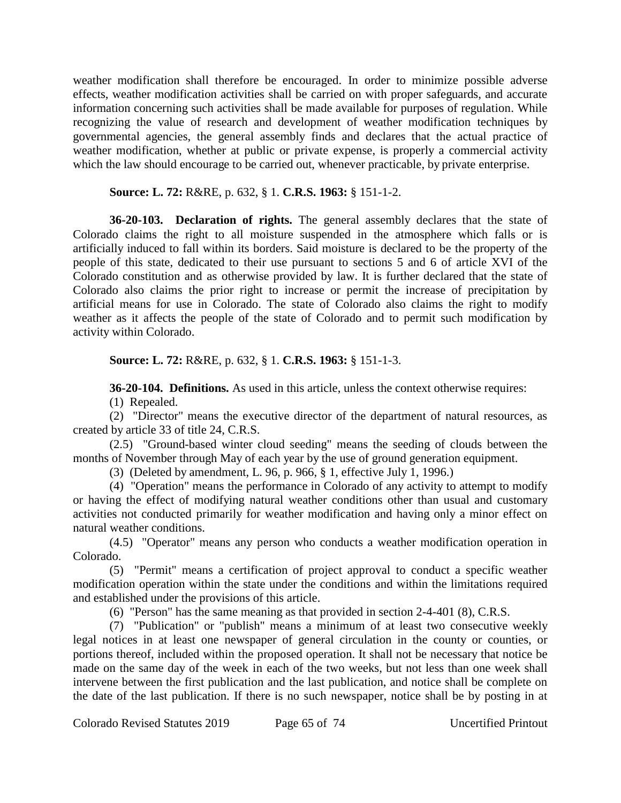weather modification shall therefore be encouraged. In order to minimize possible adverse effects, weather modification activities shall be carried on with proper safeguards, and accurate information concerning such activities shall be made available for purposes of regulation. While recognizing the value of research and development of weather modification techniques by governmental agencies, the general assembly finds and declares that the actual practice of weather modification, whether at public or private expense, is properly a commercial activity which the law should encourage to be carried out, whenever practicable, by private enterprise.

**Source: L. 72:** R&RE, p. 632, § 1. **C.R.S. 1963:** § 151-1-2.

**36-20-103. Declaration of rights.** The general assembly declares that the state of Colorado claims the right to all moisture suspended in the atmosphere which falls or is artificially induced to fall within its borders. Said moisture is declared to be the property of the people of this state, dedicated to their use pursuant to sections 5 and 6 of article XVI of the Colorado constitution and as otherwise provided by law. It is further declared that the state of Colorado also claims the prior right to increase or permit the increase of precipitation by artificial means for use in Colorado. The state of Colorado also claims the right to modify weather as it affects the people of the state of Colorado and to permit such modification by activity within Colorado.

**Source: L. 72:** R&RE, p. 632, § 1. **C.R.S. 1963:** § 151-1-3.

**36-20-104. Definitions.** As used in this article, unless the context otherwise requires:

(1) Repealed.

(2) "Director" means the executive director of the department of natural resources, as created by article 33 of title 24, C.R.S.

(2.5) "Ground-based winter cloud seeding" means the seeding of clouds between the months of November through May of each year by the use of ground generation equipment.

(3) (Deleted by amendment, L. 96, p. 966, § 1, effective July 1, 1996.)

(4) "Operation" means the performance in Colorado of any activity to attempt to modify or having the effect of modifying natural weather conditions other than usual and customary activities not conducted primarily for weather modification and having only a minor effect on natural weather conditions.

(4.5) "Operator" means any person who conducts a weather modification operation in Colorado.

(5) "Permit" means a certification of project approval to conduct a specific weather modification operation within the state under the conditions and within the limitations required and established under the provisions of this article.

(6) "Person" has the same meaning as that provided in section 2-4-401 (8), C.R.S.

(7) "Publication" or "publish" means a minimum of at least two consecutive weekly legal notices in at least one newspaper of general circulation in the county or counties, or portions thereof, included within the proposed operation. It shall not be necessary that notice be made on the same day of the week in each of the two weeks, but not less than one week shall intervene between the first publication and the last publication, and notice shall be complete on the date of the last publication. If there is no such newspaper, notice shall be by posting in at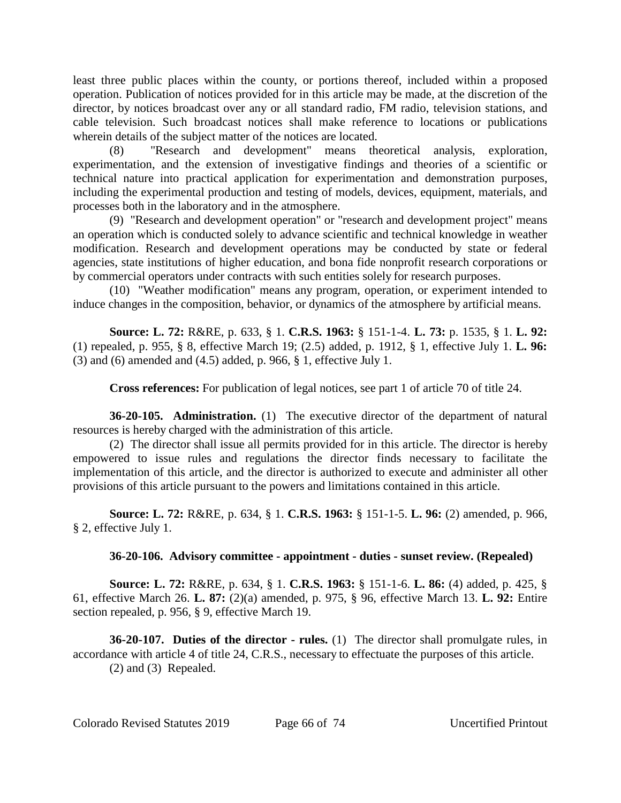least three public places within the county, or portions thereof, included within a proposed operation. Publication of notices provided for in this article may be made, at the discretion of the director, by notices broadcast over any or all standard radio, FM radio, television stations, and cable television. Such broadcast notices shall make reference to locations or publications wherein details of the subject matter of the notices are located.

(8) "Research and development" means theoretical analysis, exploration, experimentation, and the extension of investigative findings and theories of a scientific or technical nature into practical application for experimentation and demonstration purposes, including the experimental production and testing of models, devices, equipment, materials, and processes both in the laboratory and in the atmosphere.

(9) "Research and development operation" or "research and development project" means an operation which is conducted solely to advance scientific and technical knowledge in weather modification. Research and development operations may be conducted by state or federal agencies, state institutions of higher education, and bona fide nonprofit research corporations or by commercial operators under contracts with such entities solely for research purposes.

(10) "Weather modification" means any program, operation, or experiment intended to induce changes in the composition, behavior, or dynamics of the atmosphere by artificial means.

**Source: L. 72:** R&RE, p. 633, § 1. **C.R.S. 1963:** § 151-1-4. **L. 73:** p. 1535, § 1. **L. 92:** (1) repealed, p. 955, § 8, effective March 19; (2.5) added, p. 1912, § 1, effective July 1. **L. 96:** (3) and (6) amended and (4.5) added, p. 966, § 1, effective July 1.

**Cross references:** For publication of legal notices, see part 1 of article 70 of title 24.

**36-20-105. Administration.** (1) The executive director of the department of natural resources is hereby charged with the administration of this article.

(2) The director shall issue all permits provided for in this article. The director is hereby empowered to issue rules and regulations the director finds necessary to facilitate the implementation of this article, and the director is authorized to execute and administer all other provisions of this article pursuant to the powers and limitations contained in this article.

**Source: L. 72:** R&RE, p. 634, § 1. **C.R.S. 1963:** § 151-1-5. **L. 96:** (2) amended, p. 966, § 2, effective July 1.

# **36-20-106. Advisory committee - appointment - duties - sunset review. (Repealed)**

**Source: L. 72:** R&RE, p. 634, § 1. **C.R.S. 1963:** § 151-1-6. **L. 86:** (4) added, p. 425, § 61, effective March 26. **L. 87:** (2)(a) amended, p. 975, § 96, effective March 13. **L. 92:** Entire section repealed, p. 956, § 9, effective March 19.

**36-20-107. Duties of the director - rules.** (1) The director shall promulgate rules, in accordance with article 4 of title 24, C.R.S., necessary to effectuate the purposes of this article. (2) and (3) Repealed.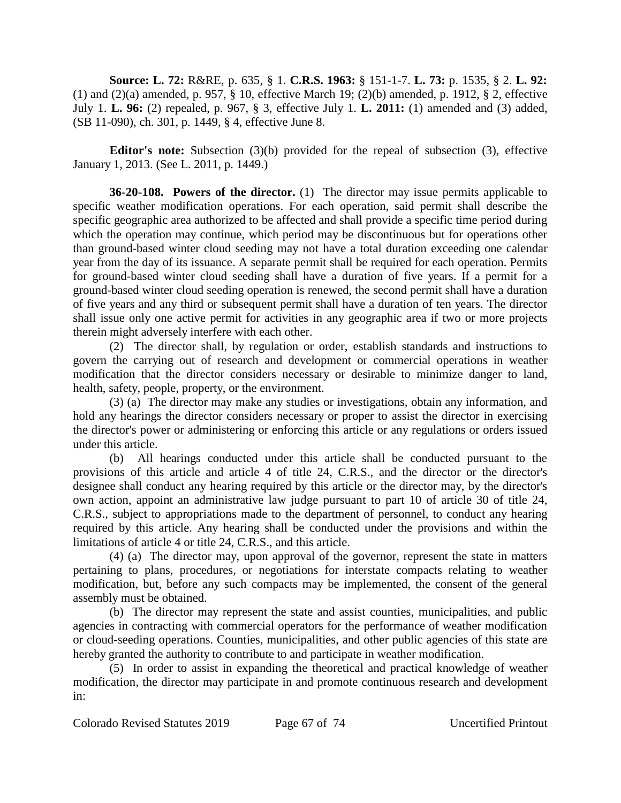**Source: L. 72:** R&RE, p. 635, § 1. **C.R.S. 1963:** § 151-1-7. **L. 73:** p. 1535, § 2. **L. 92:** (1) and (2)(a) amended, p. 957, § 10, effective March 19; (2)(b) amended, p. 1912, § 2, effective July 1. **L. 96:** (2) repealed, p. 967, § 3, effective July 1. **L. 2011:** (1) amended and (3) added, (SB 11-090), ch. 301, p. 1449, § 4, effective June 8.

**Editor's note:** Subsection (3)(b) provided for the repeal of subsection (3), effective January 1, 2013. (See L. 2011, p. 1449.)

**36-20-108. Powers of the director.** (1) The director may issue permits applicable to specific weather modification operations. For each operation, said permit shall describe the specific geographic area authorized to be affected and shall provide a specific time period during which the operation may continue, which period may be discontinuous but for operations other than ground-based winter cloud seeding may not have a total duration exceeding one calendar year from the day of its issuance. A separate permit shall be required for each operation. Permits for ground-based winter cloud seeding shall have a duration of five years. If a permit for a ground-based winter cloud seeding operation is renewed, the second permit shall have a duration of five years and any third or subsequent permit shall have a duration of ten years. The director shall issue only one active permit for activities in any geographic area if two or more projects therein might adversely interfere with each other.

(2) The director shall, by regulation or order, establish standards and instructions to govern the carrying out of research and development or commercial operations in weather modification that the director considers necessary or desirable to minimize danger to land, health, safety, people, property, or the environment.

(3) (a) The director may make any studies or investigations, obtain any information, and hold any hearings the director considers necessary or proper to assist the director in exercising the director's power or administering or enforcing this article or any regulations or orders issued under this article.

(b) All hearings conducted under this article shall be conducted pursuant to the provisions of this article and article 4 of title 24, C.R.S., and the director or the director's designee shall conduct any hearing required by this article or the director may, by the director's own action, appoint an administrative law judge pursuant to part 10 of article 30 of title 24, C.R.S., subject to appropriations made to the department of personnel, to conduct any hearing required by this article. Any hearing shall be conducted under the provisions and within the limitations of article 4 or title 24, C.R.S., and this article.

(4) (a) The director may, upon approval of the governor, represent the state in matters pertaining to plans, procedures, or negotiations for interstate compacts relating to weather modification, but, before any such compacts may be implemented, the consent of the general assembly must be obtained.

(b) The director may represent the state and assist counties, municipalities, and public agencies in contracting with commercial operators for the performance of weather modification or cloud-seeding operations. Counties, municipalities, and other public agencies of this state are hereby granted the authority to contribute to and participate in weather modification.

(5) In order to assist in expanding the theoretical and practical knowledge of weather modification, the director may participate in and promote continuous research and development in: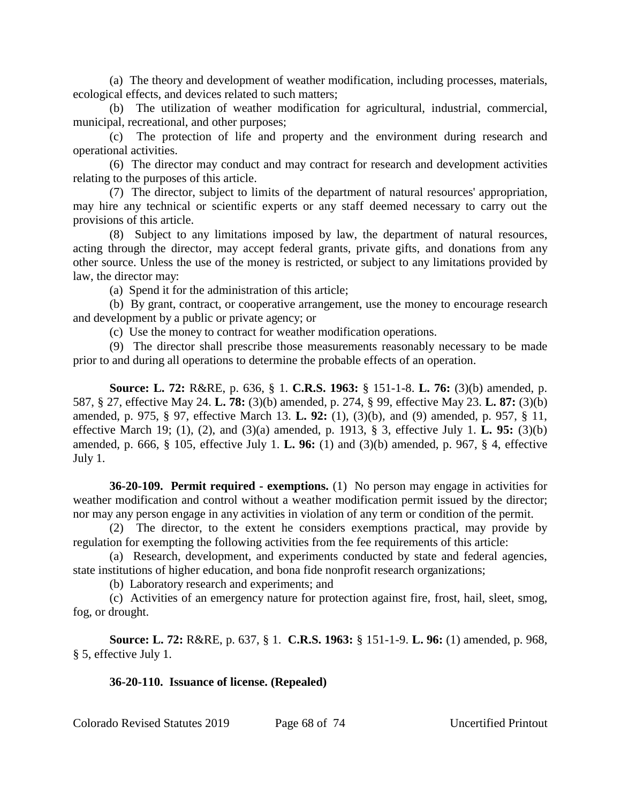(a) The theory and development of weather modification, including processes, materials, ecological effects, and devices related to such matters;

(b) The utilization of weather modification for agricultural, industrial, commercial, municipal, recreational, and other purposes;

(c) The protection of life and property and the environment during research and operational activities.

(6) The director may conduct and may contract for research and development activities relating to the purposes of this article.

(7) The director, subject to limits of the department of natural resources' appropriation, may hire any technical or scientific experts or any staff deemed necessary to carry out the provisions of this article.

(8) Subject to any limitations imposed by law, the department of natural resources, acting through the director, may accept federal grants, private gifts, and donations from any other source. Unless the use of the money is restricted, or subject to any limitations provided by law, the director may:

(a) Spend it for the administration of this article;

(b) By grant, contract, or cooperative arrangement, use the money to encourage research and development by a public or private agency; or

(c) Use the money to contract for weather modification operations.

(9) The director shall prescribe those measurements reasonably necessary to be made prior to and during all operations to determine the probable effects of an operation.

**Source: L. 72:** R&RE, p. 636, § 1. **C.R.S. 1963:** § 151-1-8. **L. 76:** (3)(b) amended, p. 587, § 27, effective May 24. **L. 78:** (3)(b) amended, p. 274, § 99, effective May 23. **L. 87:** (3)(b) amended, p. 975, § 97, effective March 13. **L. 92:** (1), (3)(b), and (9) amended, p. 957, § 11, effective March 19; (1), (2), and (3)(a) amended, p. 1913, § 3, effective July 1. **L. 95:** (3)(b) amended, p. 666, § 105, effective July 1. **L. 96:** (1) and (3)(b) amended, p. 967, § 4, effective July 1.

**36-20-109. Permit required - exemptions.** (1) No person may engage in activities for weather modification and control without a weather modification permit issued by the director; nor may any person engage in any activities in violation of any term or condition of the permit.

(2) The director, to the extent he considers exemptions practical, may provide by regulation for exempting the following activities from the fee requirements of this article:

(a) Research, development, and experiments conducted by state and federal agencies, state institutions of higher education, and bona fide nonprofit research organizations;

(b) Laboratory research and experiments; and

(c) Activities of an emergency nature for protection against fire, frost, hail, sleet, smog, fog, or drought.

**Source: L. 72:** R&RE, p. 637, § 1. **C.R.S. 1963:** § 151-1-9. **L. 96:** (1) amended, p. 968, § 5, effective July 1.

**36-20-110. Issuance of license. (Repealed)**

Colorado Revised Statutes 2019 Page 68 of 74 Uncertified Printout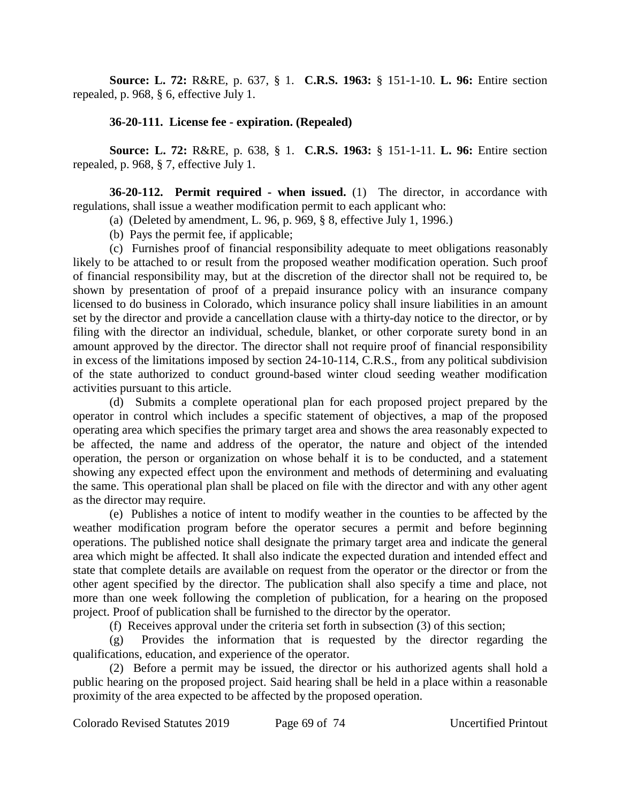**Source: L. 72:** R&RE, p. 637, § 1. **C.R.S. 1963:** § 151-1-10. **L. 96:** Entire section repealed, p. 968, § 6, effective July 1.

# **36-20-111. License fee - expiration. (Repealed)**

**Source: L. 72:** R&RE, p. 638, § 1. **C.R.S. 1963:** § 151-1-11. **L. 96:** Entire section repealed, p. 968, § 7, effective July 1.

**36-20-112. Permit required - when issued.** (1) The director, in accordance with regulations, shall issue a weather modification permit to each applicant who:

- (a) (Deleted by amendment, L. 96, p. 969, § 8, effective July 1, 1996.)
- (b) Pays the permit fee, if applicable;

(c) Furnishes proof of financial responsibility adequate to meet obligations reasonably likely to be attached to or result from the proposed weather modification operation. Such proof of financial responsibility may, but at the discretion of the director shall not be required to, be shown by presentation of proof of a prepaid insurance policy with an insurance company licensed to do business in Colorado, which insurance policy shall insure liabilities in an amount set by the director and provide a cancellation clause with a thirty-day notice to the director, or by filing with the director an individual, schedule, blanket, or other corporate surety bond in an amount approved by the director. The director shall not require proof of financial responsibility in excess of the limitations imposed by section 24-10-114, C.R.S., from any political subdivision of the state authorized to conduct ground-based winter cloud seeding weather modification activities pursuant to this article.

(d) Submits a complete operational plan for each proposed project prepared by the operator in control which includes a specific statement of objectives, a map of the proposed operating area which specifies the primary target area and shows the area reasonably expected to be affected, the name and address of the operator, the nature and object of the intended operation, the person or organization on whose behalf it is to be conducted, and a statement showing any expected effect upon the environment and methods of determining and evaluating the same. This operational plan shall be placed on file with the director and with any other agent as the director may require.

(e) Publishes a notice of intent to modify weather in the counties to be affected by the weather modification program before the operator secures a permit and before beginning operations. The published notice shall designate the primary target area and indicate the general area which might be affected. It shall also indicate the expected duration and intended effect and state that complete details are available on request from the operator or the director or from the other agent specified by the director. The publication shall also specify a time and place, not more than one week following the completion of publication, for a hearing on the proposed project. Proof of publication shall be furnished to the director by the operator.

(f) Receives approval under the criteria set forth in subsection (3) of this section;

(g) Provides the information that is requested by the director regarding the qualifications, education, and experience of the operator.

(2) Before a permit may be issued, the director or his authorized agents shall hold a public hearing on the proposed project. Said hearing shall be held in a place within a reasonable proximity of the area expected to be affected by the proposed operation.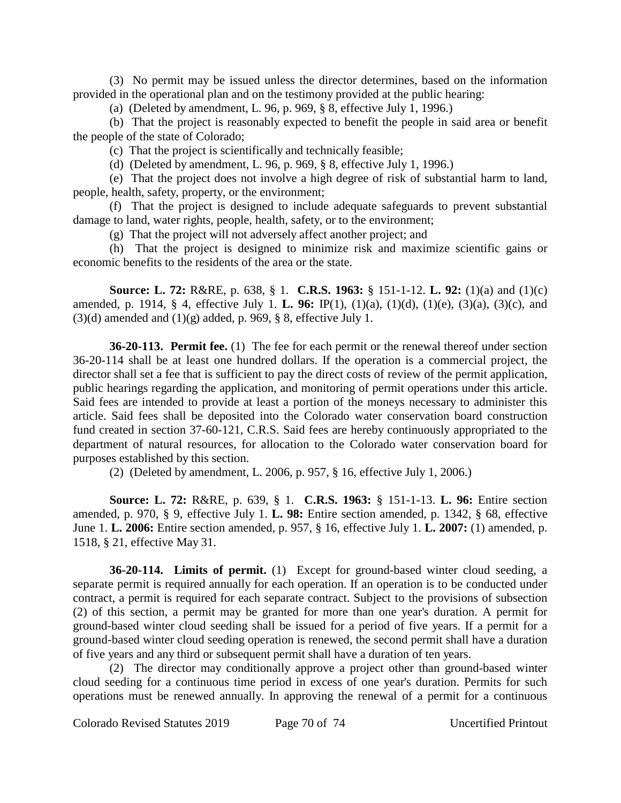(3) No permit may be issued unless the director determines, based on the information provided in the operational plan and on the testimony provided at the public hearing:

(a) (Deleted by amendment, L. 96, p. 969, § 8, effective July 1, 1996.)

(b) That the project is reasonably expected to benefit the people in said area or benefit the people of the state of Colorado;

(c) That the project is scientifically and technically feasible;

(d) (Deleted by amendment, L. 96, p. 969, § 8, effective July 1, 1996.)

(e) That the project does not involve a high degree of risk of substantial harm to land, people, health, safety, property, or the environment;

(f) That the project is designed to include adequate safeguards to prevent substantial damage to land, water rights, people, health, safety, or to the environment;

(g) That the project will not adversely affect another project; and

(h) That the project is designed to minimize risk and maximize scientific gains or economic benefits to the residents of the area or the state.

**Source: L. 72:** R&RE, p. 638, § 1. **C.R.S. 1963:** § 151-1-12. **L. 92:** (1)(a) and (1)(c) amended, p. 1914, § 4, effective July 1. **L. 96:** IP(1), (1)(a), (1)(d), (1)(e), (3)(a), (3)(c), and  $(3)(d)$  amended and  $(1)(g)$  added, p. 969, § 8, effective July 1.

**36-20-113. Permit fee.** (1) The fee for each permit or the renewal thereof under section 36-20-114 shall be at least one hundred dollars. If the operation is a commercial project, the director shall set a fee that is sufficient to pay the direct costs of review of the permit application, public hearings regarding the application, and monitoring of permit operations under this article. Said fees are intended to provide at least a portion of the moneys necessary to administer this article. Said fees shall be deposited into the Colorado water conservation board construction fund created in section 37-60-121, C.R.S. Said fees are hereby continuously appropriated to the department of natural resources, for allocation to the Colorado water conservation board for purposes established by this section.

(2) (Deleted by amendment, L. 2006, p. 957, § 16, effective July 1, 2006.)

**Source: L. 72:** R&RE, p. 639, § 1. **C.R.S. 1963:** § 151-1-13. **L. 96:** Entire section amended, p. 970, § 9, effective July 1. **L. 98:** Entire section amended, p. 1342, § 68, effective June 1. **L. 2006:** Entire section amended, p. 957, § 16, effective July 1. **L. 2007:** (1) amended, p. 1518, § 21, effective May 31.

**36-20-114. Limits of permit.** (1) Except for ground-based winter cloud seeding, a separate permit is required annually for each operation. If an operation is to be conducted under contract, a permit is required for each separate contract. Subject to the provisions of subsection (2) of this section, a permit may be granted for more than one year's duration. A permit for ground-based winter cloud seeding shall be issued for a period of five years. If a permit for a ground-based winter cloud seeding operation is renewed, the second permit shall have a duration of five years and any third or subsequent permit shall have a duration of ten years.

(2) The director may conditionally approve a project other than ground-based winter cloud seeding for a continuous time period in excess of one year's duration. Permits for such operations must be renewed annually. In approving the renewal of a permit for a continuous

Colorado Revised Statutes 2019 Page 70 of 74 Uncertified Printout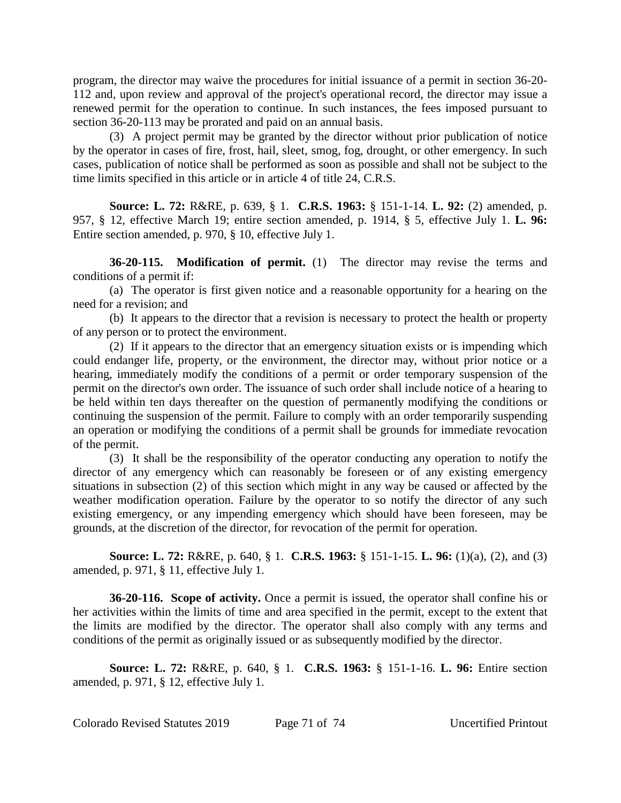program, the director may waive the procedures for initial issuance of a permit in section 36-20- 112 and, upon review and approval of the project's operational record, the director may issue a renewed permit for the operation to continue. In such instances, the fees imposed pursuant to section 36-20-113 may be prorated and paid on an annual basis.

(3) A project permit may be granted by the director without prior publication of notice by the operator in cases of fire, frost, hail, sleet, smog, fog, drought, or other emergency. In such cases, publication of notice shall be performed as soon as possible and shall not be subject to the time limits specified in this article or in article 4 of title 24, C.R.S.

**Source: L. 72:** R&RE, p. 639, § 1. **C.R.S. 1963:** § 151-1-14. **L. 92:** (2) amended, p. 957, § 12, effective March 19; entire section amended, p. 1914, § 5, effective July 1. **L. 96:** Entire section amended, p. 970, § 10, effective July 1.

**36-20-115. Modification of permit.** (1) The director may revise the terms and conditions of a permit if:

(a) The operator is first given notice and a reasonable opportunity for a hearing on the need for a revision; and

(b) It appears to the director that a revision is necessary to protect the health or property of any person or to protect the environment.

(2) If it appears to the director that an emergency situation exists or is impending which could endanger life, property, or the environment, the director may, without prior notice or a hearing, immediately modify the conditions of a permit or order temporary suspension of the permit on the director's own order. The issuance of such order shall include notice of a hearing to be held within ten days thereafter on the question of permanently modifying the conditions or continuing the suspension of the permit. Failure to comply with an order temporarily suspending an operation or modifying the conditions of a permit shall be grounds for immediate revocation of the permit.

(3) It shall be the responsibility of the operator conducting any operation to notify the director of any emergency which can reasonably be foreseen or of any existing emergency situations in subsection (2) of this section which might in any way be caused or affected by the weather modification operation. Failure by the operator to so notify the director of any such existing emergency, or any impending emergency which should have been foreseen, may be grounds, at the discretion of the director, for revocation of the permit for operation.

**Source: L. 72:** R&RE, p. 640, § 1. **C.R.S. 1963:** § 151-1-15. **L. 96:** (1)(a), (2), and (3) amended, p. 971, § 11, effective July 1.

**36-20-116. Scope of activity.** Once a permit is issued, the operator shall confine his or her activities within the limits of time and area specified in the permit, except to the extent that the limits are modified by the director. The operator shall also comply with any terms and conditions of the permit as originally issued or as subsequently modified by the director.

**Source: L. 72:** R&RE, p. 640, § 1. **C.R.S. 1963:** § 151-1-16. **L. 96:** Entire section amended, p. 971, § 12, effective July 1.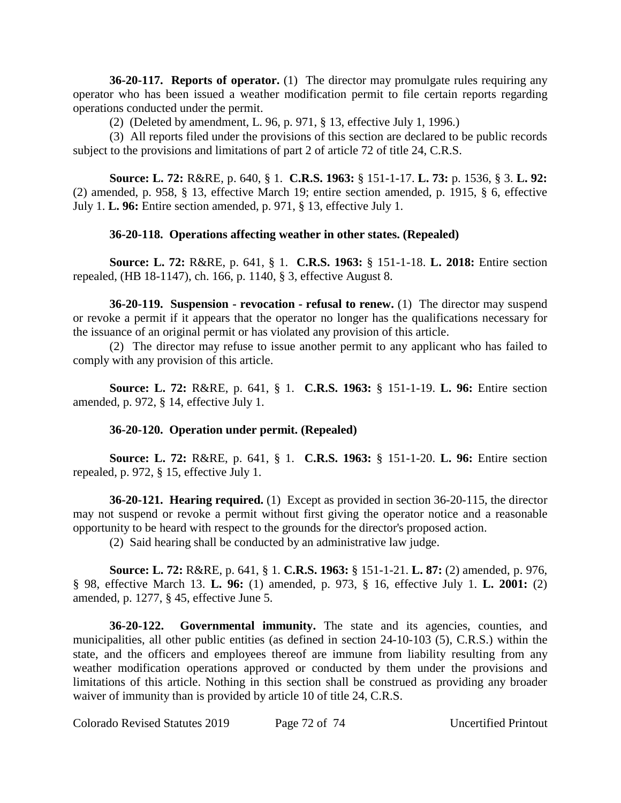**36-20-117. Reports of operator.** (1) The director may promulgate rules requiring any operator who has been issued a weather modification permit to file certain reports regarding operations conducted under the permit.

(2) (Deleted by amendment, L. 96, p. 971, § 13, effective July 1, 1996.)

(3) All reports filed under the provisions of this section are declared to be public records subject to the provisions and limitations of part 2 of article 72 of title 24, C.R.S.

**Source: L. 72:** R&RE, p. 640, § 1. **C.R.S. 1963:** § 151-1-17. **L. 73:** p. 1536, § 3. **L. 92:** (2) amended, p. 958, § 13, effective March 19; entire section amended, p. 1915, § 6, effective July 1. **L. 96:** Entire section amended, p. 971, § 13, effective July 1.

# **36-20-118. Operations affecting weather in other states. (Repealed)**

**Source: L. 72:** R&RE, p. 641, § 1. **C.R.S. 1963:** § 151-1-18. **L. 2018:** Entire section repealed, (HB 18-1147), ch. 166, p. 1140, § 3, effective August 8.

**36-20-119. Suspension - revocation - refusal to renew.** (1) The director may suspend or revoke a permit if it appears that the operator no longer has the qualifications necessary for the issuance of an original permit or has violated any provision of this article.

(2) The director may refuse to issue another permit to any applicant who has failed to comply with any provision of this article.

**Source: L. 72:** R&RE, p. 641, § 1. **C.R.S. 1963:** § 151-1-19. **L. 96:** Entire section amended, p. 972, § 14, effective July 1.

# **36-20-120. Operation under permit. (Repealed)**

**Source: L. 72:** R&RE, p. 641, § 1. **C.R.S. 1963:** § 151-1-20. **L. 96:** Entire section repealed, p. 972, § 15, effective July 1.

**36-20-121. Hearing required.** (1) Except as provided in section 36-20-115, the director may not suspend or revoke a permit without first giving the operator notice and a reasonable opportunity to be heard with respect to the grounds for the director's proposed action.

(2) Said hearing shall be conducted by an administrative law judge.

**Source: L. 72:** R&RE, p. 641, § 1. **C.R.S. 1963:** § 151-1-21. **L. 87:** (2) amended, p. 976, § 98, effective March 13. **L. 96:** (1) amended, p. 973, § 16, effective July 1. **L. 2001:** (2) amended, p. 1277, § 45, effective June 5.

**36-20-122. Governmental immunity.** The state and its agencies, counties, and municipalities, all other public entities (as defined in section 24-10-103 (5), C.R.S.) within the state, and the officers and employees thereof are immune from liability resulting from any weather modification operations approved or conducted by them under the provisions and limitations of this article. Nothing in this section shall be construed as providing any broader waiver of immunity than is provided by article 10 of title 24, C.R.S.

Colorado Revised Statutes 2019 Page 72 of 74 Uncertified Printout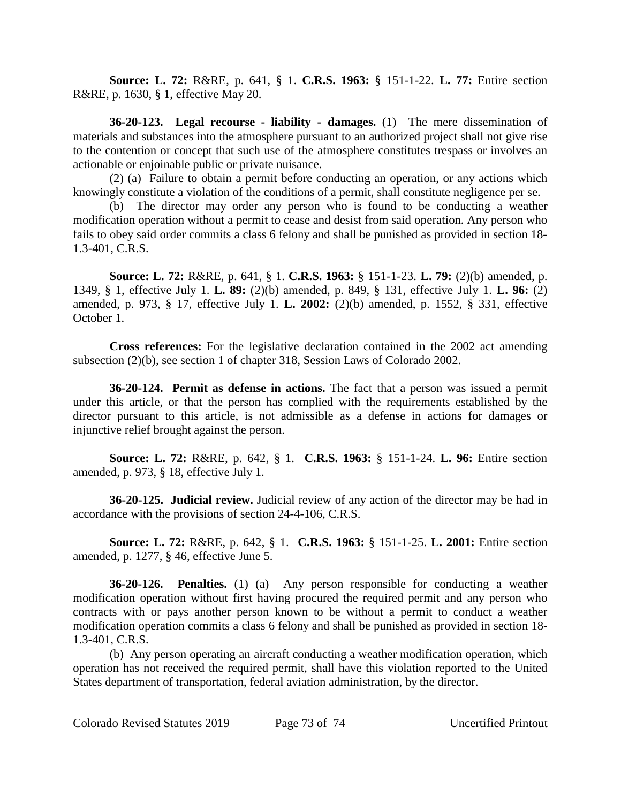**Source: L. 72:** R&RE, p. 641, § 1. **C.R.S. 1963:** § 151-1-22. **L. 77:** Entire section R&RE, p. 1630, § 1, effective May 20.

**36-20-123. Legal recourse - liability - damages.** (1) The mere dissemination of materials and substances into the atmosphere pursuant to an authorized project shall not give rise to the contention or concept that such use of the atmosphere constitutes trespass or involves an actionable or enjoinable public or private nuisance.

(2) (a) Failure to obtain a permit before conducting an operation, or any actions which knowingly constitute a violation of the conditions of a permit, shall constitute negligence per se.

(b) The director may order any person who is found to be conducting a weather modification operation without a permit to cease and desist from said operation. Any person who fails to obey said order commits a class 6 felony and shall be punished as provided in section 18- 1.3-401, C.R.S.

**Source: L. 72:** R&RE, p. 641, § 1. **C.R.S. 1963:** § 151-1-23. **L. 79:** (2)(b) amended, p. 1349, § 1, effective July 1. **L. 89:** (2)(b) amended, p. 849, § 131, effective July 1. **L. 96:** (2) amended, p. 973, § 17, effective July 1. **L. 2002:** (2)(b) amended, p. 1552, § 331, effective October 1.

**Cross references:** For the legislative declaration contained in the 2002 act amending subsection (2)(b), see section 1 of chapter 318, Session Laws of Colorado 2002.

**36-20-124. Permit as defense in actions.** The fact that a person was issued a permit under this article, or that the person has complied with the requirements established by the director pursuant to this article, is not admissible as a defense in actions for damages or injunctive relief brought against the person.

**Source: L. 72:** R&RE, p. 642, § 1. **C.R.S. 1963:** § 151-1-24. **L. 96:** Entire section amended, p. 973, § 18, effective July 1.

**36-20-125. Judicial review.** Judicial review of any action of the director may be had in accordance with the provisions of section 24-4-106, C.R.S.

**Source: L. 72:** R&RE, p. 642, § 1. **C.R.S. 1963:** § 151-1-25. **L. 2001:** Entire section amended, p. 1277, § 46, effective June 5.

**36-20-126. Penalties.** (1) (a) Any person responsible for conducting a weather modification operation without first having procured the required permit and any person who contracts with or pays another person known to be without a permit to conduct a weather modification operation commits a class 6 felony and shall be punished as provided in section 18- 1.3-401, C.R.S.

(b) Any person operating an aircraft conducting a weather modification operation, which operation has not received the required permit, shall have this violation reported to the United States department of transportation, federal aviation administration, by the director.